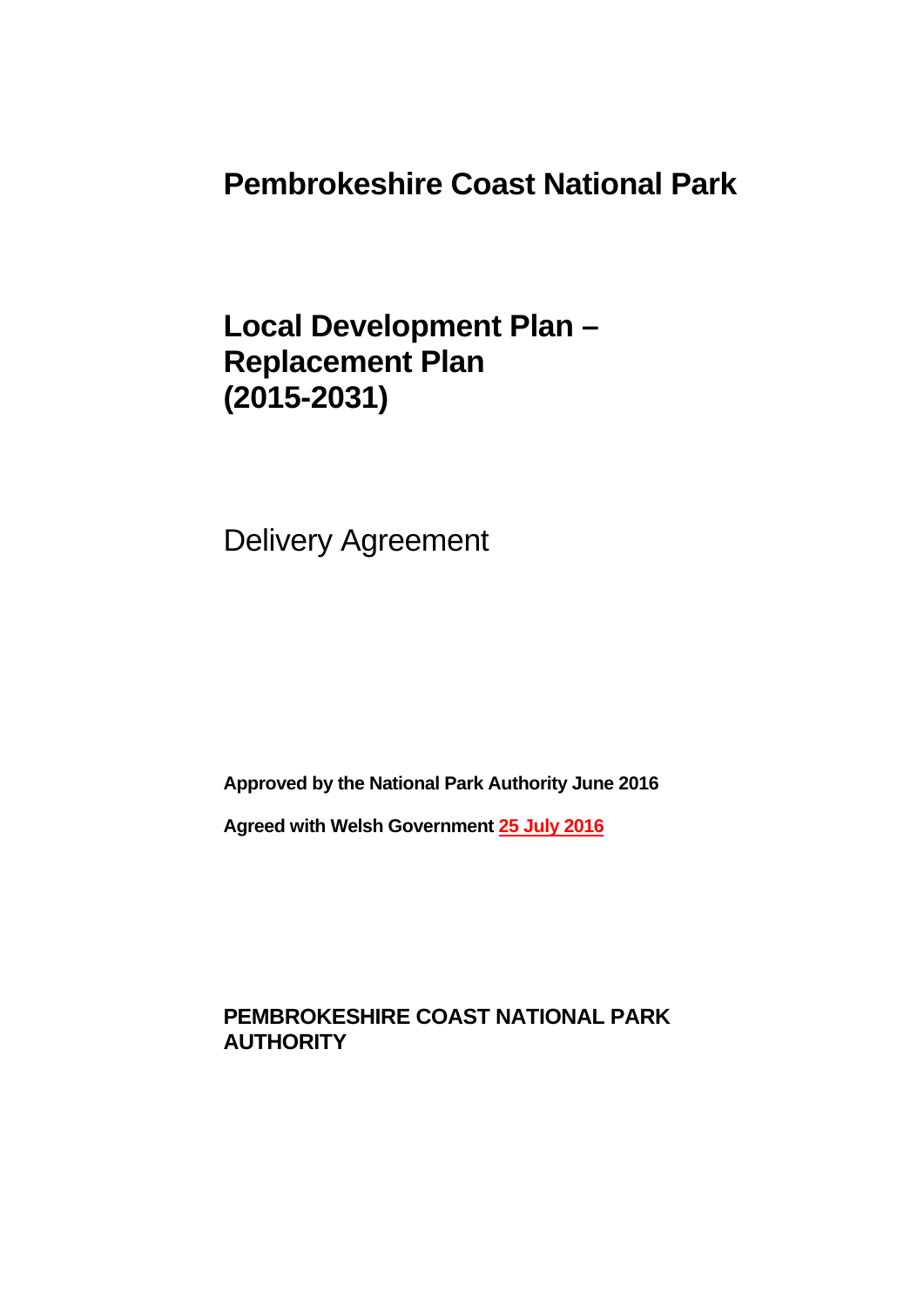**Pembrokeshire Coast National Park** 

**Local Development Plan – Replacement Plan (2015-2031)** 

Delivery Agreement

**Approved by the National Park Authority June 2016** 

**Agreed with Welsh Government 25 July 2016**

**PEMBROKESHIRE COAST NATIONAL PARK AUTHORITY**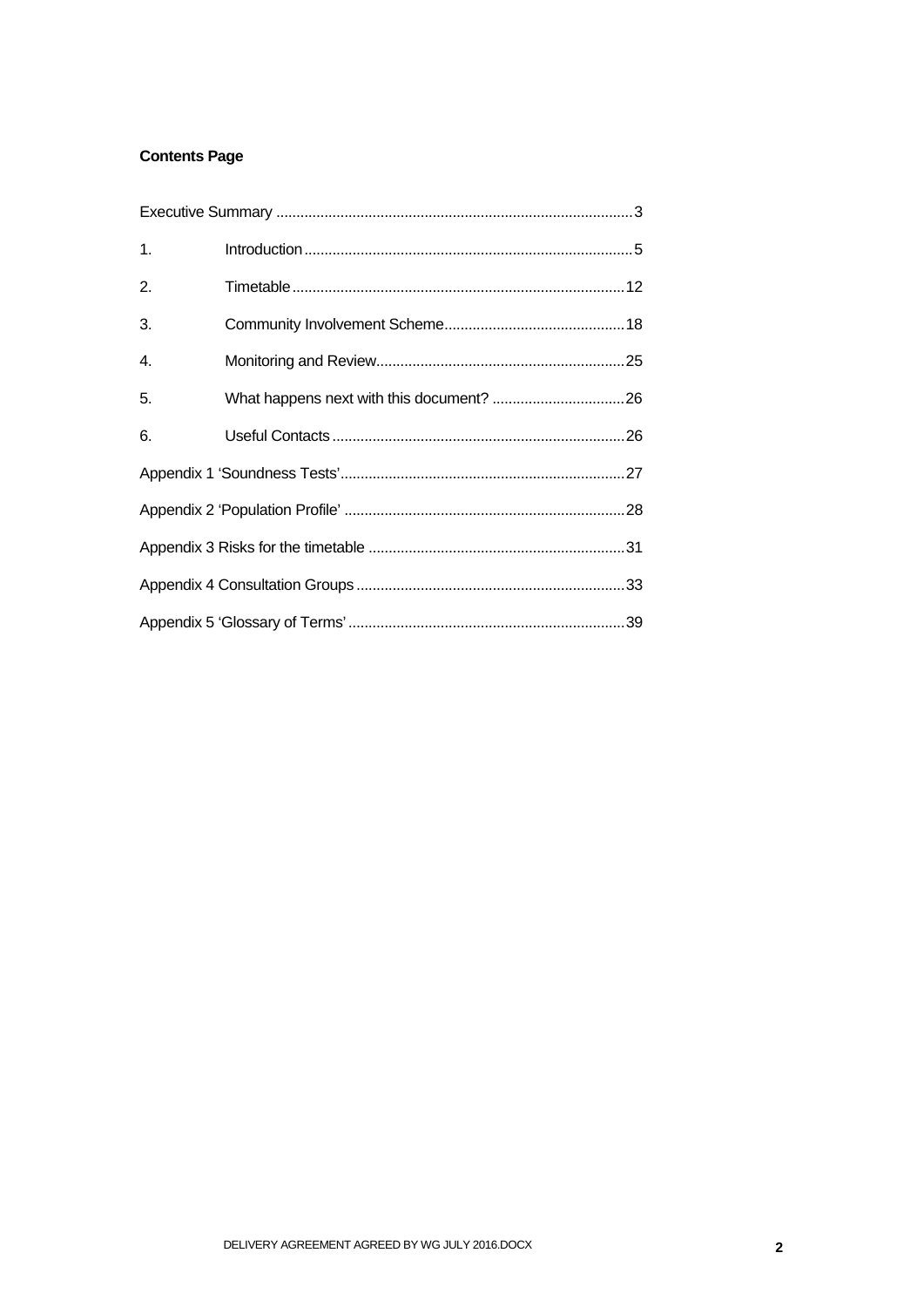## **Contents Page**

| 1. |  |
|----|--|
| 2. |  |
| 3. |  |
| 4. |  |
| 5. |  |
| 6. |  |
|    |  |
|    |  |
|    |  |
|    |  |
|    |  |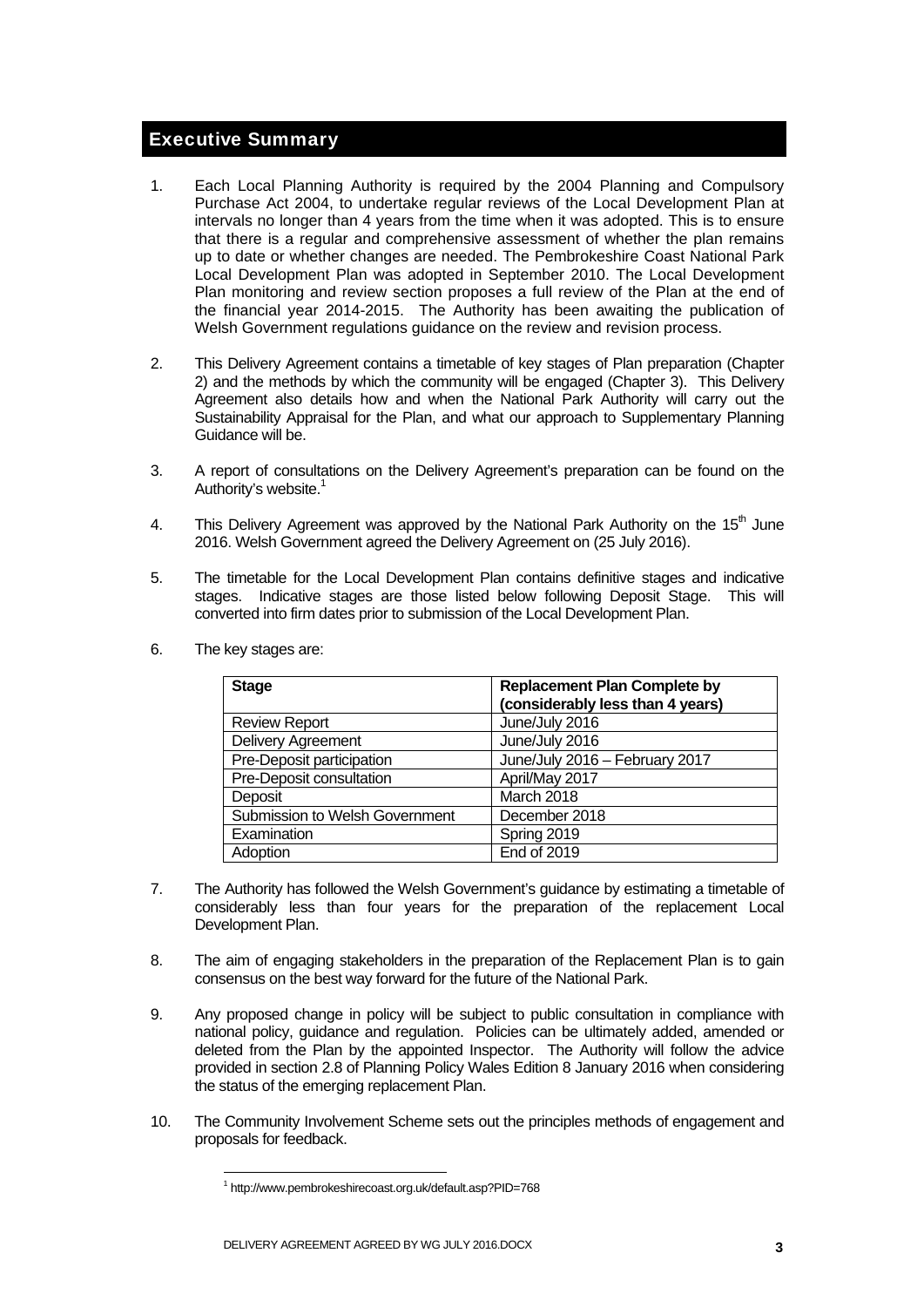## Executive Summary

- 1. Each Local Planning Authority is required by the 2004 Planning and Compulsory Purchase Act 2004, to undertake regular reviews of the Local Development Plan at intervals no longer than 4 years from the time when it was adopted. This is to ensure that there is a regular and comprehensive assessment of whether the plan remains up to date or whether changes are needed. The Pembrokeshire Coast National Park Local Development Plan was adopted in September 2010. The Local Development Plan monitoring and review section proposes a full review of the Plan at the end of the financial year 2014-2015. The Authority has been awaiting the publication of Welsh Government regulations guidance on the review and revision process.
- 2. This Delivery Agreement contains a timetable of key stages of Plan preparation (Chapter 2) and the methods by which the community will be engaged (Chapter 3). This Delivery Agreement also details how and when the National Park Authority will carry out the Sustainability Appraisal for the Plan, and what our approach to Supplementary Planning Guidance will be.
- 3. A report of consultations on the Delivery Agreement's preparation can be found on the Authority's website.<sup>1</sup>
- 4. This Delivery Agreement was approved by the National Park Authority on the 15<sup>th</sup> June 2016. Welsh Government agreed the Delivery Agreement on (25 July 2016).
- 5. The timetable for the Local Development Plan contains definitive stages and indicative stages. Indicative stages are those listed below following Deposit Stage. This will converted into firm dates prior to submission of the Local Development Plan.

| <b>Stage</b>                   | <b>Replacement Plan Complete by</b> |  |
|--------------------------------|-------------------------------------|--|
|                                | (considerably less than 4 years)    |  |
| <b>Review Report</b>           | June/July 2016                      |  |
| <b>Delivery Agreement</b>      | June/July 2016                      |  |
| Pre-Deposit participation      | June/July 2016 - February 2017      |  |
| Pre-Deposit consultation       | April/May 2017                      |  |
| Deposit                        | March 2018                          |  |
| Submission to Welsh Government | December 2018                       |  |
| Examination                    | Spring 2019                         |  |
| Adoption                       | <b>End of 2019</b>                  |  |

6. The key stages are:

- 7. The Authority has followed the Welsh Government's guidance by estimating a timetable of considerably less than four years for the preparation of the replacement Local Development Plan.
- 8. The aim of engaging stakeholders in the preparation of the Replacement Plan is to gain consensus on the best way forward for the future of the National Park.
- 9. Any proposed change in policy will be subject to public consultation in compliance with national policy, guidance and regulation. Policies can be ultimately added, amended or deleted from the Plan by the appointed Inspector. The Authority will follow the advice provided in section 2.8 of Planning Policy Wales Edition 8 January 2016 when considering the status of the emerging replacement Plan.
- 10. The Community Involvement Scheme sets out the principles methods of engagement and proposals for feedback.

<sup>1</sup> http://www.pembrokeshirecoast.org.uk/default.asp?PID=768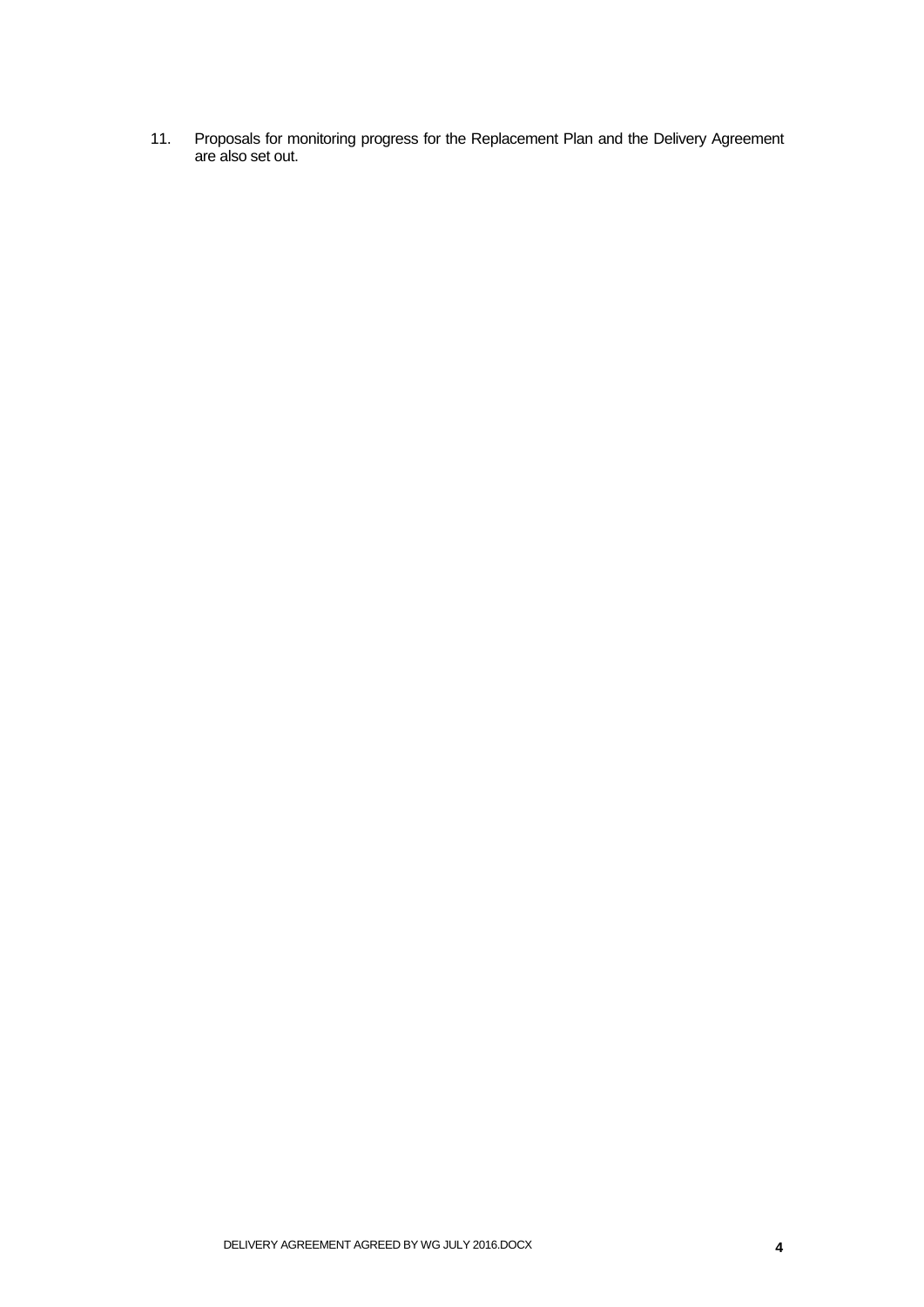11. Proposals for monitoring progress for the Replacement Plan and the Delivery Agreement are also set out.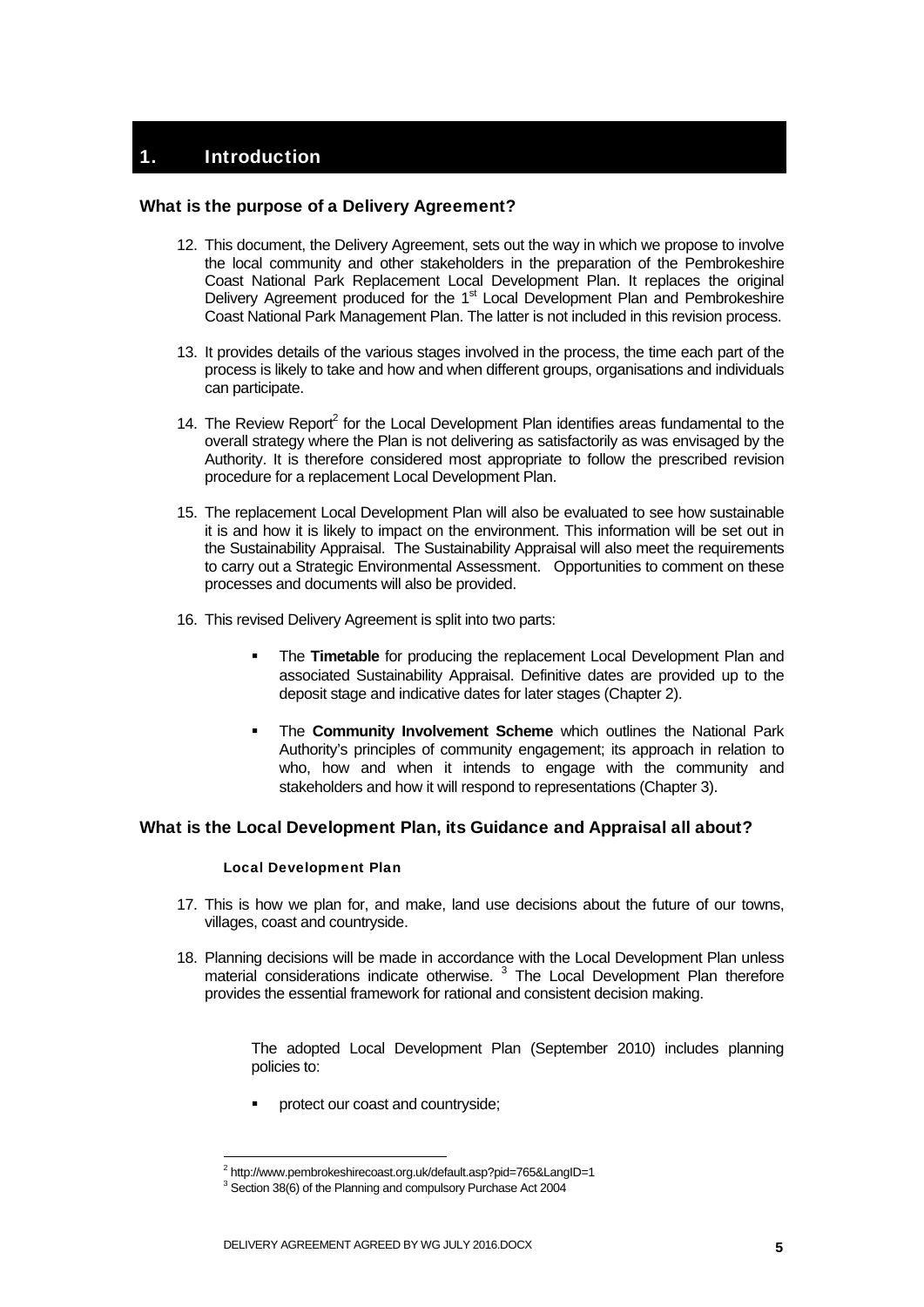## **Introduction**

#### What is the purpose of a Delivery Agreement?

- 12. This document, the Delivery Agreement, sets out the way in which we propose to involve the local community and other stakeholders in the preparation of the Pembrokeshire Coast National Park Replacement Local Development Plan. It replaces the original Delivery Agreement produced for the 1<sup>st</sup> Local Development Plan and Pembrokeshire Coast National Park Management Plan. The latter is not included in this revision process.
- 13. It provides details of the various stages involved in the process, the time each part of the process is likely to take and how and when different groups, organisations and individuals can participate.
- 14. The Review Report<sup>2</sup> for the Local Development Plan identifies areas fundamental to the overall strategy where the Plan is not delivering as satisfactorily as was envisaged by the Authority. It is therefore considered most appropriate to follow the prescribed revision procedure for a replacement Local Development Plan.
- 15. The replacement Local Development Plan will also be evaluated to see how sustainable it is and how it is likely to impact on the environment. This information will be set out in the Sustainability Appraisal. The Sustainability Appraisal will also meet the requirements to carry out a Strategic Environmental Assessment. Opportunities to comment on these processes and documents will also be provided.
- 16. This revised Delivery Agreement is split into two parts:
	- The **Timetable** for producing the replacement Local Development Plan and associated Sustainability Appraisal. Definitive dates are provided up to the deposit stage and indicative dates for later stages (Chapter 2).
	- The **Community Involvement Scheme** which outlines the National Park Authority's principles of community engagement; its approach in relation to who, how and when it intends to engage with the community and stakeholders and how it will respond to representations (Chapter 3).

#### What is the Local Development Plan, its Guidance and Appraisal all about?

#### Local Development Plan

1

- 17. This is how we plan for, and make, land use decisions about the future of our towns, villages, coast and countryside.
- 18. Planning decisions will be made in accordance with the Local Development Plan unless material considerations indicate otherwise.<sup>3</sup> The Local Development Plan therefore provides the essential framework for rational and consistent decision making.

The adopted Local Development Plan (September 2010) includes planning policies to:

protect our coast and countryside;

<sup>&</sup>lt;sup>2</sup> http://www.pembrokeshirecoast.org.uk/default.asp?pid=765&LangID=1<br><sup>3</sup> Section 20(6) of the Planning and compulsory Burshase Act 2004

 $3$  Section 38(6) of the Planning and compulsory Purchase Act 2004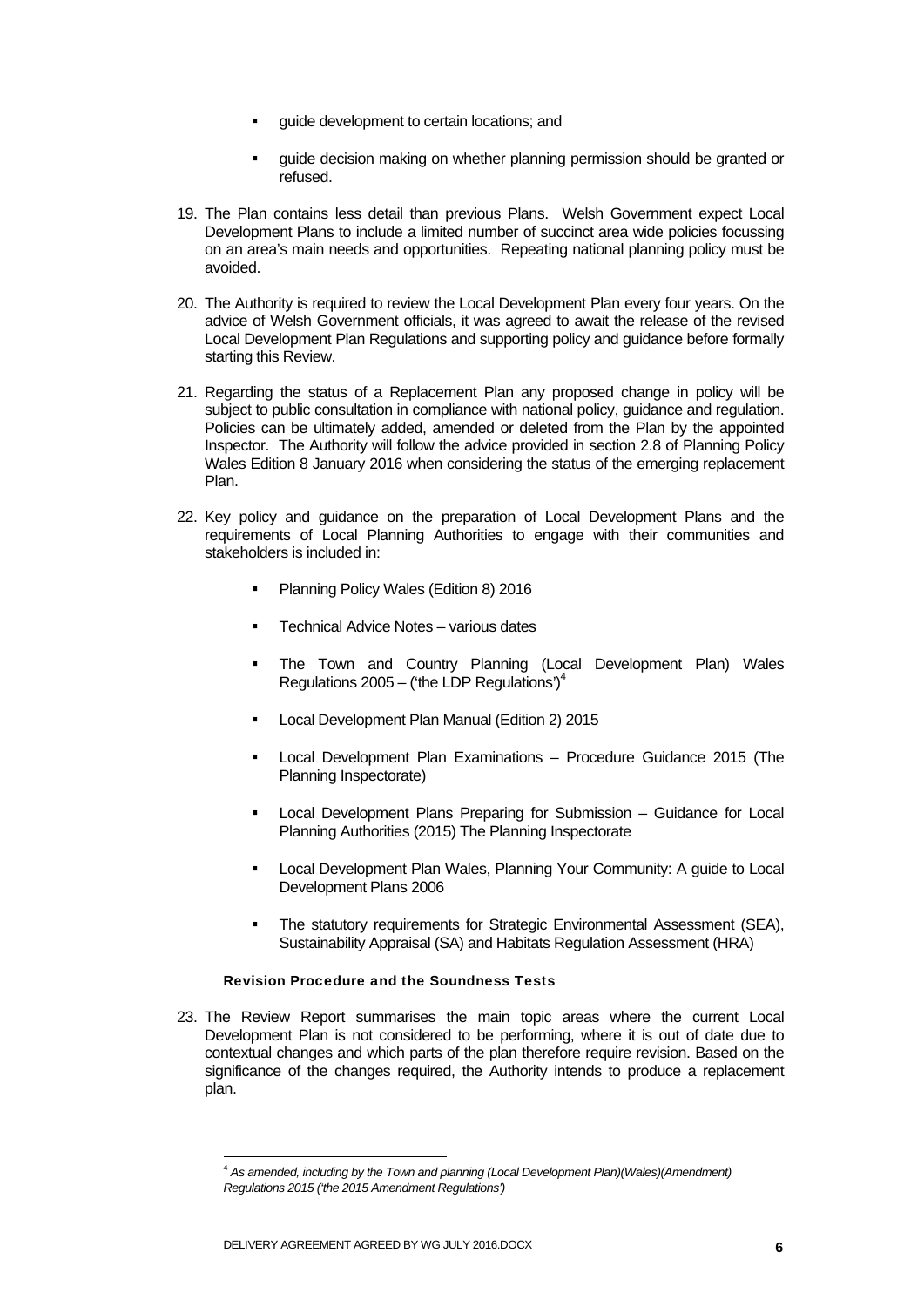- guide development to certain locations; and
- guide decision making on whether planning permission should be granted or refused.
- 19. The Plan contains less detail than previous Plans. Welsh Government expect Local Development Plans to include a limited number of succinct area wide policies focussing on an area's main needs and opportunities. Repeating national planning policy must be avoided.
- 20. The Authority is required to review the Local Development Plan every four years. On the advice of Welsh Government officials, it was agreed to await the release of the revised Local Development Plan Regulations and supporting policy and guidance before formally starting this Review.
- 21. Regarding the status of a Replacement Plan any proposed change in policy will be subject to public consultation in compliance with national policy, guidance and regulation. Policies can be ultimately added, amended or deleted from the Plan by the appointed Inspector. The Authority will follow the advice provided in section 2.8 of Planning Policy Wales Edition 8 January 2016 when considering the status of the emerging replacement Plan.
- 22. Key policy and guidance on the preparation of Local Development Plans and the requirements of Local Planning Authorities to engage with their communities and stakeholders is included in:
	- Planning Policy Wales (Edition 8) 2016
	- Technical Advice Notes various dates
	- **The Town and Country Planning (Local Development Plan) Wales** Regulations  $2005 -$  (the LDP Regulations')<sup>4</sup>
	- Local Development Plan Manual (Edition 2) 2015
	- Local Development Plan Examinations Procedure Guidance 2015 (The Planning Inspectorate)
	- **EXEC** Local Development Plans Preparing for Submission Guidance for Local Planning Authorities (2015) The Planning Inspectorate
	- Local Development Plan Wales, Planning Your Community: A guide to Local Development Plans 2006
	- The statutory requirements for Strategic Environmental Assessment (SEA), Sustainability Appraisal (SA) and Habitats Regulation Assessment (HRA)

#### Revision Procedure and the Soundness Tests

23. The Review Report summarises the main topic areas where the current Local Development Plan is not considered to be performing, where it is out of date due to contextual changes and which parts of the plan therefore require revision. Based on the significance of the changes required, the Authority intends to produce a replacement plan.

<sup>4</sup> *As amended, including by the Town and planning (Local Development Plan)(Wales)(Amendment) Regulations 2015 ('the 2015 Amendment Regulations')*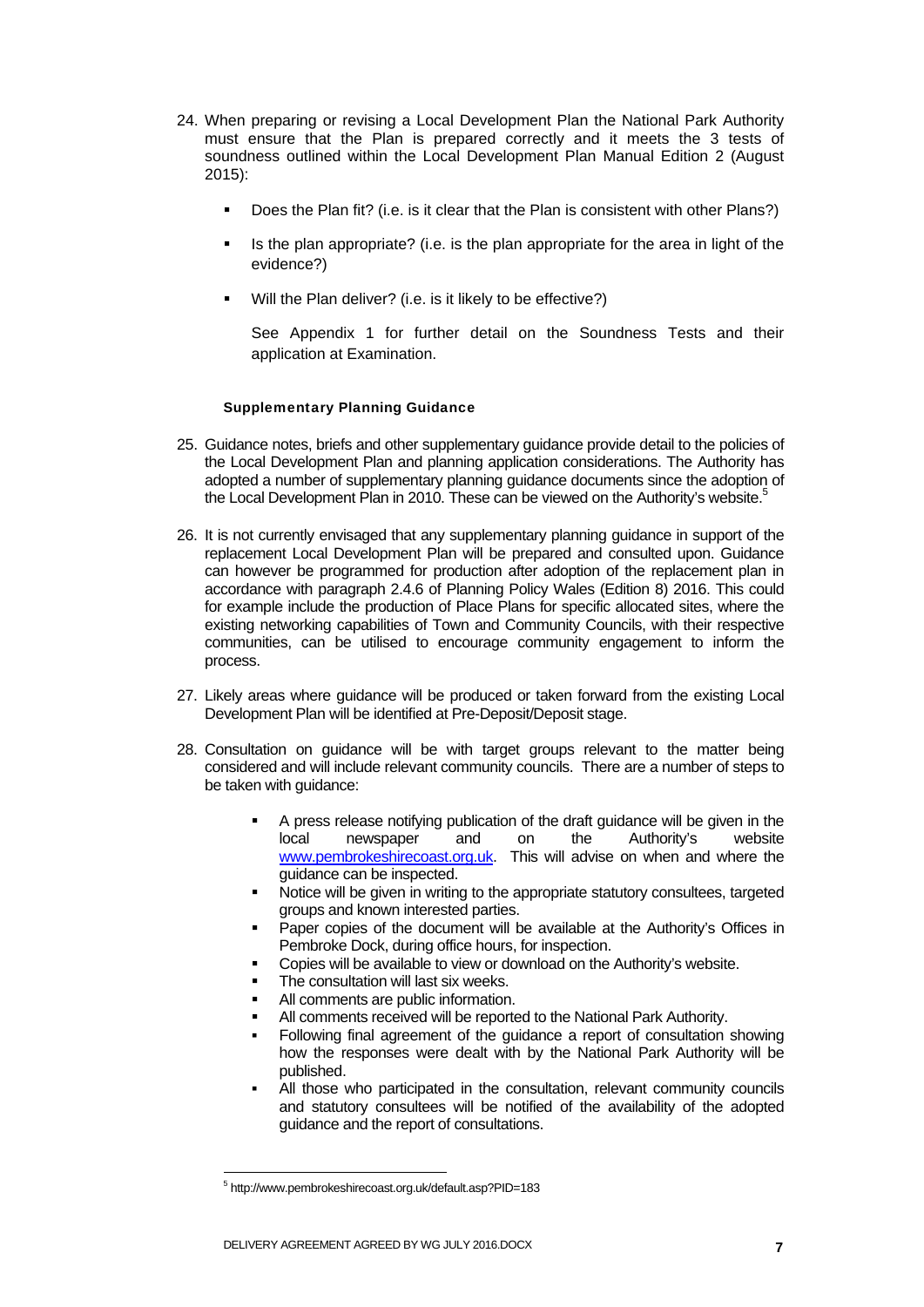- 24. When preparing or revising a Local Development Plan the National Park Authority must ensure that the Plan is prepared correctly and it meets the 3 tests of soundness outlined within the Local Development Plan Manual Edition 2 (August 2015):
	- Does the Plan fit? (i.e. is it clear that the Plan is consistent with other Plans?)
	- Is the plan appropriate? (i.e. is the plan appropriate for the area in light of the evidence?)
	- Will the Plan deliver? (i.e. is it likely to be effective?)

See Appendix 1 for further detail on the Soundness Tests and their application at Examination.

#### Supplementary Planning Guidance

- 25. Guidance notes, briefs and other supplementary guidance provide detail to the policies of the Local Development Plan and planning application considerations. The Authority has adopted a number of supplementary planning guidance documents since the adoption of the Local Development Plan in 2010. These can be viewed on the Authority's website.<sup>5</sup>
- 26. It is not currently envisaged that any supplementary planning guidance in support of the replacement Local Development Plan will be prepared and consulted upon. Guidance can however be programmed for production after adoption of the replacement plan in accordance with paragraph 2.4.6 of Planning Policy Wales (Edition 8) 2016. This could for example include the production of Place Plans for specific allocated sites, where the existing networking capabilities of Town and Community Councils, with their respective communities, can be utilised to encourage community engagement to inform the process.
- 27. Likely areas where guidance will be produced or taken forward from the existing Local Development Plan will be identified at Pre-Deposit/Deposit stage.
- 28. Consultation on guidance will be with target groups relevant to the matter being considered and will include relevant community councils. There are a number of steps to be taken with quidance:
	- A press release notifying publication of the draft guidance will be given in the local newspaper and on the Authority's website www.pembrokeshirecoast.org.uk. This will advise on when and where the guidance can be inspected.
	- Notice will be given in writing to the appropriate statutory consultees, targeted groups and known interested parties.
	- Paper copies of the document will be available at the Authority's Offices in Pembroke Dock, during office hours, for inspection.
	- Copies will be available to view or download on the Authority's website.
	- The consultation will last six weeks.
	- All comments are public information.
	- All comments received will be reported to the National Park Authority.
	- Following final agreement of the guidance a report of consultation showing how the responses were dealt with by the National Park Authority will be published.
	- All those who participated in the consultation, relevant community councils and statutory consultees will be notified of the availability of the adopted guidance and the report of consultations.

<sup>5</sup> http://www.pembrokeshirecoast.org.uk/default.asp?PID=183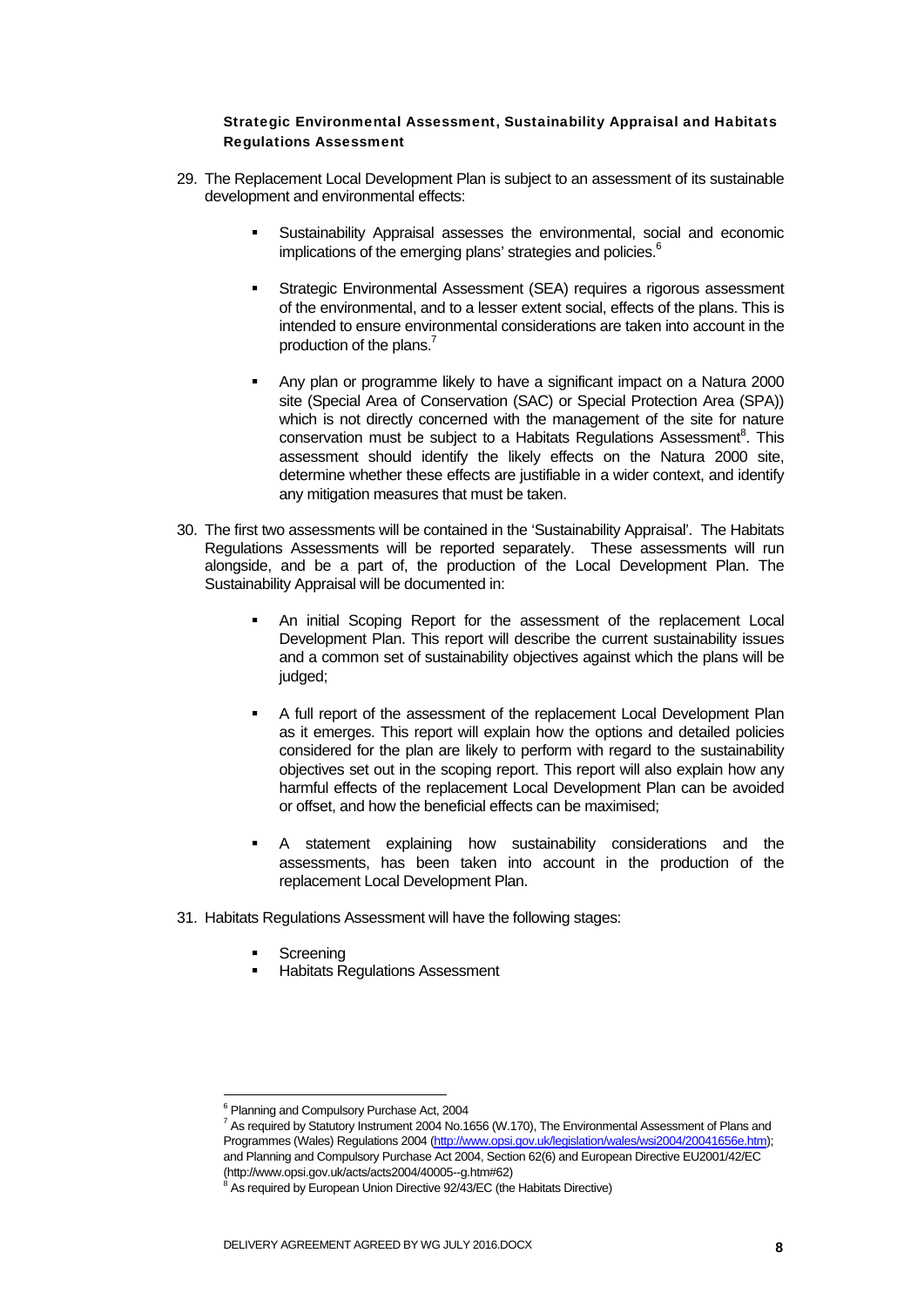#### Strategic Environmental Assessment, Sustainability Appraisal and Habitats Regulations Assessment

- 29. The Replacement Local Development Plan is subject to an assessment of its sustainable development and environmental effects:
	- Sustainability Appraisal assesses the environmental, social and economic implications of the emerging plans' strategies and policies.<sup>6</sup>
	- **Strategic Environmental Assessment (SEA) requires a rigorous assessment** of the environmental, and to a lesser extent social, effects of the plans. This is intended to ensure environmental considerations are taken into account in the production of the plans.<sup>7</sup>
	- Any plan or programme likely to have a significant impact on a Natura 2000 site (Special Area of Conservation (SAC) or Special Protection Area (SPA)) which is not directly concerned with the management of the site for nature conservation must be subject to a Habitats Regulations Assessment<sup>8</sup>. This assessment should identify the likely effects on the Natura 2000 site, determine whether these effects are justifiable in a wider context, and identify any mitigation measures that must be taken.
- 30. The first two assessments will be contained in the 'Sustainability Appraisal'. The Habitats Regulations Assessments will be reported separately. These assessments will run alongside, and be a part of, the production of the Local Development Plan. The Sustainability Appraisal will be documented in:
	- An initial Scoping Report for the assessment of the replacement Local Development Plan. This report will describe the current sustainability issues and a common set of sustainability objectives against which the plans will be judged;
	- A full report of the assessment of the replacement Local Development Plan as it emerges. This report will explain how the options and detailed policies considered for the plan are likely to perform with regard to the sustainability objectives set out in the scoping report. This report will also explain how any harmful effects of the replacement Local Development Plan can be avoided or offset, and how the beneficial effects can be maximised;
	- A statement explaining how sustainability considerations and the assessments, has been taken into account in the production of the replacement Local Development Plan.
- 31. Habitats Regulations Assessment will have the following stages:
	- **Screening**

-

Habitats Regulations Assessment

<sup>&</sup>lt;sup>6</sup> Planning and Compulsory Purchase Act, 2004

<sup>&</sup>lt;sup>7</sup> As required by Statutory Instrument 2004 No.1656 (W.170), The Environmental Assessment of Plans and Programmes (Wales) Regulations 2004 (http://www.opsi.gov.uk/legislation/wales/wsi2004/20041656e.htm); and Planning and Compulsory Purchase Act 2004, Section 62(6) and European Directive EU2001/42/EC (http://www.opsi.gov.uk/acts/acts2004/40005--g.htm#62)

<sup>&</sup>lt;sup>8</sup> As required by European Union Directive 92/43/EC (the Habitats Directive)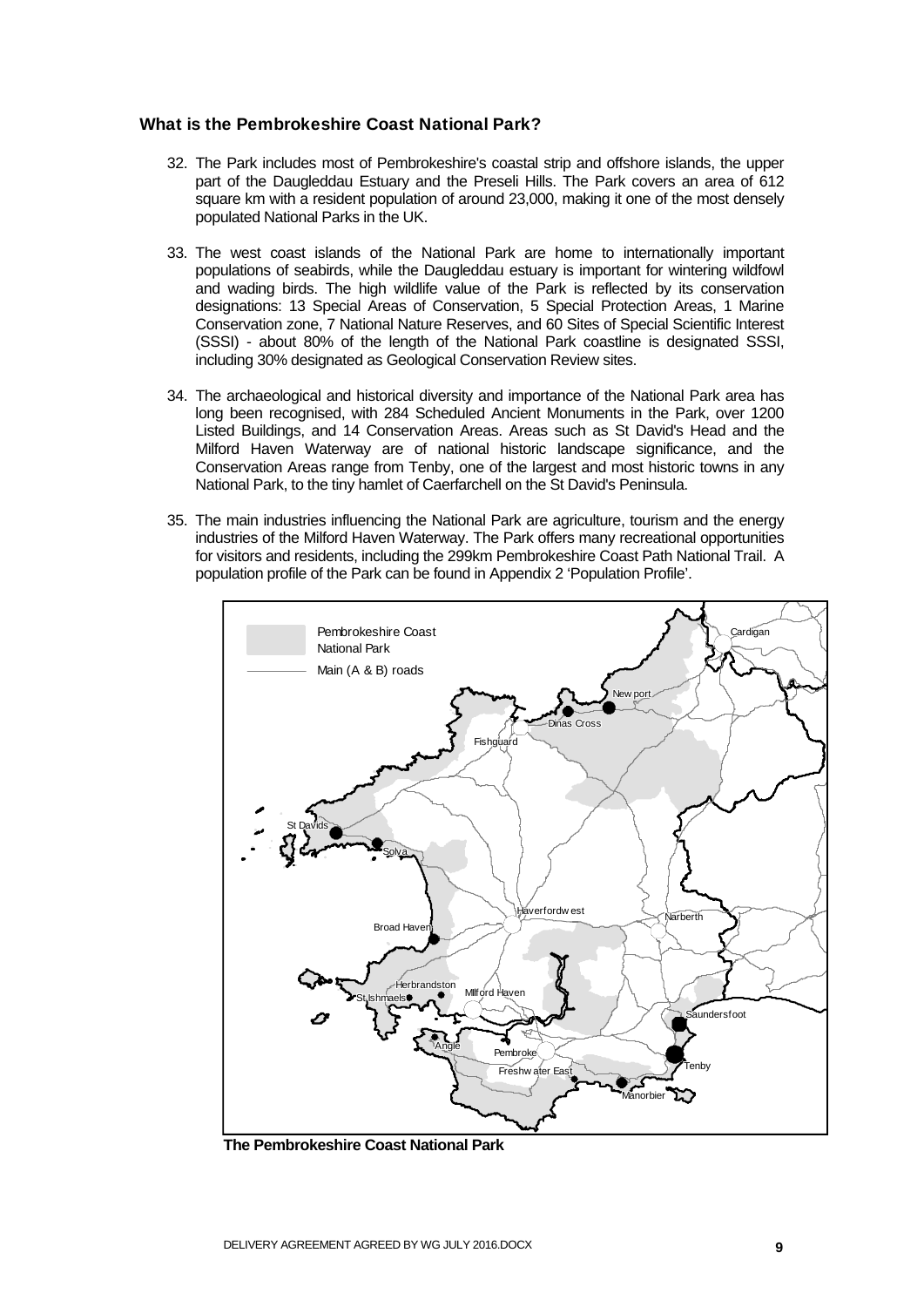#### What is the Pembrokeshire Coast National Park?

- 32. The Park includes most of Pembrokeshire's coastal strip and offshore islands, the upper part of the Daugleddau Estuary and the Preseli Hills. The Park covers an area of 612 square km with a resident population of around 23,000, making it one of the most densely populated National Parks in the UK.
- 33. The west coast islands of the National Park are home to internationally important populations of seabirds, while the Daugleddau estuary is important for wintering wildfowl and wading birds. The high wildlife value of the Park is reflected by its conservation designations: 13 Special Areas of Conservation, 5 Special Protection Areas, 1 Marine Conservation zone, 7 National Nature Reserves, and 60 Sites of Special Scientific Interest (SSSI) - about 80% of the length of the National Park coastline is designated SSSI, including 30% designated as Geological Conservation Review sites.
- 34. The archaeological and historical diversity and importance of the National Park area has long been recognised, with 284 Scheduled Ancient Monuments in the Park, over 1200 Listed Buildings, and 14 Conservation Areas. Areas such as St David's Head and the Milford Haven Waterway are of national historic landscape significance, and the Conservation Areas range from Tenby, one of the largest and most historic towns in any National Park, to the tiny hamlet of Caerfarchell on the St David's Peninsula.
- 35. The main industries influencing the National Park are agriculture, tourism and the energy industries of the Milford Haven Waterway. The Park offers many recreational opportunities for visitors and residents, including the 299km Pembrokeshire Coast Path National Trail. A population profile of the Park can be found in Appendix 2 'Population Profile'.



**The Pembrokeshire Coast National Park**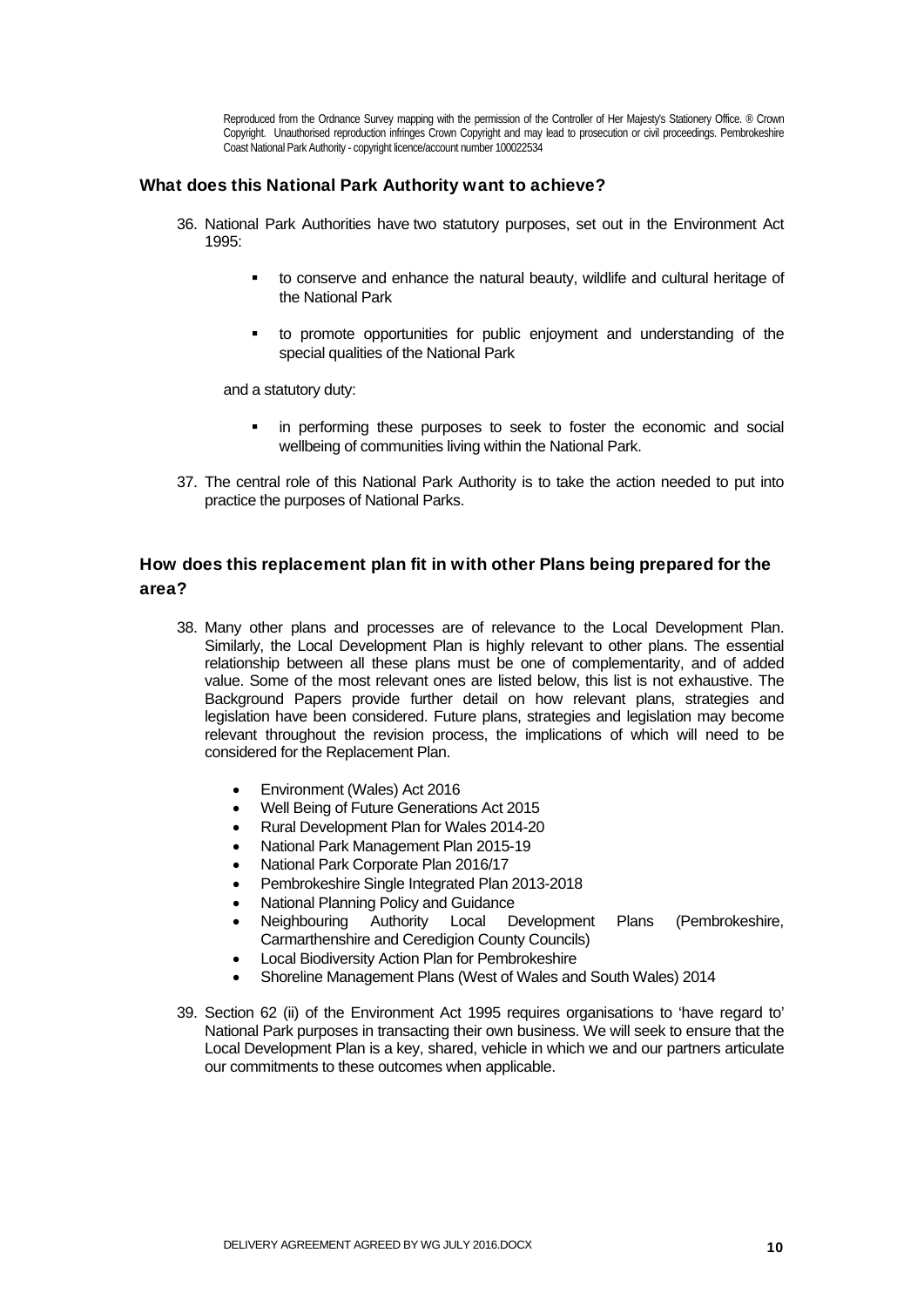Reproduced from the Ordnance Survey mapping with the permission of the Controller of Her Majesty's Stationery Office. ® Crown Copyright. Unauthorised reproduction infringes Crown Copyright and may lead to prosecution or civil proceedings. Pembrokeshire Coast National Park Authority - copyright licence/account number 100022534

#### What does this National Park Authority want to achieve?

- 36. National Park Authorities have two statutory purposes, set out in the Environment Act  $1005$ 
	- to conserve and enhance the natural beauty, wildlife and cultural heritage of the National Park
	- to promote opportunities for public enjoyment and understanding of the special qualities of the National Park

and a statutory duty:

- in performing these purposes to seek to foster the economic and social wellbeing of communities living within the National Park.
- 37. The central role of this National Park Authority is to take the action needed to put into practice the purposes of National Parks.

### How does this replacement plan fit in with other Plans being prepared for the area?

- 38. Many other plans and processes are of relevance to the Local Development Plan. Similarly, the Local Development Plan is highly relevant to other plans. The essential relationship between all these plans must be one of complementarity, and of added value. Some of the most relevant ones are listed below, this list is not exhaustive. The Background Papers provide further detail on how relevant plans, strategies and legislation have been considered. Future plans, strategies and legislation may become relevant throughout the revision process, the implications of which will need to be considered for the Replacement Plan.
	- Environment (Wales) Act 2016
	- Well Being of Future Generations Act 2015
	- Rural Development Plan for Wales 2014-20
	- National Park Management Plan 2015-19
	- National Park Corporate Plan 2016/17
	- Pembrokeshire Single Integrated Plan 2013-2018
	- National Planning Policy and Guidance
	- Neighbouring Authority Local Development Plans (Pembrokeshire, Carmarthenshire and Ceredigion County Councils)
	- Local Biodiversity Action Plan for Pembrokeshire
	- Shoreline Management Plans (West of Wales and South Wales) 2014
- 39. Section 62 (ii) of the Environment Act 1995 requires organisations to 'have regard to' National Park purposes in transacting their own business. We will seek to ensure that the Local Development Plan is a key, shared, vehicle in which we and our partners articulate our commitments to these outcomes when applicable.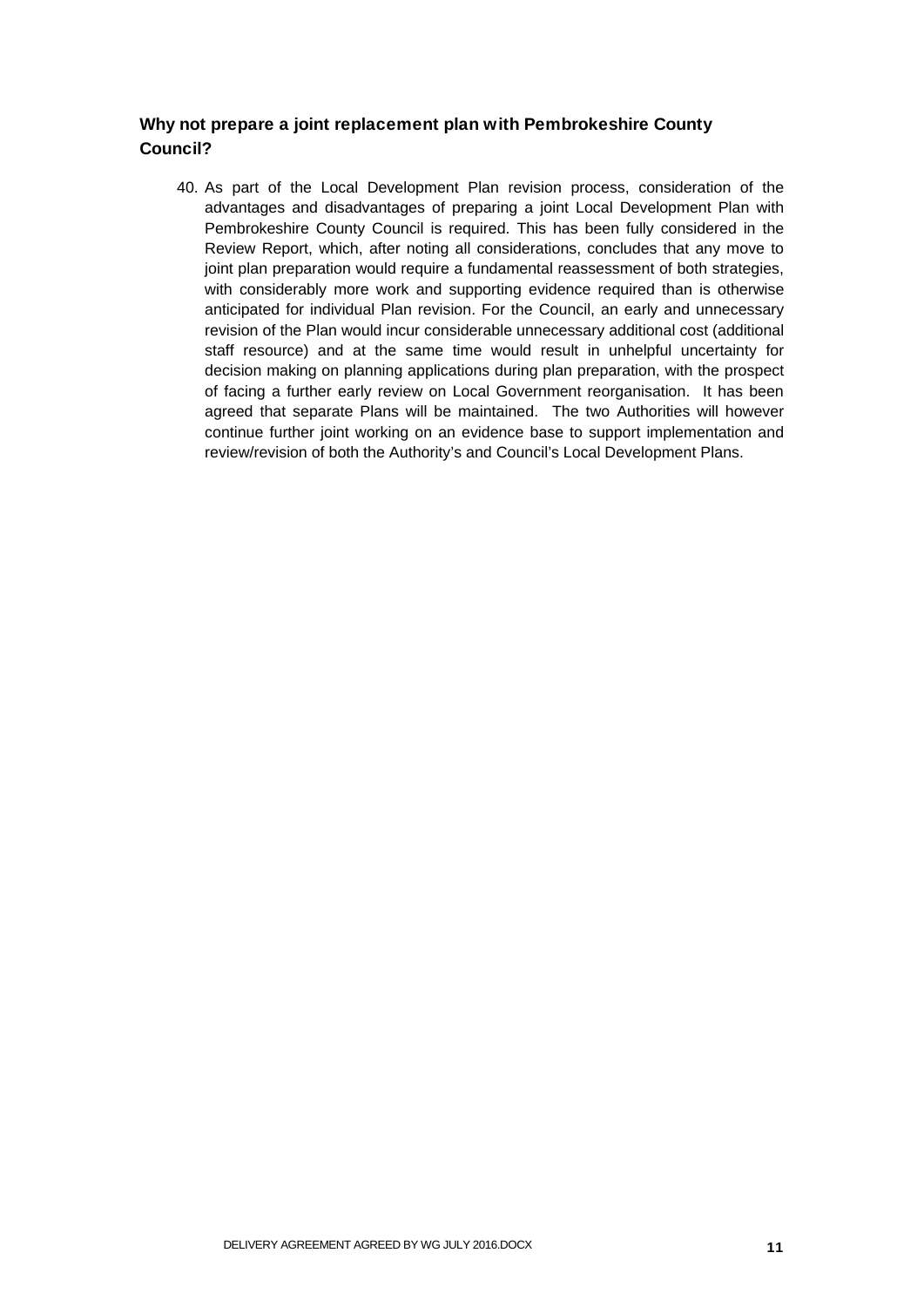## Why not prepare a joint replacement plan with Pembrokeshire County Council?

40. As part of the Local Development Plan revision process, consideration of the advantages and disadvantages of preparing a joint Local Development Plan with Pembrokeshire County Council is required. This has been fully considered in the Review Report, which, after noting all considerations, concludes that any move to joint plan preparation would require a fundamental reassessment of both strategies, with considerably more work and supporting evidence required than is otherwise anticipated for individual Plan revision. For the Council, an early and unnecessary revision of the Plan would incur considerable unnecessary additional cost (additional staff resource) and at the same time would result in unhelpful uncertainty for decision making on planning applications during plan preparation, with the prospect of facing a further early review on Local Government reorganisation. It has been agreed that separate Plans will be maintained. The two Authorities will however continue further joint working on an evidence base to support implementation and review/revision of both the Authority's and Council's Local Development Plans.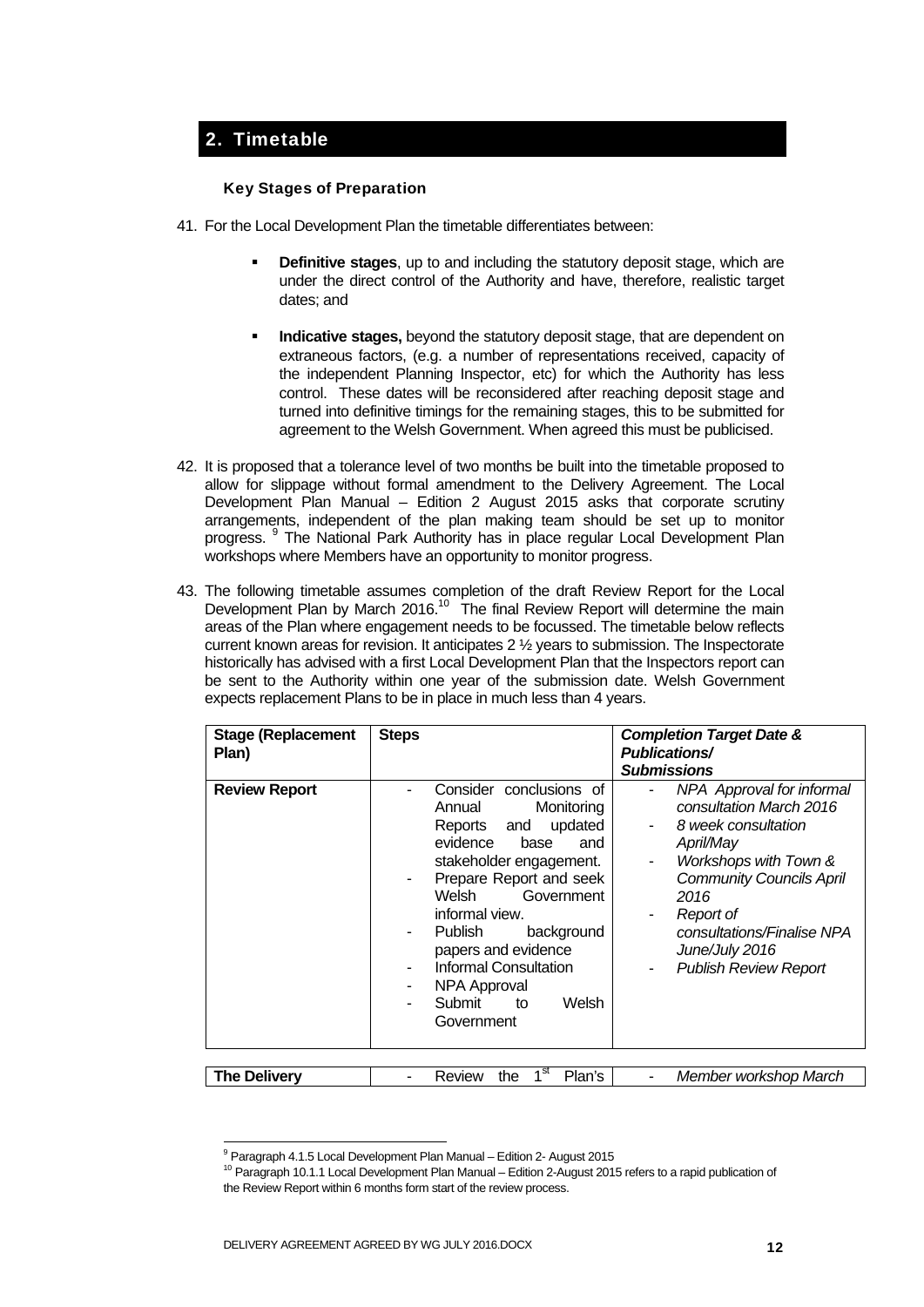## 2. Timetable

#### Key Stages of Preparation

- 41. For the Local Development Plan the timetable differentiates between:
	- **Definitive stages**, up to and including the statutory deposit stage, which are under the direct control of the Authority and have, therefore, realistic target dates; and
	- **Indicative stages,** beyond the statutory deposit stage, that are dependent on extraneous factors, (e.g. a number of representations received, capacity of the independent Planning Inspector, etc) for which the Authority has less control. These dates will be reconsidered after reaching deposit stage and turned into definitive timings for the remaining stages, this to be submitted for agreement to the Welsh Government. When agreed this must be publicised.
- 42. It is proposed that a tolerance level of two months be built into the timetable proposed to allow for slippage without formal amendment to the Delivery Agreement. The Local Development Plan Manual – Edition 2 August 2015 asks that corporate scrutiny arrangements, independent of the plan making team should be set up to monitor progress. <sup>9</sup> The National Park Authority has in place regular Local Development Plan workshops where Members have an opportunity to monitor progress.
- 43. The following timetable assumes completion of the draft Review Report for the Local Development Plan by March 2016.<sup>10</sup> The final Review Report will determine the main areas of the Plan where engagement needs to be focussed. The timetable below reflects current known areas for revision. It anticipates 2 ½ years to submission. The Inspectorate historically has advised with a first Local Development Plan that the Inspectors report can be sent to the Authority within one year of the submission date. Welsh Government expects replacement Plans to be in place in much less than 4 years.

| <b>Stage (Replacement</b><br>Plan) | <b>Steps</b>                                                                                                                                                                                                                                                                                                                                                      | <b>Completion Target Date &amp;</b><br><b>Publications/</b><br><b>Submissions</b>                                                                                                                                                                              |
|------------------------------------|-------------------------------------------------------------------------------------------------------------------------------------------------------------------------------------------------------------------------------------------------------------------------------------------------------------------------------------------------------------------|----------------------------------------------------------------------------------------------------------------------------------------------------------------------------------------------------------------------------------------------------------------|
| <b>Review Report</b>               | Consider conclusions of<br>Annual<br>Monitoring<br>updated<br>Reports and<br>evidence<br>base<br>and<br>stakeholder engagement.<br>Prepare Report and seek<br>۰.<br>Welsh<br>Government<br>informal view.<br><b>Publish</b><br>background<br>۰<br>papers and evidence<br><b>Informal Consultation</b><br>NPA Approval<br>٠<br>Submit<br>Welsh<br>to<br>Government | NPA Approval for informal<br>consultation March 2016<br>8 week consultation<br>April/May<br>Workshops with Town &<br><b>Community Councils April</b><br>2016<br>Report of<br>consultations/Finalise NPA<br>June/July 2016<br><b>Publish Review Report</b><br>- |
|                                    |                                                                                                                                                                                                                                                                                                                                                                   |                                                                                                                                                                                                                                                                |
| <b>The Delivery</b>                | 1 <sup>st</sup><br>Plan's<br>the<br>Review                                                                                                                                                                                                                                                                                                                        | Member workshop March                                                                                                                                                                                                                                          |

<sup>&</sup>lt;sup>9</sup> Paragraph 4.1.5 Local Development Plan Manual - Edition 2- August 2015

-

<sup>&</sup>lt;sup>10</sup> Paragraph 10.1.1 Local Development Plan Manual – Edition 2-August 2015 refers to a rapid publication of the Review Report within 6 months form start of the review process.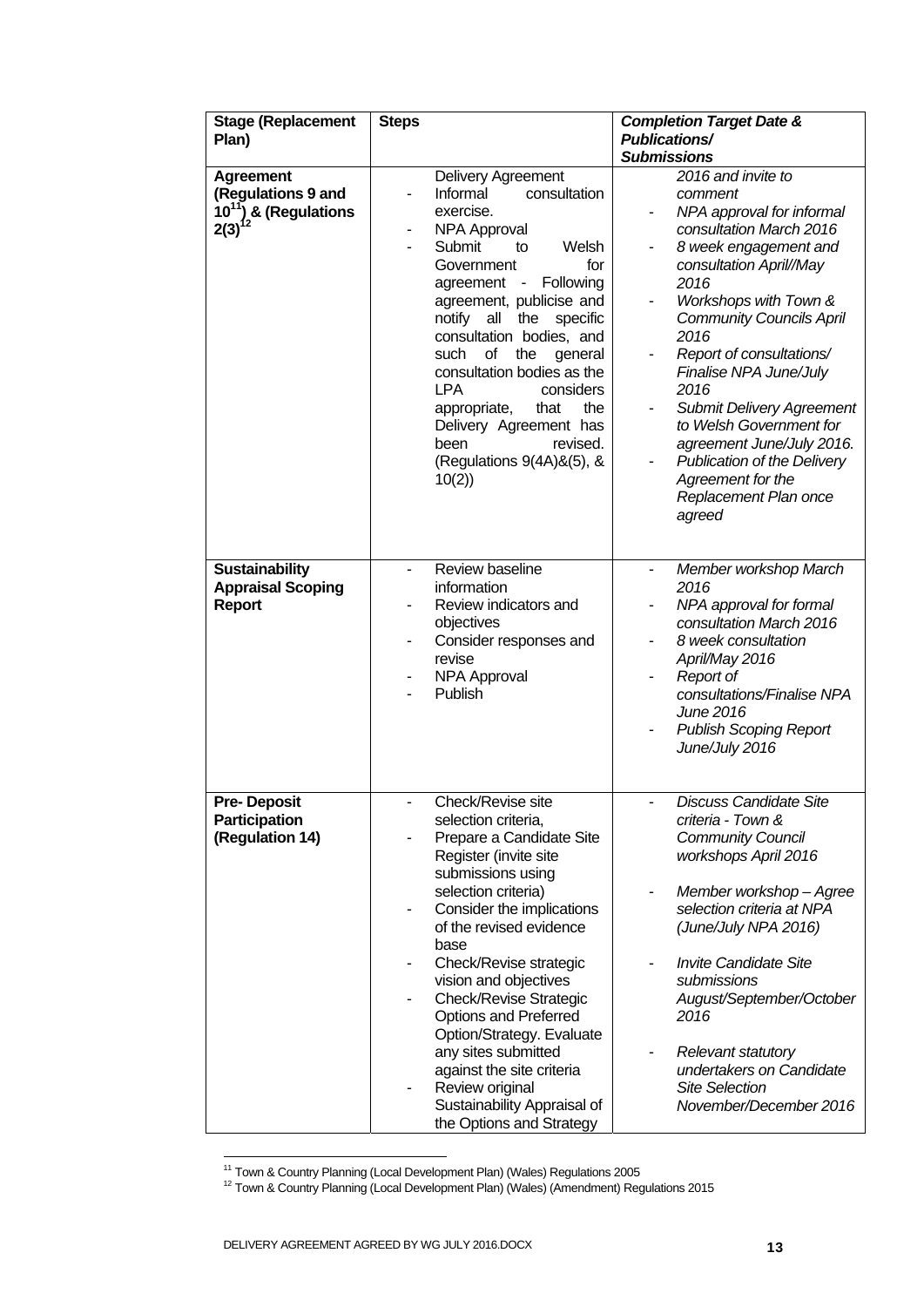| <b>Stage (Replacement</b><br>Plan)                                                  | <b>Steps</b>                                                                                                                                                                                                                                                                                                                                                                                                                                                                                                                 | <b>Completion Target Date &amp;</b><br><b>Publications/</b><br><b>Submissions</b>                                                                                                                                                                                                                                                                                                                                                                                      |
|-------------------------------------------------------------------------------------|------------------------------------------------------------------------------------------------------------------------------------------------------------------------------------------------------------------------------------------------------------------------------------------------------------------------------------------------------------------------------------------------------------------------------------------------------------------------------------------------------------------------------|------------------------------------------------------------------------------------------------------------------------------------------------------------------------------------------------------------------------------------------------------------------------------------------------------------------------------------------------------------------------------------------------------------------------------------------------------------------------|
| <b>Agreement</b><br>(Regulations 9 and<br>10 <sup>11</sup> ) & (Regulations<br>2(3) | Delivery Agreement<br>Informal<br>consultation<br>exercise.<br><b>NPA Approval</b><br>Submit<br>Welsh<br>to<br>for<br>Government<br>Following<br>agreement -<br>agreement, publicise and<br>notify all<br>the specific<br>consultation bodies, and<br>of<br>such<br>the<br>general<br>consultation bodies as the<br><b>LPA</b><br>considers<br>appropriate,<br>that<br>the<br>Delivery Agreement has<br>revised.<br>been<br>(Regulations 9(4A)&(5), &<br>10(2)                                                               | 2016 and invite to<br>comment<br>NPA approval for informal<br>consultation March 2016<br>8 week engagement and<br>consultation April//May<br>2016<br>Workshops with Town &<br><b>Community Councils April</b><br>2016<br>Report of consultations/<br>Finalise NPA June/July<br>2016<br><b>Submit Delivery Agreement</b><br>to Welsh Government for<br>agreement June/July 2016.<br>Publication of the Delivery<br>Agreement for the<br>Replacement Plan once<br>agreed |
| <b>Sustainability</b><br><b>Appraisal Scoping</b><br><b>Report</b>                  | Review baseline<br>information<br>Review indicators and<br>objectives<br>Consider responses and<br>revise<br><b>NPA Approval</b><br><b>Publish</b>                                                                                                                                                                                                                                                                                                                                                                           | Member workshop March<br>$\blacksquare$<br>2016<br>NPA approval for formal<br>consultation March 2016<br>8 week consultation<br>April/May 2016<br>Report of<br>consultations/Finalise NPA<br>June 2016<br><b>Publish Scoping Report</b><br>June/July 2016                                                                                                                                                                                                              |
| <b>Pre-Deposit</b><br>Participation<br>(Regulation 14)                              | Check/Revise site<br>selection criteria,<br>Prepare a Candidate Site<br>Register (invite site<br>submissions using<br>selection criteria)<br>Consider the implications<br>$\qquad \qquad \blacksquare$<br>of the revised evidence<br>base<br>Check/Revise strategic<br>vision and objectives<br><b>Check/Revise Strategic</b><br><b>Options and Preferred</b><br>Option/Strategy. Evaluate<br>any sites submitted<br>against the site criteria<br>Review original<br>Sustainability Appraisal of<br>the Options and Strategy | <b>Discuss Candidate Site</b><br>criteria - Town &<br><b>Community Council</b><br>workshops April 2016<br>Member workshop - Agree<br>selection criteria at NPA<br>(June/July NPA 2016)<br><b>Invite Candidate Site</b><br>submissions<br>August/September/October<br>2016<br><b>Relevant statutory</b><br>۰<br>undertakers on Candidate<br><b>Site Selection</b><br>November/December 2016                                                                             |

<sup>1</sup> 

<sup>&</sup>lt;sup>11</sup> Town & Country Planning (Local Development Plan) (Wales) Regulations 2005<br><sup>12</sup> Town & Country Planning (Local Development Plan) (Wales) (Amendment) Regulations 2015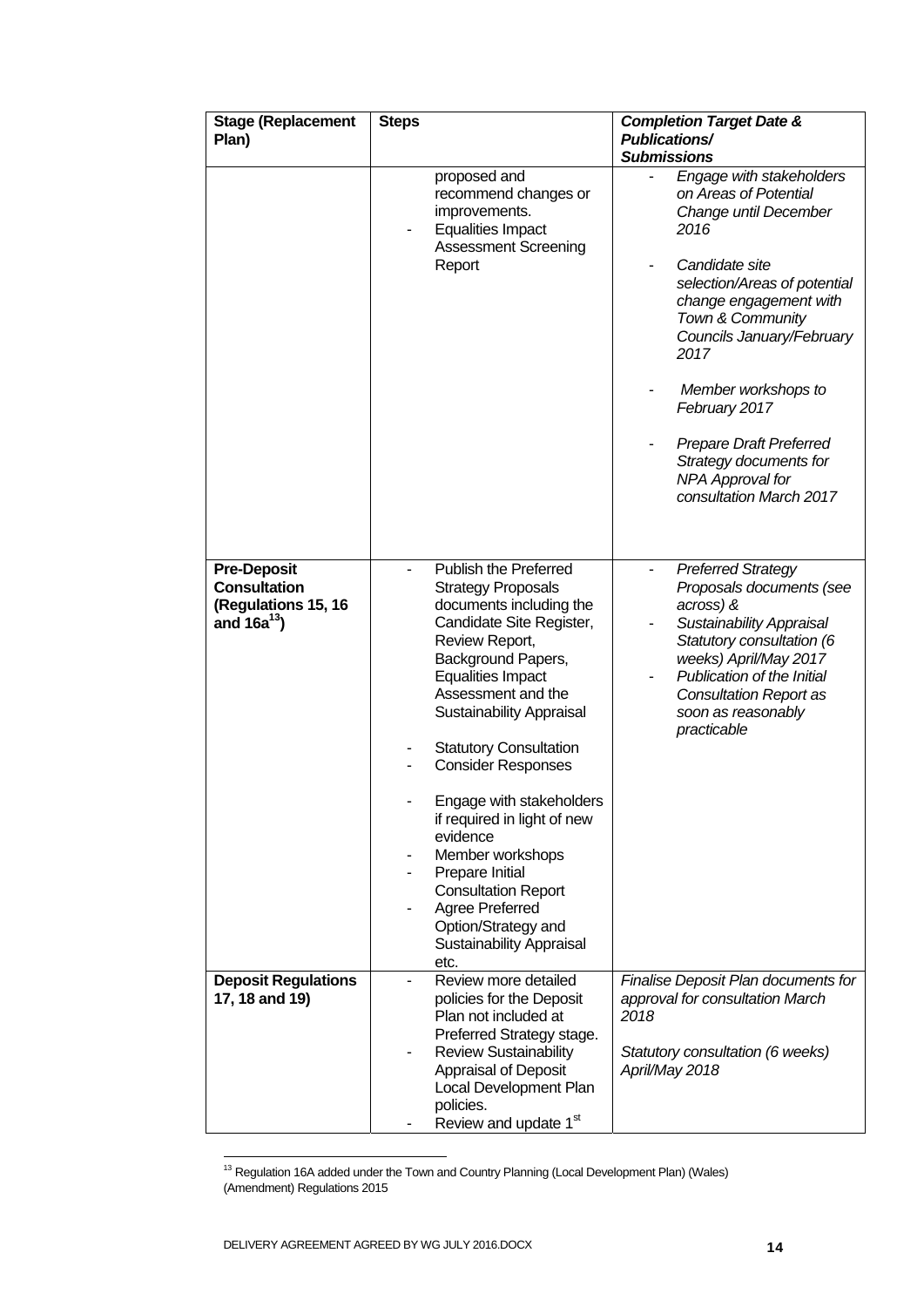| <b>Stage (Replacement</b><br>Plan)                                                   | <b>Steps</b>                                                                                                                                                                                                                                                                                                                                                                                                                                                                                                                          | <b>Completion Target Date &amp;</b><br><b>Publications/</b><br><b>Submissions</b>                                                                                                                                                                               |
|--------------------------------------------------------------------------------------|---------------------------------------------------------------------------------------------------------------------------------------------------------------------------------------------------------------------------------------------------------------------------------------------------------------------------------------------------------------------------------------------------------------------------------------------------------------------------------------------------------------------------------------|-----------------------------------------------------------------------------------------------------------------------------------------------------------------------------------------------------------------------------------------------------------------|
|                                                                                      | proposed and<br>recommend changes or<br>improvements.<br><b>Equalities Impact</b><br><b>Assessment Screening</b>                                                                                                                                                                                                                                                                                                                                                                                                                      | Engage with stakeholders<br>on Areas of Potential<br>Change until December<br>2016                                                                                                                                                                              |
|                                                                                      | Report                                                                                                                                                                                                                                                                                                                                                                                                                                                                                                                                | Candidate site<br>selection/Areas of potential<br>change engagement with<br>Town & Community<br>Councils January/February<br>2017                                                                                                                               |
|                                                                                      |                                                                                                                                                                                                                                                                                                                                                                                                                                                                                                                                       | Member workshops to<br>February 2017                                                                                                                                                                                                                            |
|                                                                                      |                                                                                                                                                                                                                                                                                                                                                                                                                                                                                                                                       | <b>Prepare Draft Preferred</b><br>Strategy documents for<br>NPA Approval for<br>consultation March 2017                                                                                                                                                         |
| <b>Pre-Deposit</b><br><b>Consultation</b><br>(Regulations 15, 16<br>and $16a^{13}$ ) | Publish the Preferred<br><b>Strategy Proposals</b><br>documents including the<br>Candidate Site Register,<br>Review Report,<br>Background Papers,<br><b>Equalities Impact</b><br>Assessment and the<br><b>Sustainability Appraisal</b><br><b>Statutory Consultation</b><br><b>Consider Responses</b><br>Engage with stakeholders<br>if required in light of new<br>evidence<br>Member workshops<br>Prepare Initial<br><b>Consultation Report</b><br>Agree Preferred<br>Option/Strategy and<br><b>Sustainability Appraisal</b><br>etc. | <b>Preferred Strategy</b><br>Proposals documents (see<br>across) &<br><b>Sustainability Appraisal</b><br>Statutory consultation (6<br>weeks) April/May 2017<br>Publication of the Initial<br><b>Consultation Report as</b><br>soon as reasonably<br>practicable |
| <b>Deposit Regulations</b><br>17, 18 and 19)                                         | Review more detailed<br>policies for the Deposit<br>Plan not included at<br>Preferred Strategy stage.<br><b>Review Sustainability</b><br>Appraisal of Deposit<br>Local Development Plan<br>policies.                                                                                                                                                                                                                                                                                                                                  | Finalise Deposit Plan documents for<br>approval for consultation March<br>2018<br>Statutory consultation (6 weeks)<br>April/May 2018                                                                                                                            |
|                                                                                      | Review and update 1st                                                                                                                                                                                                                                                                                                                                                                                                                                                                                                                 |                                                                                                                                                                                                                                                                 |

 $13$  Regulation 16A added under the Town and Country Planning (Local Development Plan) (Wales) (Amendment) Regulations 2015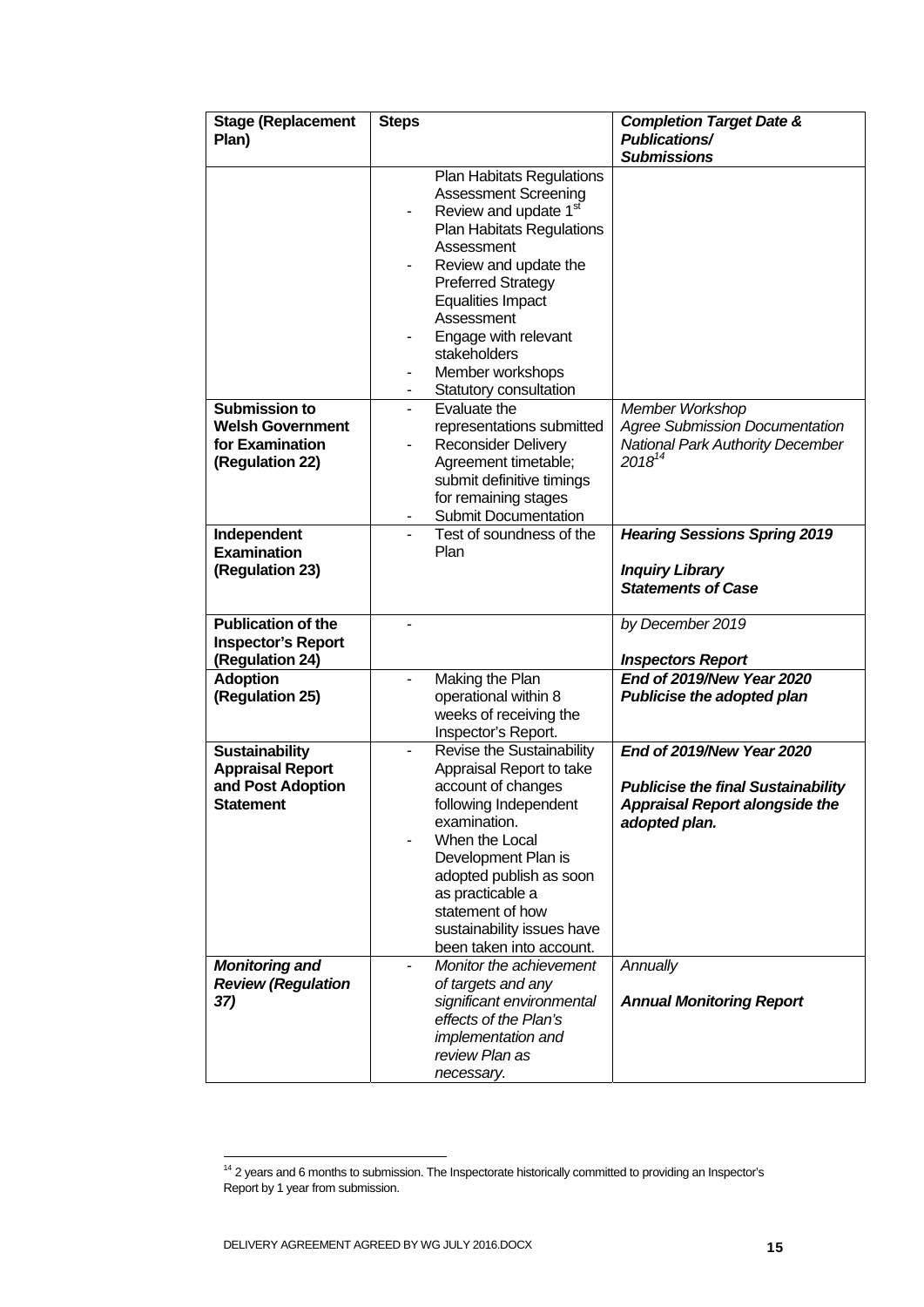| <b>Stage (Replacement</b> | <b>Steps</b>             |                                   | <b>Completion Target Date &amp;</b>       |
|---------------------------|--------------------------|-----------------------------------|-------------------------------------------|
| Plan)                     |                          |                                   | <b>Publications/</b>                      |
|                           |                          |                                   | <b>Submissions</b>                        |
|                           |                          | <b>Plan Habitats Regulations</b>  |                                           |
|                           |                          | <b>Assessment Screening</b>       |                                           |
|                           |                          | Review and update 1 <sup>st</sup> |                                           |
|                           |                          | <b>Plan Habitats Regulations</b>  |                                           |
|                           |                          | Assessment                        |                                           |
|                           |                          | Review and update the             |                                           |
|                           |                          | <b>Preferred Strategy</b>         |                                           |
|                           |                          | <b>Equalities Impact</b>          |                                           |
|                           |                          | Assessment                        |                                           |
|                           |                          | Engage with relevant              |                                           |
|                           |                          | stakeholders                      |                                           |
|                           | -                        | Member workshops                  |                                           |
|                           | -                        | Statutory consultation            |                                           |
| Submission to             | $\overline{\phantom{0}}$ | Evaluate the                      | Member Workshop                           |
| <b>Welsh Government</b>   |                          | representations submitted         | <b>Agree Submission Documentation</b>     |
| for Examination           |                          | <b>Reconsider Delivery</b>        | <b>National Park Authority December</b>   |
| (Regulation 22)           |                          | Agreement timetable;              | $2018^{14}$                               |
|                           |                          | submit definitive timings         |                                           |
|                           |                          | for remaining stages              |                                           |
|                           |                          | <b>Submit Documentation</b>       |                                           |
| Independent               |                          | Test of soundness of the          | <b>Hearing Sessions Spring 2019</b>       |
| <b>Examination</b>        |                          | Plan                              |                                           |
| (Regulation 23)           |                          |                                   | <b>Inquiry Library</b>                    |
|                           |                          |                                   | <b>Statements of Case</b>                 |
|                           |                          |                                   |                                           |
| <b>Publication of the</b> |                          |                                   | by December 2019                          |
| <b>Inspector's Report</b> |                          |                                   |                                           |
| (Regulation 24)           |                          |                                   | <b>Inspectors Report</b>                  |
| <b>Adoption</b>           | ۰                        | Making the Plan                   | End of 2019/New Year 2020                 |
| (Regulation 25)           |                          | operational within 8              | Publicise the adopted plan                |
|                           |                          | weeks of receiving the            |                                           |
|                           |                          | Inspector's Report.               |                                           |
| <b>Sustainability</b>     |                          | Revise the Sustainability         | End of 2019/New Year 2020                 |
| <b>Appraisal Report</b>   |                          | Appraisal Report to take          |                                           |
| and Post Adoption         |                          | account of changes                | <b>Publicise the final Sustainability</b> |
| Statement                 |                          | following Independent             | <b>Appraisal Report alongside the</b>     |
|                           |                          | examination.                      | adopted plan.                             |
|                           |                          | When the Local                    |                                           |
|                           |                          | Development Plan is               |                                           |
|                           |                          | adopted publish as soon           |                                           |
|                           |                          | as practicable a                  |                                           |
|                           |                          | statement of how                  |                                           |
|                           |                          | sustainability issues have        |                                           |
|                           |                          | been taken into account.          |                                           |
| <b>Monitoring and</b>     | -                        | Monitor the achievement           | Annually                                  |
| <b>Review (Regulation</b> |                          | of targets and any                |                                           |
| 37)                       |                          | significant environmental         | <b>Annual Monitoring Report</b>           |
|                           |                          | effects of the Plan's             |                                           |
|                           |                          | <i>implementation and</i>         |                                           |
|                           |                          | review Plan as                    |                                           |
|                           |                          | necessary.                        |                                           |

 $14$  2 years and 6 months to submission. The Inspectorate historically committed to providing an Inspector's Report by 1 year from submission.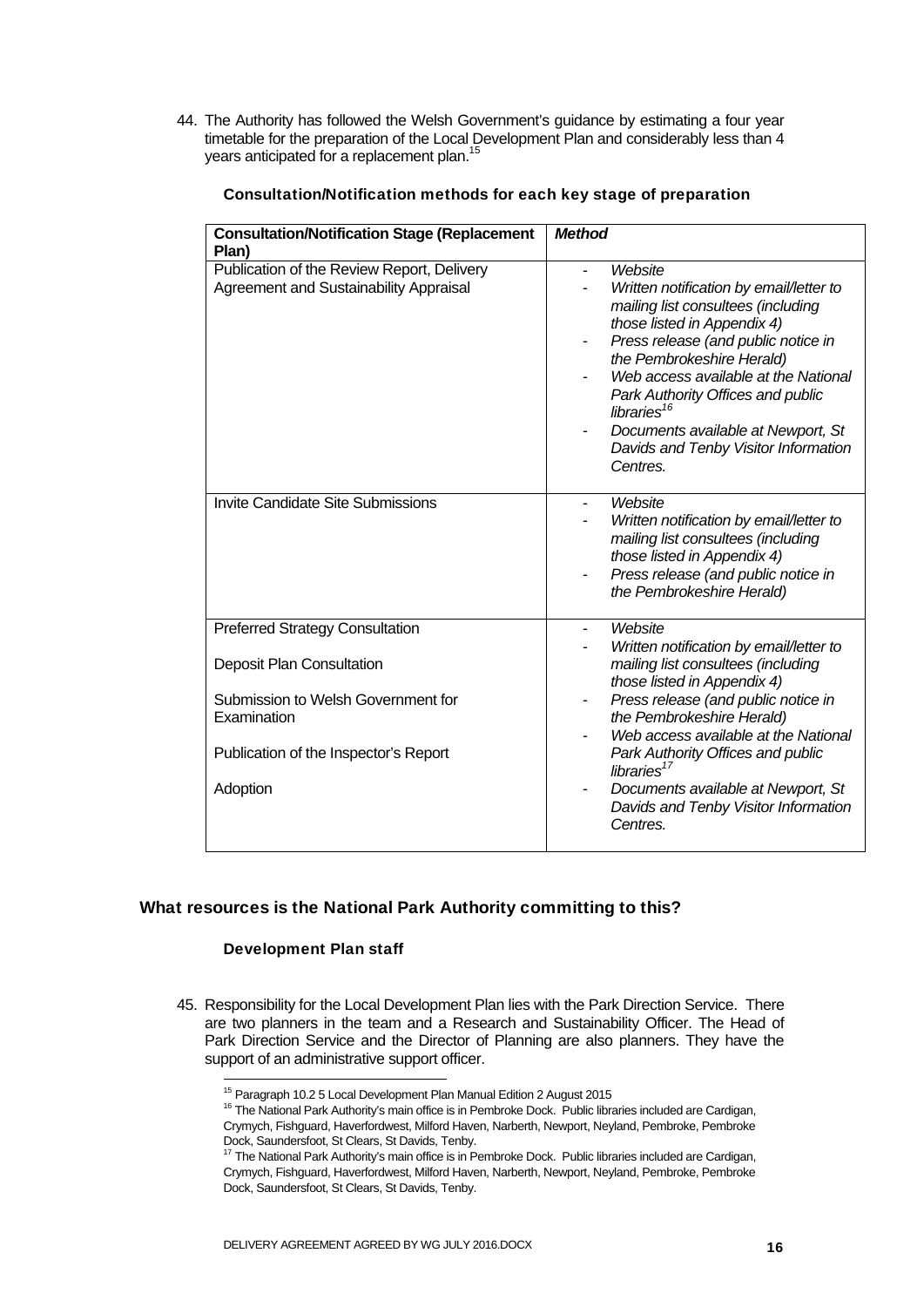44. The Authority has followed the Welsh Government's guidance by estimating a four year timetable for the preparation of the Local Development Plan and considerably less than 4 years anticipated for a replacement plan.<sup>15</sup>

| Website<br>Written notification by email/letter to<br>mailing list consultees (including<br>those listed in Appendix 4)<br>Press release (and public notice in<br>the Pembrokeshire Herald)<br>Web access available at the National<br>Park Authority Offices and public<br>libraries <sup>16</sup><br>Documents available at Newport, St<br>Davids and Tenby Visitor Information<br>Centres.       |
|-----------------------------------------------------------------------------------------------------------------------------------------------------------------------------------------------------------------------------------------------------------------------------------------------------------------------------------------------------------------------------------------------------|
| Website<br>$\overline{\phantom{0}}$<br>Written notification by email/letter to<br>mailing list consultees (including<br>those listed in Appendix 4)<br>Press release (and public notice in<br>the Pembrokeshire Herald)                                                                                                                                                                             |
| Website<br>ä,<br>Written notification by email/letter to<br>mailing list consultees (including<br>those listed in Appendix 4)<br>Press release (and public notice in<br>the Pembrokeshire Herald)<br>Web access available at the National<br>Park Authority Offices and public<br>libraries <sup>17</sup><br>Documents available at Newport, St<br>Davids and Tenby Visitor Information<br>Centres. |
|                                                                                                                                                                                                                                                                                                                                                                                                     |

#### Consultation/Notification methods for each key stage of preparation

#### What resources is the National Park Authority committing to this?

#### Development Plan staff

1

45. Responsibility for the Local Development Plan lies with the Park Direction Service. There are two planners in the team and a Research and Sustainability Officer. The Head of Park Direction Service and the Director of Planning are also planners. They have the support of an administrative support officer.

<sup>&</sup>lt;sup>15</sup> Paragraph 10.2 5 Local Development Plan Manual Edition 2 August 2015

<sup>&</sup>lt;sup>16</sup> The National Park Authority's main office is in Pembroke Dock. Public libraries included are Cardigan, Crymych, Fishguard, Haverfordwest, Milford Haven, Narberth, Newport, Neyland, Pembroke, Pembroke Dock, Saundersfoot, St Clears, St Davids, Tenby.

 $17$  The National Park Authority's main office is in Pembroke Dock. Public libraries included are Cardigan, Crymych, Fishguard, Haverfordwest, Milford Haven, Narberth, Newport, Neyland, Pembroke, Pembroke Dock, Saundersfoot, St Clears, St Davids, Tenby.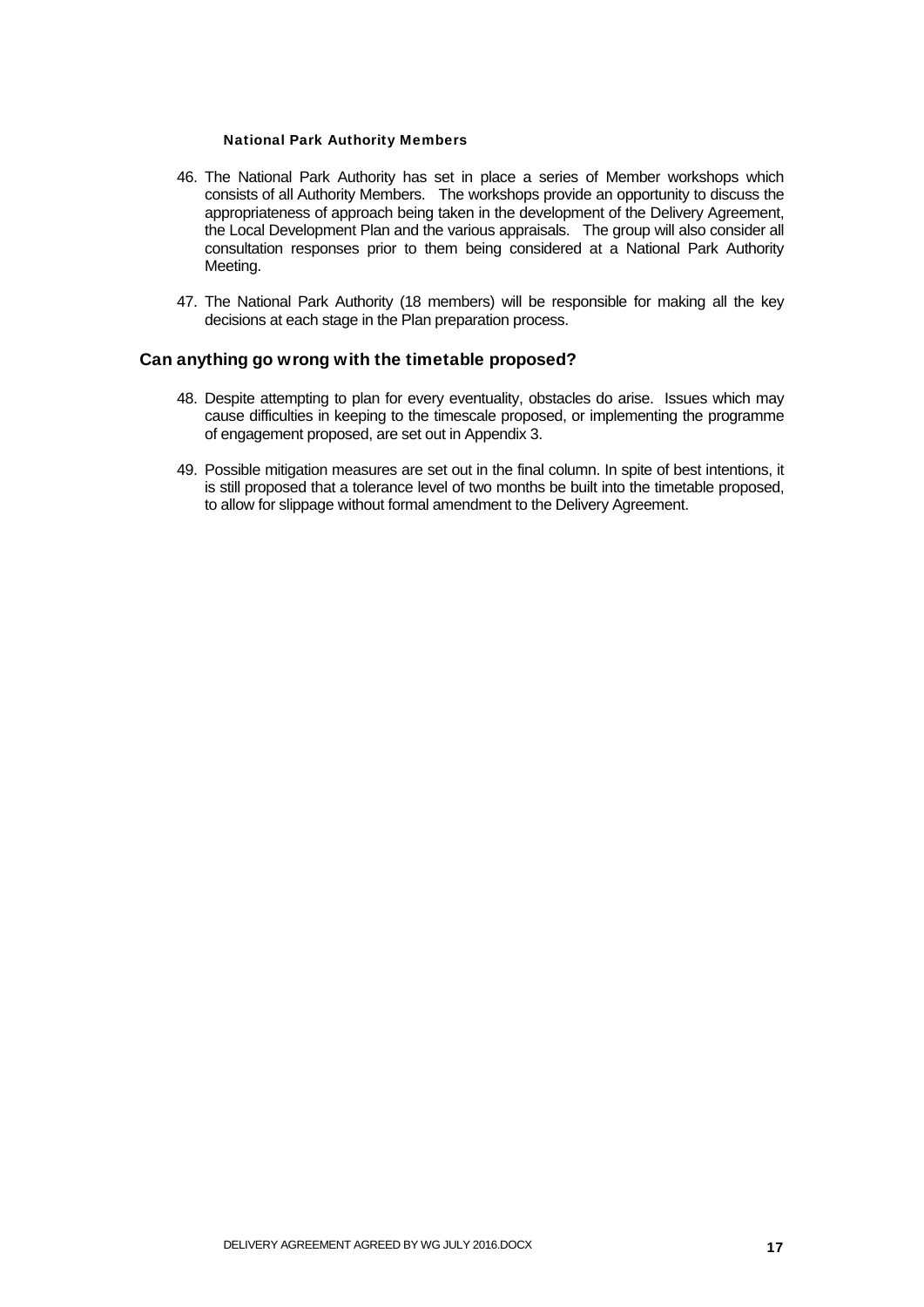#### National Park Authority Members

- 46. The National Park Authority has set in place a series of Member workshops which consists of all Authority Members. The workshops provide an opportunity to discuss the appropriateness of approach being taken in the development of the Delivery Agreement, the Local Development Plan and the various appraisals. The group will also consider all consultation responses prior to them being considered at a National Park Authority Meeting.
- 47. The National Park Authority (18 members) will be responsible for making all the key decisions at each stage in the Plan preparation process.

#### Can anything go wrong with the timetable proposed?

- 48. Despite attempting to plan for every eventuality, obstacles do arise. Issues which may cause difficulties in keeping to the timescale proposed, or implementing the programme of engagement proposed, are set out in Appendix 3.
- 49. Possible mitigation measures are set out in the final column. In spite of best intentions, it is still proposed that a tolerance level of two months be built into the timetable proposed, to allow for slippage without formal amendment to the Delivery Agreement.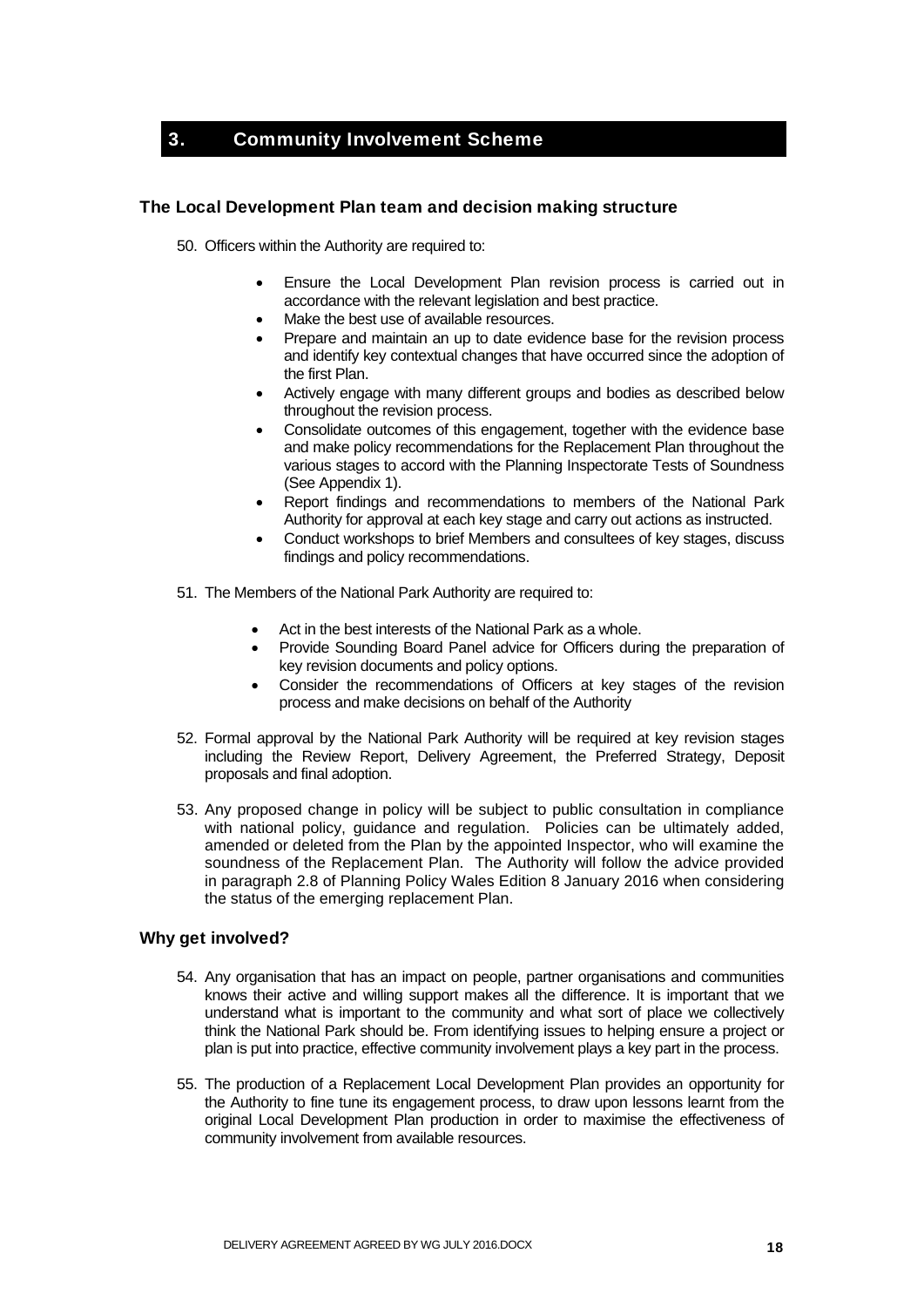### 3. Community Involvement Scheme

#### The Local Development Plan team and decision making structure

50. Officers within the Authority are required to:

- Ensure the Local Development Plan revision process is carried out in accordance with the relevant legislation and best practice.
- Make the best use of available resources.
- Prepare and maintain an up to date evidence base for the revision process and identify key contextual changes that have occurred since the adoption of the first Plan.
- Actively engage with many different groups and bodies as described below throughout the revision process.
- Consolidate outcomes of this engagement, together with the evidence base and make policy recommendations for the Replacement Plan throughout the various stages to accord with the Planning Inspectorate Tests of Soundness (See Appendix 1).
- Report findings and recommendations to members of the National Park Authority for approval at each key stage and carry out actions as instructed.
- Conduct workshops to brief Members and consultees of key stages, discuss findings and policy recommendations.
- 51. The Members of the National Park Authority are required to:
	- Act in the best interests of the National Park as a whole.
	- Provide Sounding Board Panel advice for Officers during the preparation of key revision documents and policy options.
	- Consider the recommendations of Officers at key stages of the revision process and make decisions on behalf of the Authority
- 52. Formal approval by the National Park Authority will be required at key revision stages including the Review Report, Delivery Agreement, the Preferred Strategy, Deposit proposals and final adoption.
- 53. Any proposed change in policy will be subject to public consultation in compliance with national policy, guidance and regulation. Policies can be ultimately added, amended or deleted from the Plan by the appointed Inspector, who will examine the soundness of the Replacement Plan. The Authority will follow the advice provided in paragraph 2.8 of Planning Policy Wales Edition 8 January 2016 when considering the status of the emerging replacement Plan.

#### Why get involved?

- 54. Any organisation that has an impact on people, partner organisations and communities knows their active and willing support makes all the difference. It is important that we understand what is important to the community and what sort of place we collectively think the National Park should be. From identifying issues to helping ensure a project or plan is put into practice, effective community involvement plays a key part in the process.
- 55. The production of a Replacement Local Development Plan provides an opportunity for the Authority to fine tune its engagement process, to draw upon lessons learnt from the original Local Development Plan production in order to maximise the effectiveness of community involvement from available resources.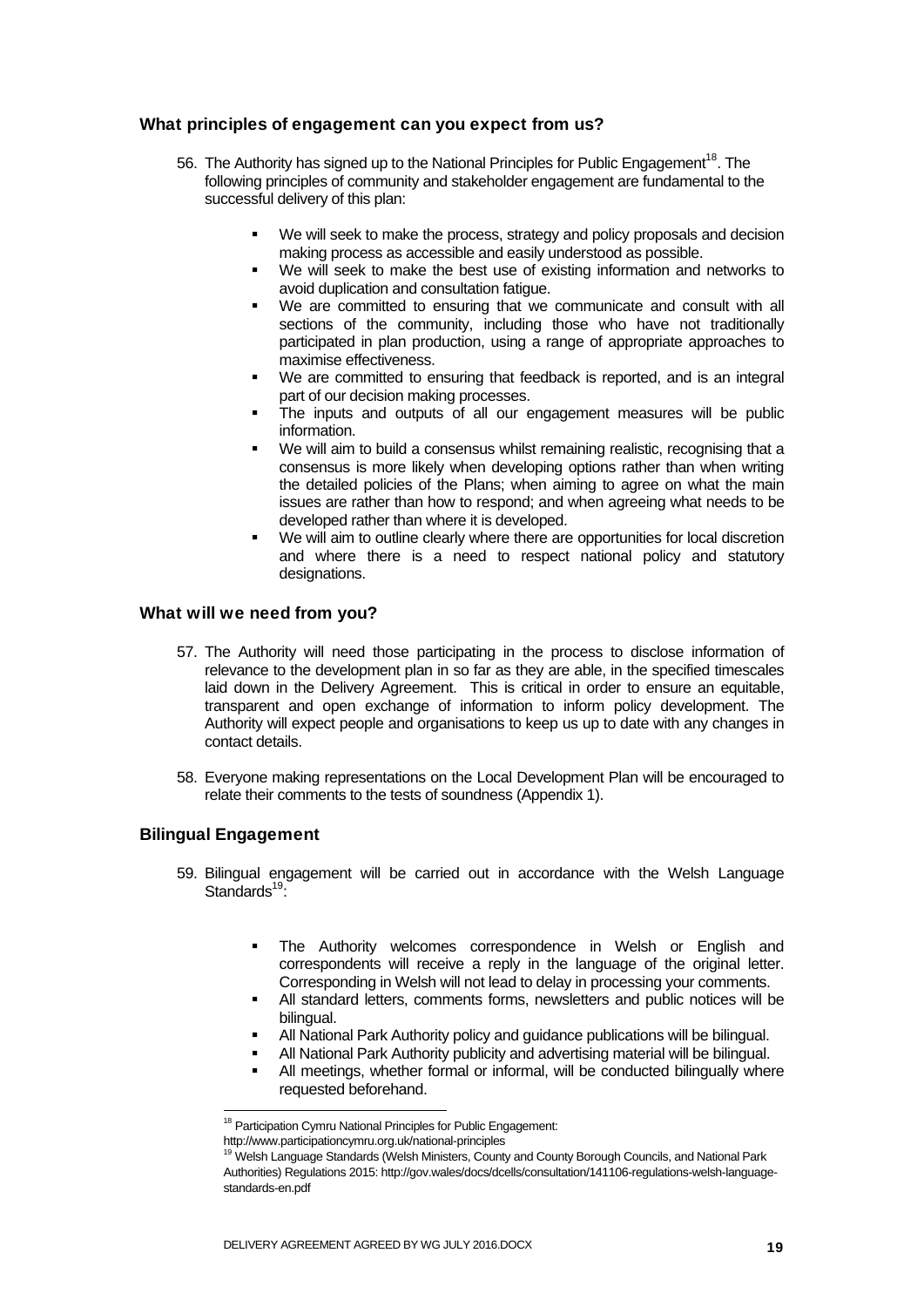#### What principles of engagement can you expect from us?

- 56. The Authority has signed up to the National Principles for Public Engagement<sup>18</sup>. The following principles of community and stakeholder engagement are fundamental to the successful delivery of this plan:
	- We will seek to make the process, strategy and policy proposals and decision making process as accessible and easily understood as possible.
	- We will seek to make the best use of existing information and networks to avoid duplication and consultation fatigue.
	- We are committed to ensuring that we communicate and consult with all sections of the community, including those who have not traditionally participated in plan production, using a range of appropriate approaches to maximise effectiveness.
	- We are committed to ensuring that feedback is reported, and is an integral part of our decision making processes.
	- The inputs and outputs of all our engagement measures will be public information.
	- We will aim to build a consensus whilst remaining realistic, recognising that a consensus is more likely when developing options rather than when writing the detailed policies of the Plans; when aiming to agree on what the main issues are rather than how to respond; and when agreeing what needs to be developed rather than where it is developed.
	- We will aim to outline clearly where there are opportunities for local discretion and where there is a need to respect national policy and statutory designations.

#### What will we need from you?

- 57. The Authority will need those participating in the process to disclose information of relevance to the development plan in so far as they are able, in the specified timescales laid down in the Delivery Agreement. This is critical in order to ensure an equitable, transparent and open exchange of information to inform policy development. The Authority will expect people and organisations to keep us up to date with any changes in contact details.
- 58. Everyone making representations on the Local Development Plan will be encouraged to relate their comments to the tests of soundness (Appendix 1).

#### Bilingual Engagement

- 59. Bilingual engagement will be carried out in accordance with the Welsh Language Standards<sup>19.</sup>
	- The Authority welcomes correspondence in Welsh or English and correspondents will receive a reply in the language of the original letter. Corresponding in Welsh will not lead to delay in processing your comments.
	- All standard letters, comments forms, newsletters and public notices will be bilingual.
	- All National Park Authority policy and guidance publications will be bilingual.
	- All National Park Authority publicity and advertising material will be bilingual.
	- All meetings, whether formal or informal, will be conducted bilingually where requested beforehand.

<sup>&</sup>lt;sup>18</sup> Participation Cymru National Principles for Public Engagement:

http://www.participationcymru.org.uk/national-principles

<sup>&</sup>lt;sup>19</sup> Welsh Language Standards (Welsh Ministers, County and County Borough Councils, and National Park Authorities) Regulations 2015: http://gov.wales/docs/dcells/consultation/141106-regulations-welsh-languagestandards-en.pdf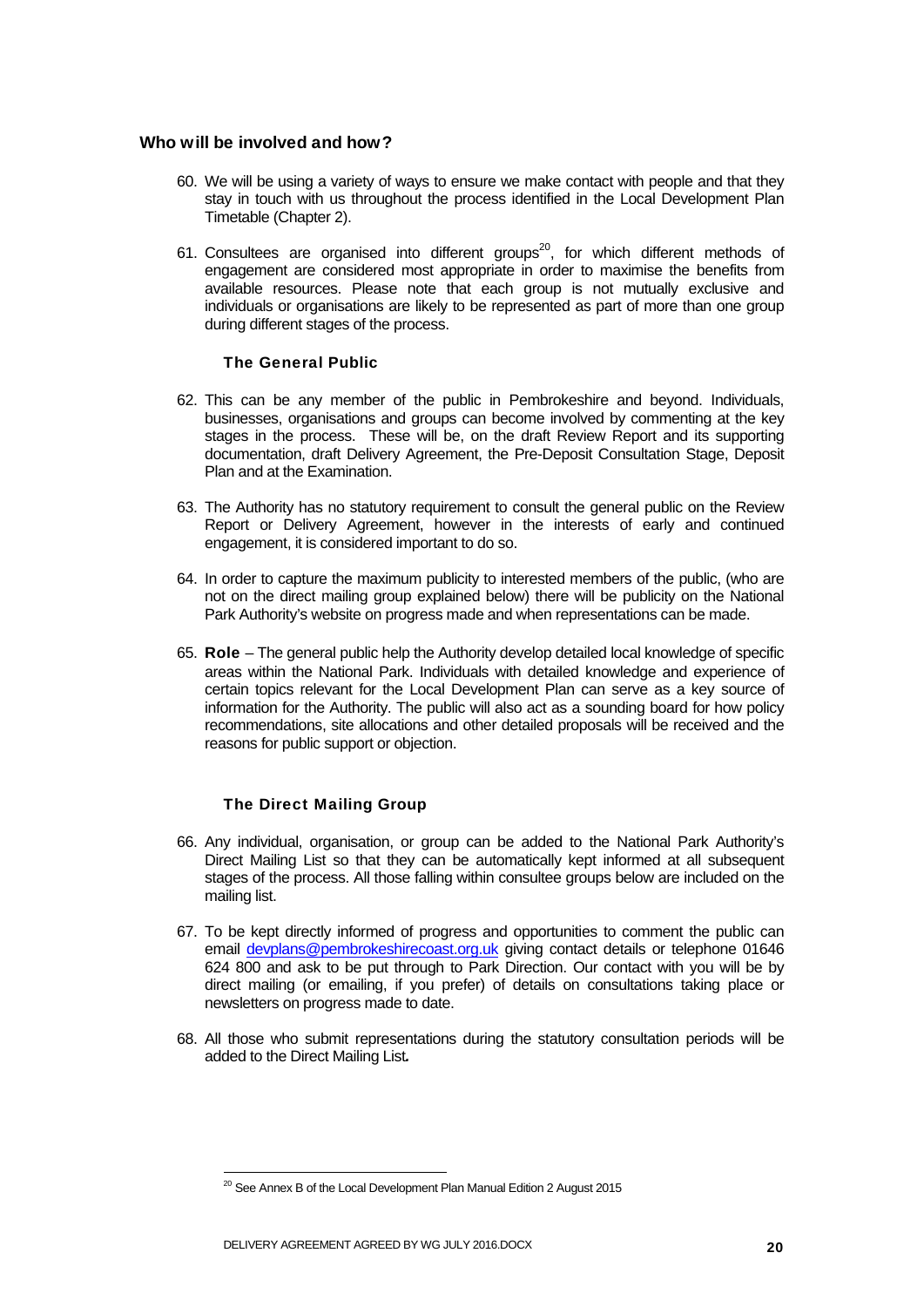#### Who will be involved and how?

- 60. We will be using a variety of ways to ensure we make contact with people and that they stay in touch with us throughout the process identified in the Local Development Plan Timetable (Chapter 2).
- 61. Consultees are organised into different groups<sup>20</sup>, for which different methods of engagement are considered most appropriate in order to maximise the benefits from available resources. Please note that each group is not mutually exclusive and individuals or organisations are likely to be represented as part of more than one group during different stages of the process.

#### The General Public

- 62. This can be any member of the public in Pembrokeshire and beyond. Individuals, businesses, organisations and groups can become involved by commenting at the key stages in the process. These will be, on the draft Review Report and its supporting documentation, draft Delivery Agreement, the Pre-Deposit Consultation Stage, Deposit Plan and at the Examination.
- 63. The Authority has no statutory requirement to consult the general public on the Review Report or Delivery Agreement, however in the interests of early and continued engagement, it is considered important to do so.
- 64. In order to capture the maximum publicity to interested members of the public, (who are not on the direct mailing group explained below) there will be publicity on the National Park Authority's website on progress made and when representations can be made.
- 65. Role The general public help the Authority develop detailed local knowledge of specific areas within the National Park. Individuals with detailed knowledge and experience of certain topics relevant for the Local Development Plan can serve as a key source of information for the Authority. The public will also act as a sounding board for how policy recommendations, site allocations and other detailed proposals will be received and the reasons for public support or objection.

#### The Direct Mailing Group

- 66. Any individual, organisation, or group can be added to the National Park Authority's Direct Mailing List so that they can be automatically kept informed at all subsequent stages of the process. All those falling within consultee groups below are included on the mailing list.
- 67. To be kept directly informed of progress and opportunities to comment the public can email devplans@pembrokeshirecoast.org.uk giving contact details or telephone 01646 624 800 and ask to be put through to Park Direction. Our contact with you will be by direct mailing (or emailing, if you prefer) of details on consultations taking place or newsletters on progress made to date.
- 68. All those who submit representations during the statutory consultation periods will be added to the Direct Mailing List*.*

 $20$  See Annex B of the Local Development Plan Manual Edition 2 August 2015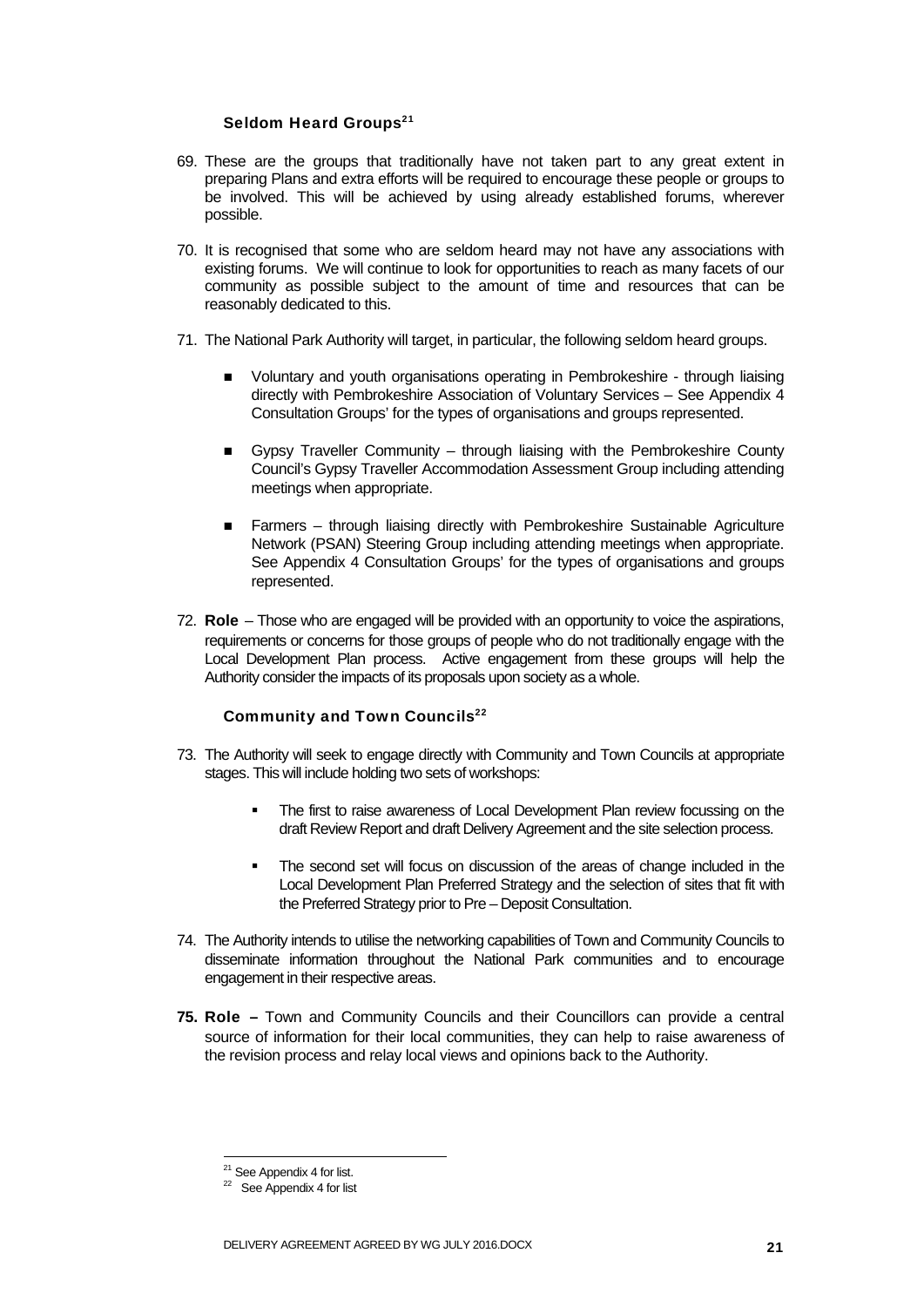#### Seldom Heard Groups<sup>21</sup>

- 69. These are the groups that traditionally have not taken part to any great extent in preparing Plans and extra efforts will be required to encourage these people or groups to be involved. This will be achieved by using already established forums, wherever possible.
- 70. It is recognised that some who are seldom heard may not have any associations with existing forums. We will continue to look for opportunities to reach as many facets of our community as possible subject to the amount of time and resources that can be reasonably dedicated to this.
- 71. The National Park Authority will target, in particular, the following seldom heard groups.
	- Voluntary and youth organisations operating in Pembrokeshire through liaising directly with Pembrokeshire Association of Voluntary Services – See Appendix 4 Consultation Groups' for the types of organisations and groups represented.
	- Gypsy Traveller Community through liaising with the Pembrokeshire County Council's Gypsy Traveller Accommodation Assessment Group including attending meetings when appropriate.
	- Farmers through liaising directly with Pembrokeshire Sustainable Agriculture Network (PSAN) Steering Group including attending meetings when appropriate. See Appendix 4 Consultation Groups' for the types of organisations and groups represented.
- 72. Role Those who are engaged will be provided with an opportunity to voice the aspirations, requirements or concerns for those groups of people who do not traditionally engage with the Local Development Plan process. Active engagement from these groups will help the Authority consider the impacts of its proposals upon society as a whole.

#### Community and Town Councils<sup>22</sup>

- 73. The Authority will seek to engage directly with Community and Town Councils at appropriate stages. This will include holding two sets of workshops:
	- The first to raise awareness of Local Development Plan review focussing on the draft Review Report and draft Delivery Agreement and the site selection process.
	- The second set will focus on discussion of the areas of change included in the Local Development Plan Preferred Strategy and the selection of sites that fit with the Preferred Strategy prior to Pre – Deposit Consultation.
- 74. The Authority intends to utilise the networking capabilities of Town and Community Councils to disseminate information throughout the National Park communities and to encourage engagement in their respective areas.
- **75.** Role Town and Community Councils and their Councillors can provide a central source of information for their local communities, they can help to raise awareness of the revision process and relay local views and opinions back to the Authority.

<sup>&</sup>lt;sup>21</sup> See Appendix 4 for list.

 $22$  See Appendix 4 for list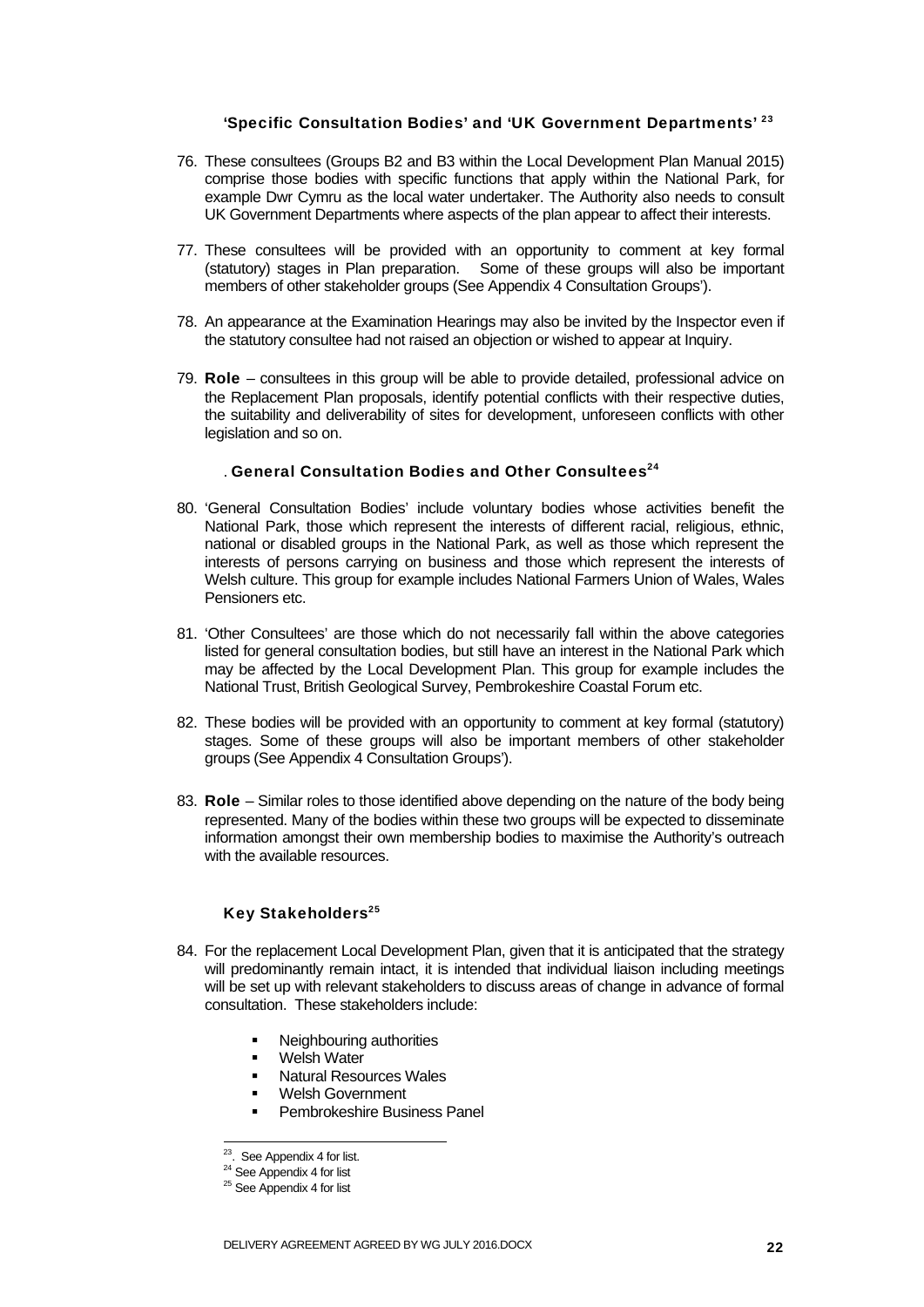#### 'Specific Consultation Bodies' and 'UK Government Departments' 23

- 76. These consultees (Groups B2 and B3 within the Local Development Plan Manual 2015) comprise those bodies with specific functions that apply within the National Park, for example Dwr Cymru as the local water undertaker. The Authority also needs to consult UK Government Departments where aspects of the plan appear to affect their interests.
- 77. These consultees will be provided with an opportunity to comment at key formal (statutory) stages in Plan preparation. Some of these groups will also be important members of other stakeholder groups (See Appendix 4 Consultation Groups').
- 78. An appearance at the Examination Hearings may also be invited by the Inspector even if the statutory consultee had not raised an objection or wished to appear at Inquiry.
- 79. Role consultees in this group will be able to provide detailed, professional advice on the Replacement Plan proposals, identify potential conflicts with their respective duties, the suitability and deliverability of sites for development, unforeseen conflicts with other legislation and so on.

### . General Consultation Bodies and Other Consultees<sup>24</sup>

- 80. 'General Consultation Bodies' include voluntary bodies whose activities benefit the National Park, those which represent the interests of different racial, religious, ethnic, national or disabled groups in the National Park, as well as those which represent the interests of persons carrying on business and those which represent the interests of Welsh culture. This group for example includes National Farmers Union of Wales, Wales Pensioners etc.
- 81. 'Other Consultees' are those which do not necessarily fall within the above categories listed for general consultation bodies, but still have an interest in the National Park which may be affected by the Local Development Plan. This group for example includes the National Trust, British Geological Survey, Pembrokeshire Coastal Forum etc.
- 82. These bodies will be provided with an opportunity to comment at key formal (statutory) stages. Some of these groups will also be important members of other stakeholder groups (See Appendix 4 Consultation Groups').
- 83. Role Similar roles to those identified above depending on the nature of the body being represented. Many of the bodies within these two groups will be expected to disseminate information amongst their own membership bodies to maximise the Authority's outreach with the available resources.

#### Key Stakeholders<sup>25</sup>

- 84. For the replacement Local Development Plan, given that it is anticipated that the strategy will predominantly remain intact, it is intended that individual liaison including meetings will be set up with relevant stakeholders to discuss areas of change in advance of formal consultation. These stakeholders include:
	- Neighbouring authorities
	- **Welsh Water**
	- **Natural Resources Wales**
	- Welsh Government
	- Pembrokeshire Business Panel

-

<sup>&</sup>lt;sup>23</sup>. See Appendix 4 for list.

<sup>&</sup>lt;sup>24</sup> See Appendix 4 for list

 $25$  See Appendix 4 for list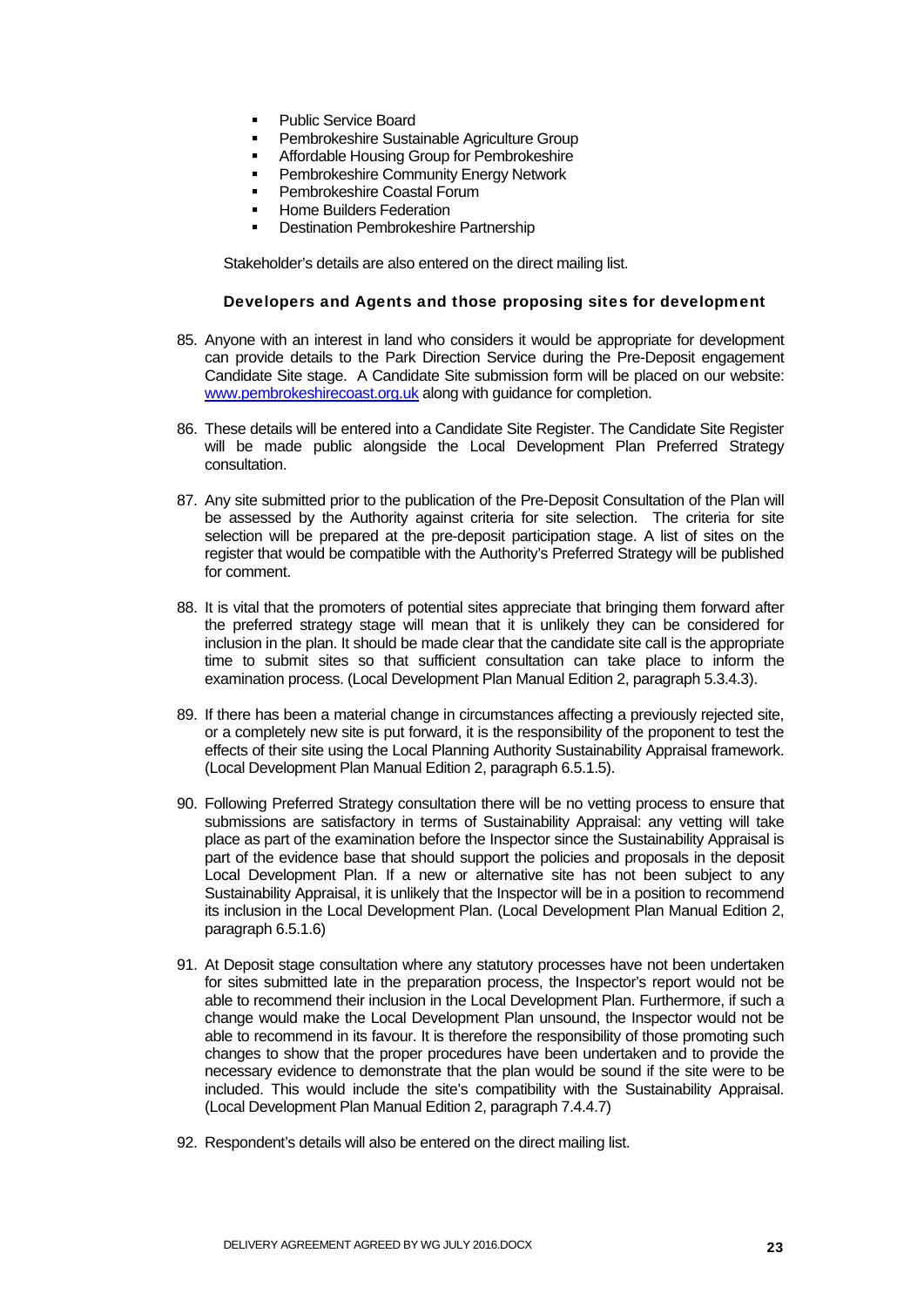- **Public Service Board**
- Pembrokeshire Sustainable Agriculture Group
- Affordable Housing Group for Pembrokeshire
- Pembrokeshire Community Energy Network
- Pembrokeshire Coastal Forum
- Home Builders Federation
- Destination Pembrokeshire Partnership

Stakeholder's details are also entered on the direct mailing list.

#### Developers and Agents and those proposing sites for development

- 85. Anyone with an interest in land who considers it would be appropriate for development can provide details to the Park Direction Service during the Pre-Deposit engagement Candidate Site stage. A Candidate Site submission form will be placed on our website: www.pembrokeshirecoast.org.uk along with guidance for completion.
- 86. These details will be entered into a Candidate Site Register. The Candidate Site Register will be made public alongside the Local Development Plan Preferred Strategy consultation.
- 87. Any site submitted prior to the publication of the Pre-Deposit Consultation of the Plan will be assessed by the Authority against criteria for site selection. The criteria for site selection will be prepared at the pre-deposit participation stage. A list of sites on the register that would be compatible with the Authority's Preferred Strategy will be published for comment.
- 88. It is vital that the promoters of potential sites appreciate that bringing them forward after the preferred strategy stage will mean that it is unlikely they can be considered for inclusion in the plan. It should be made clear that the candidate site call is the appropriate time to submit sites so that sufficient consultation can take place to inform the examination process. (Local Development Plan Manual Edition 2, paragraph 5.3.4.3).
- 89. If there has been a material change in circumstances affecting a previously rejected site, or a completely new site is put forward, it is the responsibility of the proponent to test the effects of their site using the Local Planning Authority Sustainability Appraisal framework. (Local Development Plan Manual Edition 2, paragraph 6.5.1.5).
- 90. Following Preferred Strategy consultation there will be no vetting process to ensure that submissions are satisfactory in terms of Sustainability Appraisal: any vetting will take place as part of the examination before the Inspector since the Sustainability Appraisal is part of the evidence base that should support the policies and proposals in the deposit Local Development Plan. If a new or alternative site has not been subject to any Sustainability Appraisal, it is unlikely that the Inspector will be in a position to recommend its inclusion in the Local Development Plan. (Local Development Plan Manual Edition 2, paragraph 6.5.1.6)
- 91. At Deposit stage consultation where any statutory processes have not been undertaken for sites submitted late in the preparation process, the Inspector's report would not be able to recommend their inclusion in the Local Development Plan. Furthermore, if such a change would make the Local Development Plan unsound, the Inspector would not be able to recommend in its favour. It is therefore the responsibility of those promoting such changes to show that the proper procedures have been undertaken and to provide the necessary evidence to demonstrate that the plan would be sound if the site were to be included. This would include the site's compatibility with the Sustainability Appraisal. (Local Development Plan Manual Edition 2, paragraph 7.4.4.7)
- 92. Respondent's details will also be entered on the direct mailing list.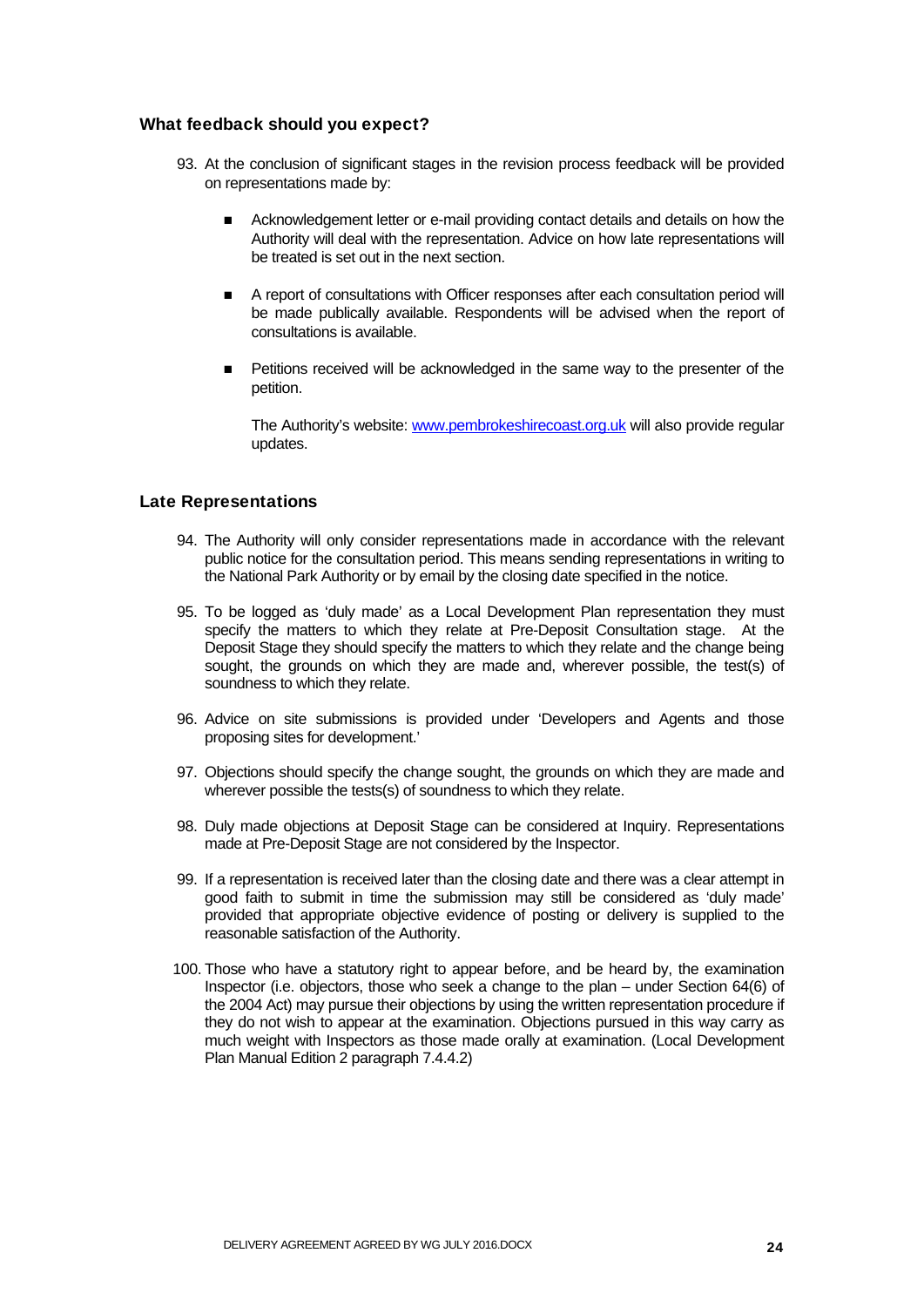#### What feedback should you expect?

- 93. At the conclusion of significant stages in the revision process feedback will be provided on representations made by:
	- **Acknowledgement letter or e-mail providing contact details and details on how the** Authority will deal with the representation. Advice on how late representations will be treated is set out in the next section.
	- A report of consultations with Officer responses after each consultation period will be made publically available. Respondents will be advised when the report of consultations is available.
	- Petitions received will be acknowledged in the same way to the presenter of the petition.

The Authority's website: www.pembrokeshirecoast.org.uk will also provide regular updates.

#### Late Representations

- 94. The Authority will only consider representations made in accordance with the relevant public notice for the consultation period. This means sending representations in writing to the National Park Authority or by email by the closing date specified in the notice.
- 95. To be logged as 'duly made' as a Local Development Plan representation they must specify the matters to which they relate at Pre-Deposit Consultation stage. At the Deposit Stage they should specify the matters to which they relate and the change being sought, the grounds on which they are made and, wherever possible, the test(s) of soundness to which they relate.
- 96. Advice on site submissions is provided under 'Developers and Agents and those proposing sites for development.'
- 97. Objections should specify the change sought, the grounds on which they are made and wherever possible the tests(s) of soundness to which they relate.
- 98. Duly made objections at Deposit Stage can be considered at Inquiry. Representations made at Pre-Deposit Stage are not considered by the Inspector.
- 99. If a representation is received later than the closing date and there was a clear attempt in good faith to submit in time the submission may still be considered as 'duly made' provided that appropriate objective evidence of posting or delivery is supplied to the reasonable satisfaction of the Authority.
- 100. Those who have a statutory right to appear before, and be heard by, the examination Inspector (i.e. objectors, those who seek a change to the plan – under Section 64(6) of the 2004 Act) may pursue their objections by using the written representation procedure if they do not wish to appear at the examination. Objections pursued in this way carry as much weight with Inspectors as those made orally at examination. (Local Development Plan Manual Edition 2 paragraph 7.4.4.2)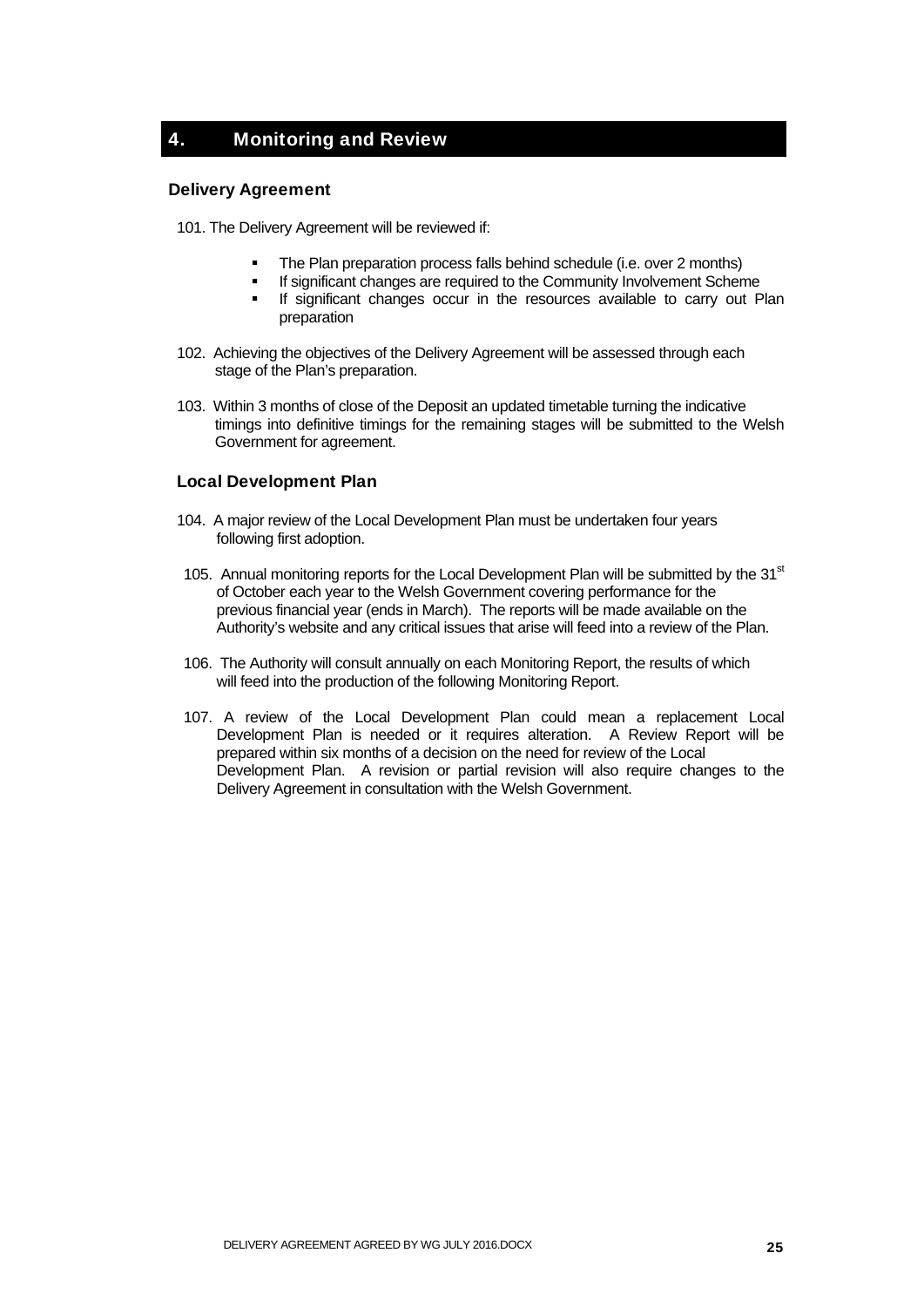## 4. Monitoring and Review

#### Delivery Agreement

101. The Delivery Agreement will be reviewed if:

- The Plan preparation process falls behind schedule (i.e. over 2 months)
- If significant changes are required to the Community Involvement Scheme
- **If significant changes occur in the resources available to carry out Plan** preparation
- 102. Achieving the objectives of the Delivery Agreement will be assessed through each stage of the Plan's preparation.
- 103. Within 3 months of close of the Deposit an updated timetable turning the indicative timings into definitive timings for the remaining stages will be submitted to the Welsh Government for agreement.

### Local Development Plan

- 104. A major review of the Local Development Plan must be undertaken four years following first adoption.
- 105. Annual monitoring reports for the Local Development Plan will be submitted by the  $31<sup>st</sup>$ of October each year to the Welsh Government covering performance for the previous financial year (ends in March). The reports will be made available on the Authority's website and any critical issues that arise will feed into a review of the Plan.
- 106. The Authority will consult annually on each Monitoring Report, the results of which will feed into the production of the following Monitoring Report.
- 107. A review of the Local Development Plan could mean a replacement Local Development Plan is needed or it requires alteration. A Review Report will be prepared within six months of a decision on the need for review of the Local Development Plan. A revision or partial revision will also require changes to the Delivery Agreement in consultation with the Welsh Government.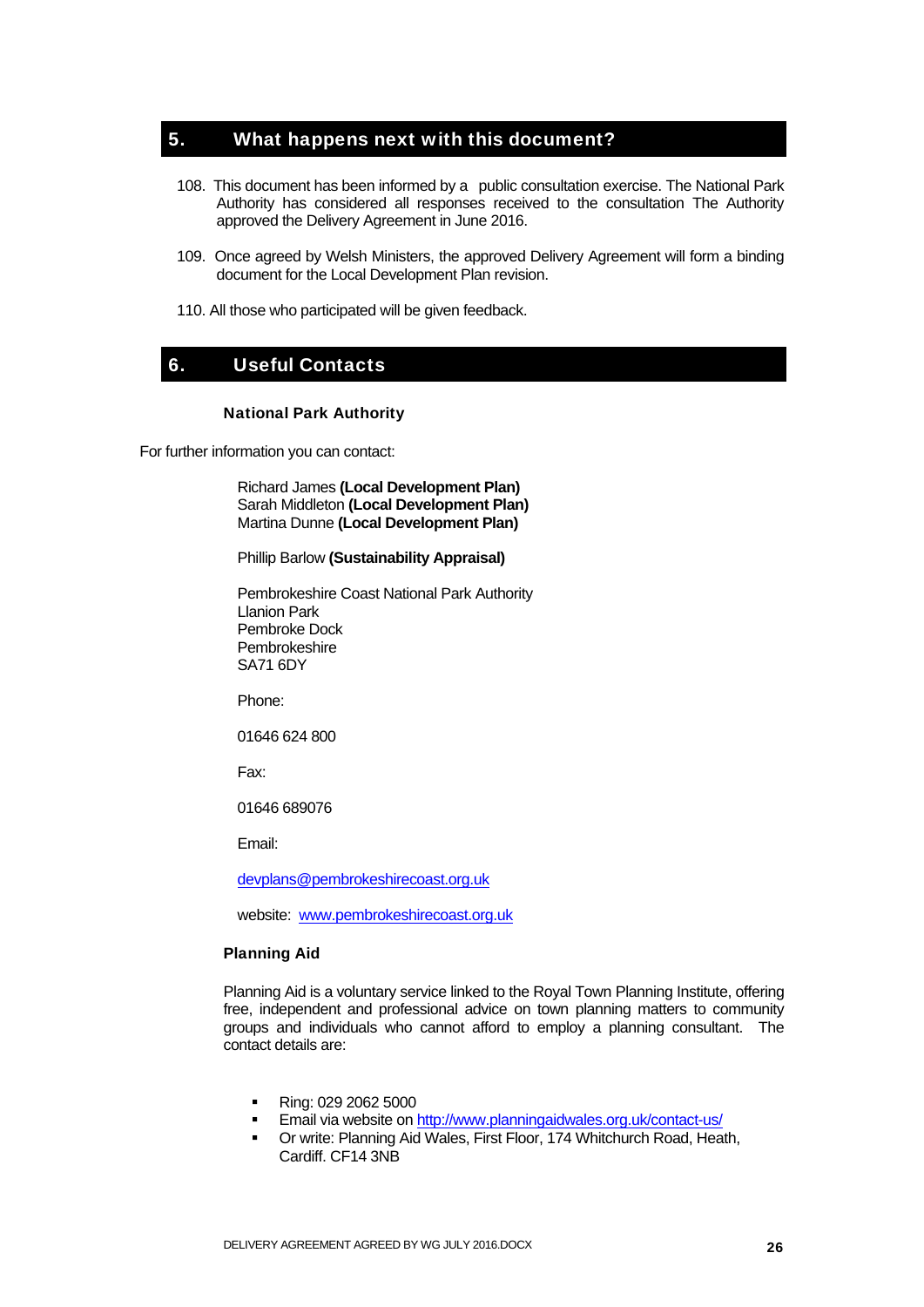## 5. What happens next with this document?

- 108. This document has been informed by a public consultation exercise. The National Park Authority has considered all responses received to the consultation The Authority approved the Delivery Agreement in June 2016.
- 109. Once agreed by Welsh Ministers, the approved Delivery Agreement will form a binding document for the Local Development Plan revision.
- 110. All those who participated will be given feedback.

## 6. Useful Contacts

#### National Park Authority

For further information you can contact:

Richard James **(Local Development Plan)**  Sarah Middleton **(Local Development Plan)**  Martina Dunne **(Local Development Plan)** 

#### Phillip Barlow **(Sustainability Appraisal)**

Pembrokeshire Coast National Park Authority Llanion Park Pembroke Dock Pembrokeshire SA71 6DY

Phone:

01646 624 800

Fax:

01646 689076

Email:

devplans@pembrokeshirecoast.org.uk

website: www.pembrokeshirecoast.org.uk

#### Planning Aid

Planning Aid is a voluntary service linked to the Royal Town Planning Institute, offering free, independent and professional advice on town planning matters to community groups and individuals who cannot afford to employ a planning consultant. The contact details are:

- Ring: 029 2062 5000
- Email via website on http://www.planningaidwales.org.uk/contact-us/
- Or write: Planning Aid Wales, First Floor, 174 Whitchurch Road, Heath, Cardiff. CF14 3NB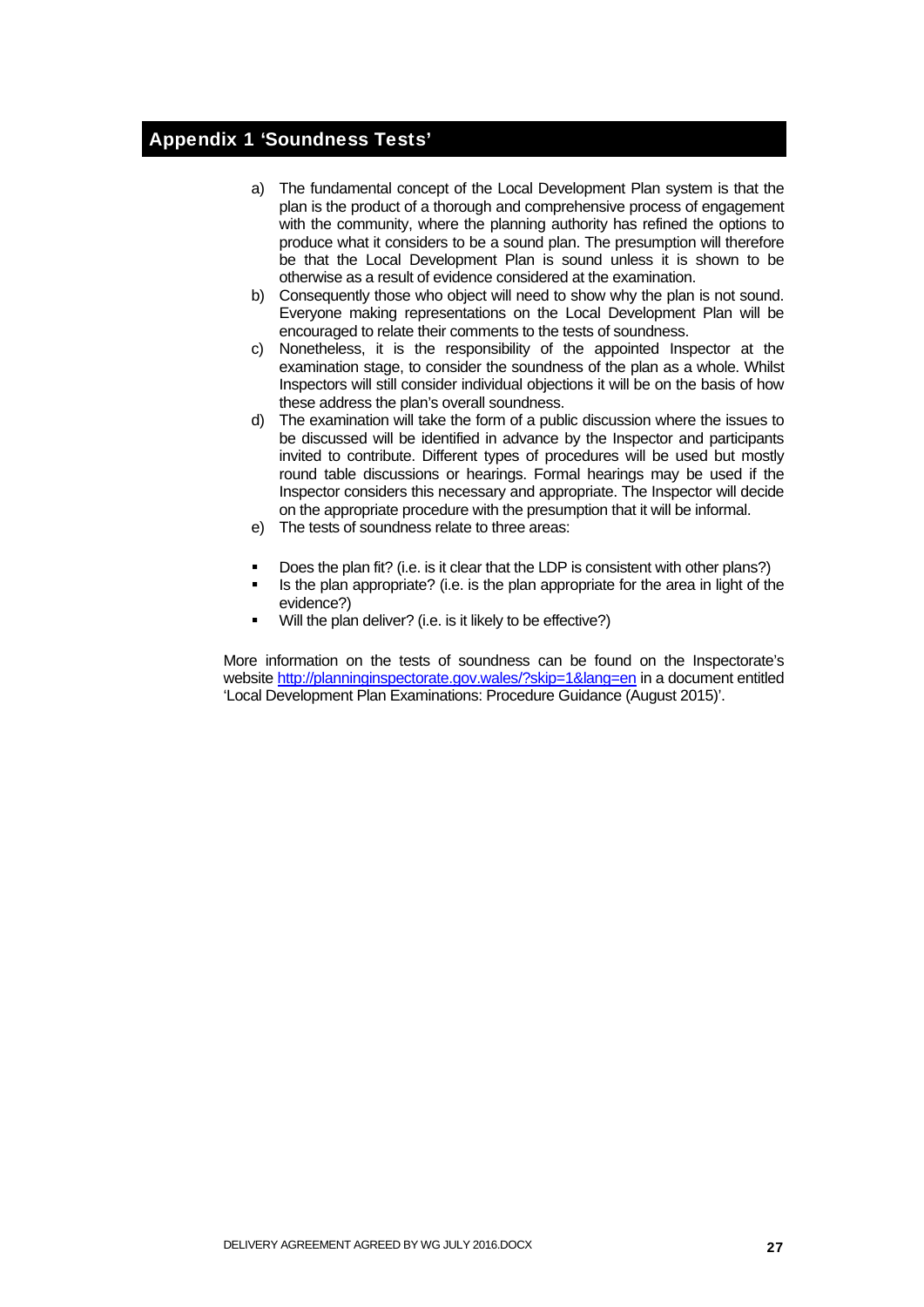## Appendix 1 'Soundness Tests'

- a) The fundamental concept of the Local Development Plan system is that the plan is the product of a thorough and comprehensive process of engagement with the community, where the planning authority has refined the options to produce what it considers to be a sound plan. The presumption will therefore be that the Local Development Plan is sound unless it is shown to be otherwise as a result of evidence considered at the examination.
- b) Consequently those who object will need to show why the plan is not sound. Everyone making representations on the Local Development Plan will be encouraged to relate their comments to the tests of soundness.
- c) Nonetheless, it is the responsibility of the appointed Inspector at the examination stage, to consider the soundness of the plan as a whole. Whilst Inspectors will still consider individual objections it will be on the basis of how these address the plan's overall soundness.
- d) The examination will take the form of a public discussion where the issues to be discussed will be identified in advance by the Inspector and participants invited to contribute. Different types of procedures will be used but mostly round table discussions or hearings. Formal hearings may be used if the Inspector considers this necessary and appropriate. The Inspector will decide on the appropriate procedure with the presumption that it will be informal.
- e) The tests of soundness relate to three areas:
- Does the plan fit? (i.e. is it clear that the LDP is consistent with other plans?)
- Is the plan appropriate? (i.e. is the plan appropriate for the area in light of the evidence?)
- Will the plan deliver? (i.e. is it likely to be effective?)

More information on the tests of soundness can be found on the Inspectorate's website http://planninginspectorate.gov.wales/?skip=1&lang=en in a document entitled 'Local Development Plan Examinations: Procedure Guidance (August 2015)'.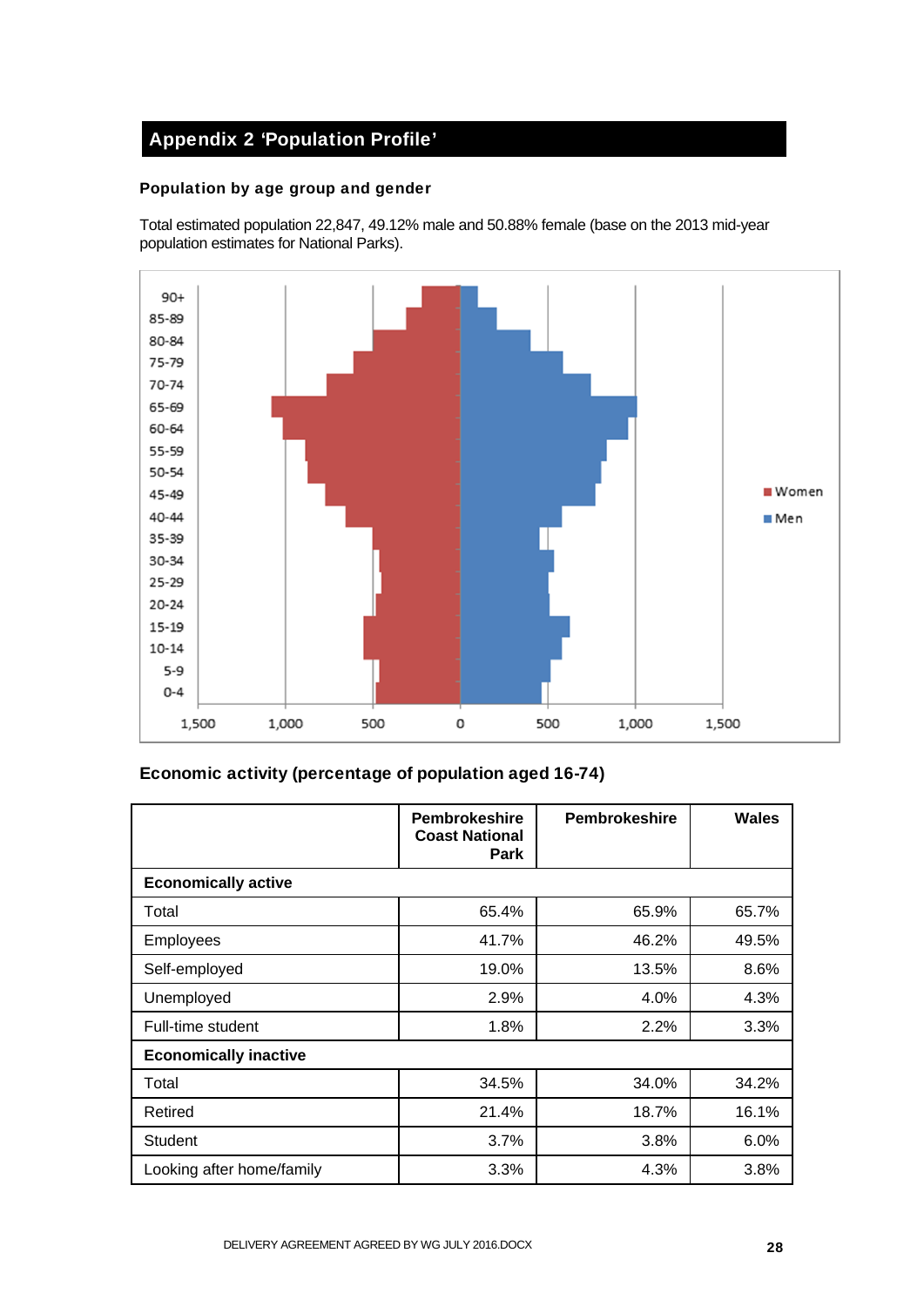## Appendix 2 'Population Profile'

### Population by age group and gender

Total estimated population 22,847, 49.12% male and 50.88% female (base on the 2013 mid-year population estimates for National Parks).



## Economic activity (percentage of population aged 16-74)

|                              | <b>Pembrokeshire</b><br><b>Coast National</b><br><b>Park</b> | <b>Pembrokeshire</b> | <b>Wales</b> |
|------------------------------|--------------------------------------------------------------|----------------------|--------------|
| <b>Economically active</b>   |                                                              |                      |              |
| Total                        | 65.4%                                                        | 65.9%                | 65.7%        |
| <b>Employees</b>             | 41.7%                                                        | 46.2%                | 49.5%        |
| Self-employed                | 19.0%                                                        | 13.5%                | 8.6%         |
| Unemployed                   | 2.9%                                                         | 4.0%                 | 4.3%         |
| Full-time student            | 1.8%                                                         | 2.2%                 | 3.3%         |
| <b>Economically inactive</b> |                                                              |                      |              |
| Total                        | 34.5%                                                        | 34.0%                | 34.2%        |
| Retired                      | 21.4%                                                        | 18.7%                | 16.1%        |
| <b>Student</b>               | 3.7%                                                         | 3.8%                 | 6.0%         |
| Looking after home/family    | 3.3%                                                         | 4.3%                 | 3.8%         |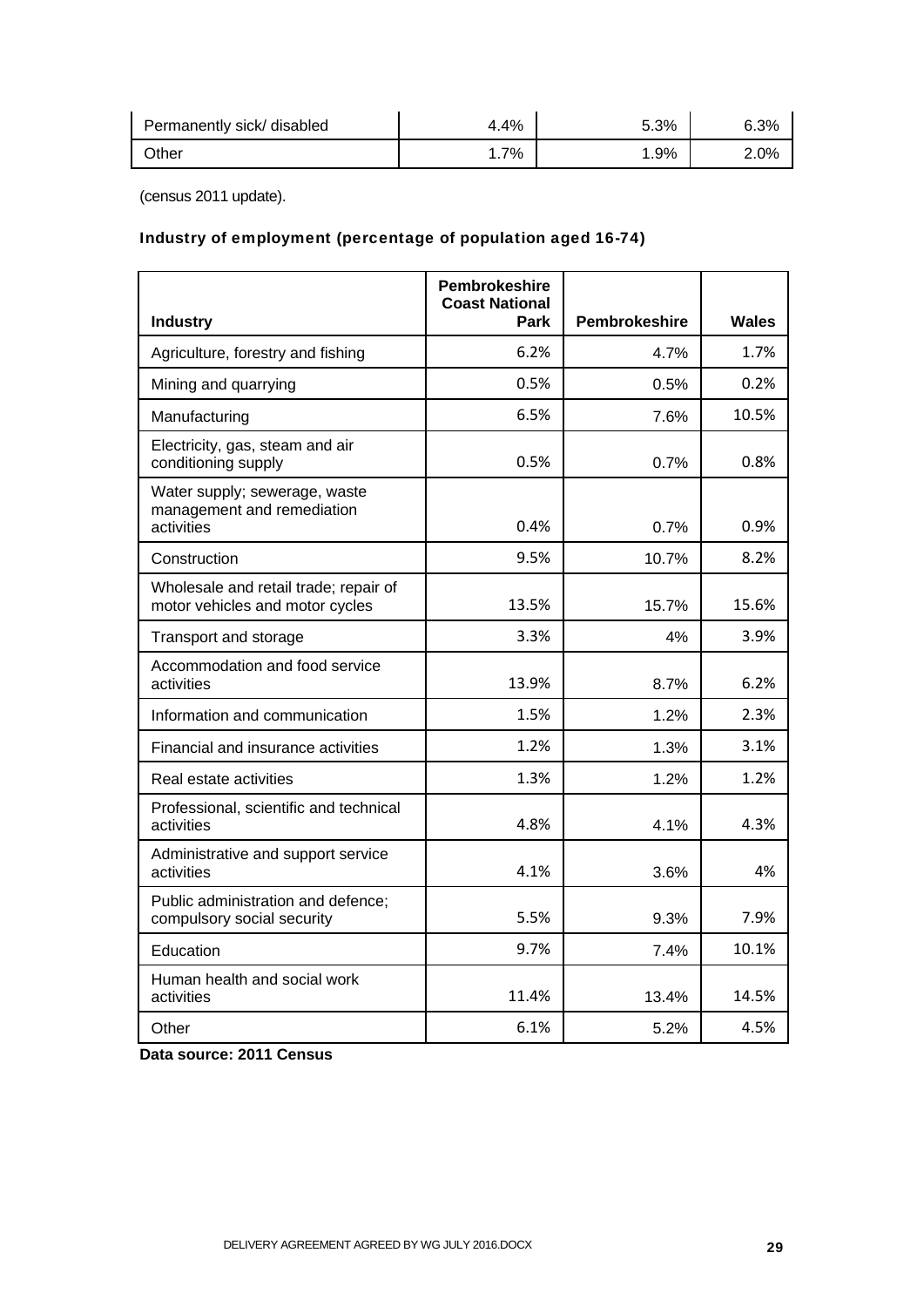| Permanently sick/ disabled | 4.4% | 5.3% | 6.3% |
|----------------------------|------|------|------|
| Other                      | 7%   | .9%  | 2.0% |

(census 2011 update).

## Industry of employment (percentage of population aged 16-74)

|                                                                           | <b>Pembrokeshire</b><br><b>Coast National</b> |                      |       |
|---------------------------------------------------------------------------|-----------------------------------------------|----------------------|-------|
| <b>Industry</b>                                                           | Park                                          | <b>Pembrokeshire</b> | Wales |
| Agriculture, forestry and fishing                                         | 6.2%                                          | 4.7%                 | 1.7%  |
| Mining and quarrying                                                      | 0.5%                                          | 0.5%                 | 0.2%  |
| Manufacturing                                                             | 6.5%                                          | 7.6%                 | 10.5% |
| Electricity, gas, steam and air<br>conditioning supply                    | 0.5%                                          | 0.7%                 | 0.8%  |
| Water supply; sewerage, waste<br>management and remediation<br>activities | 0.4%                                          | 0.7%                 | 0.9%  |
| Construction                                                              | 9.5%                                          | 10.7%                | 8.2%  |
| Wholesale and retail trade; repair of<br>motor vehicles and motor cycles  | 13.5%                                         | 15.7%                | 15.6% |
| Transport and storage                                                     | 3.3%                                          | 4%                   | 3.9%  |
| Accommodation and food service<br>activities                              | 13.9%                                         | 8.7%                 | 6.2%  |
| Information and communication                                             | 1.5%                                          | 1.2%                 | 2.3%  |
| Financial and insurance activities                                        | 1.2%                                          | 1.3%                 | 3.1%  |
| Real estate activities                                                    | 1.3%                                          | 1.2%                 | 1.2%  |
| Professional, scientific and technical<br>activities                      | 4.8%                                          | 4.1%                 | 4.3%  |
| Administrative and support service<br>activities                          | 4.1%                                          | 3.6%                 | 4%    |
| Public administration and defence;<br>compulsory social security          | 5.5%                                          | 9.3%                 | 7.9%  |
| Education                                                                 | 9.7%                                          | 7.4%                 | 10.1% |
| Human health and social work<br>activities                                | 11.4%                                         | 13.4%                | 14.5% |
| Other                                                                     | 6.1%                                          | 5.2%                 | 4.5%  |

**Data source: 2011 Census**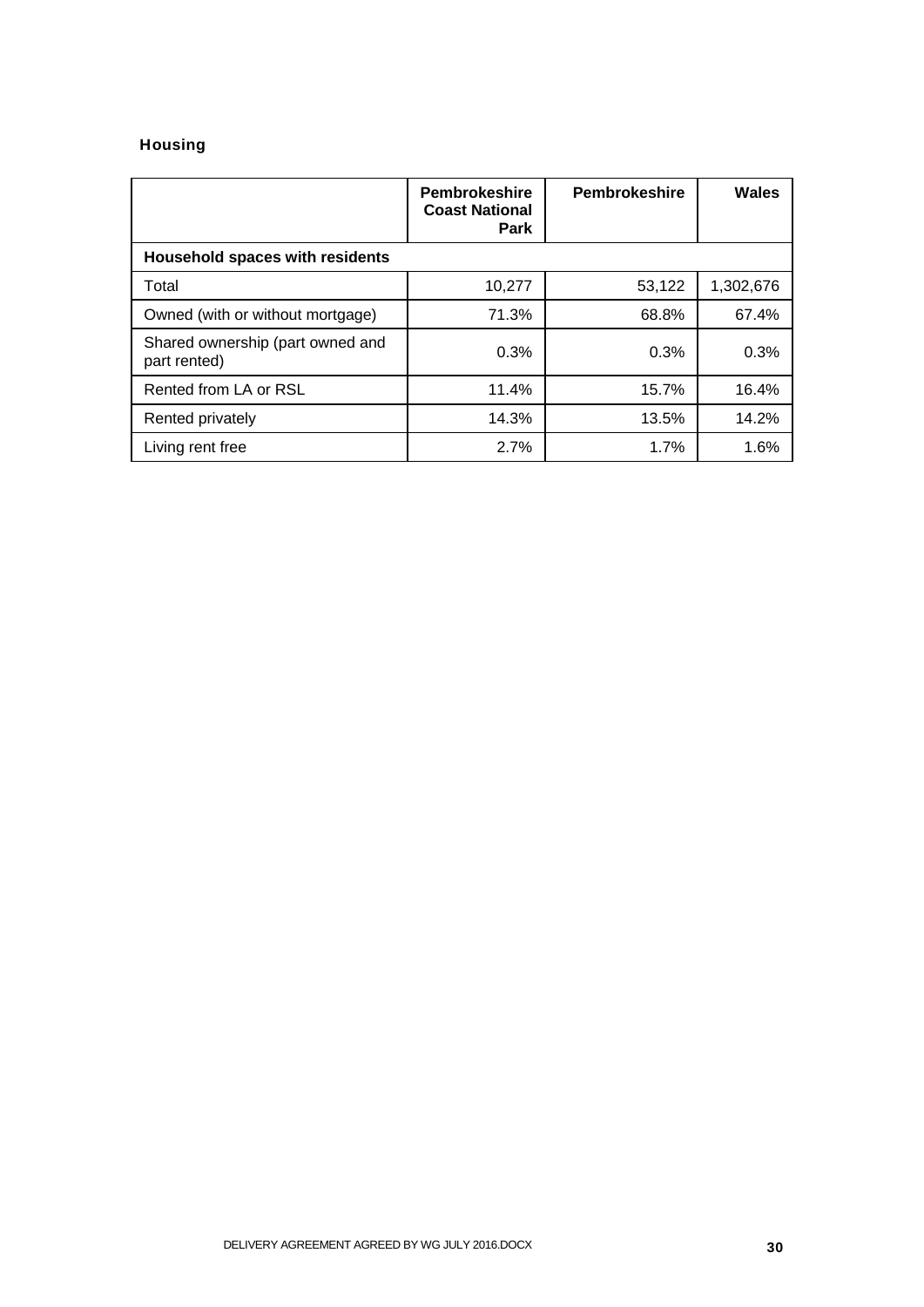### Housing

|                                                  | <b>Pembrokeshire</b><br><b>Coast National</b><br>Park | <b>Pembrokeshire</b> | Wales     |
|--------------------------------------------------|-------------------------------------------------------|----------------------|-----------|
| <b>Household spaces with residents</b>           |                                                       |                      |           |
| Total                                            | 10,277                                                | 53,122               | 1,302,676 |
| Owned (with or without mortgage)                 | 71.3%                                                 | 68.8%                | 67.4%     |
| Shared ownership (part owned and<br>part rented) | 0.3%                                                  | 0.3%                 | 0.3%      |
| Rented from LA or RSL                            | 11.4%                                                 | 15.7%                | 16.4%     |
| Rented privately                                 | 14.3%                                                 | 13.5%                | 14.2%     |
| Living rent free                                 | 2.7%                                                  | 1.7%                 | 1.6%      |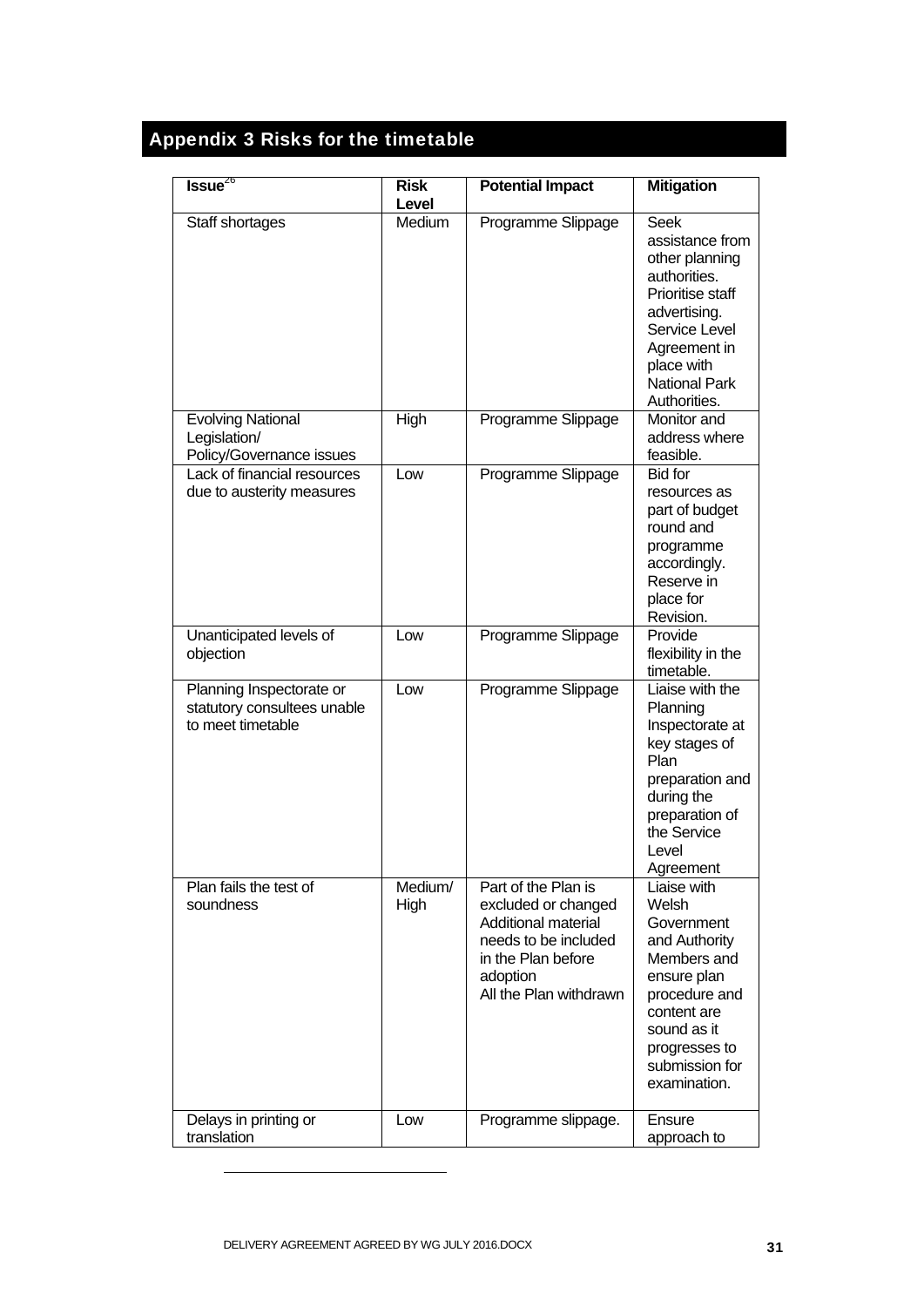# Appendix 3 Risks for the timetable

| $Issue^{26}$                                                                 | <b>Risk</b><br>Level | <b>Potential Impact</b>                                                                                                                               | <b>Mitigation</b>                                                                                                                                                                           |
|------------------------------------------------------------------------------|----------------------|-------------------------------------------------------------------------------------------------------------------------------------------------------|---------------------------------------------------------------------------------------------------------------------------------------------------------------------------------------------|
| Staff shortages                                                              | Medium               | Programme Slippage                                                                                                                                    | <b>Seek</b><br>assistance from<br>other planning<br>authorities.<br>Prioritise staff<br>advertising.<br>Service Level<br>Agreement in<br>place with<br><b>National Park</b><br>Authorities. |
| <b>Evolving National</b><br>Legislation/<br>Policy/Governance issues         | High                 | Programme Slippage                                                                                                                                    | Monitor and<br>address where<br>feasible.                                                                                                                                                   |
| Lack of financial resources<br>due to austerity measures                     | Low                  | Programme Slippage                                                                                                                                    | <b>Bid for</b><br>resources as<br>part of budget<br>round and<br>programme<br>accordingly.<br>Reserve in<br>place for<br>Revision.                                                          |
| Unanticipated levels of<br>objection                                         | Low                  | Programme Slippage                                                                                                                                    | Provide<br>flexibility in the<br>timetable.                                                                                                                                                 |
| Planning Inspectorate or<br>statutory consultees unable<br>to meet timetable | Low                  | Programme Slippage                                                                                                                                    | Liaise with the<br>Planning<br>Inspectorate at<br>key stages of<br>Plan<br>preparation and<br>during the<br>preparation of<br>the Service<br>Level<br>Agreement                             |
| Plan fails the test of<br>soundness                                          | Medium/<br>High      | Part of the Plan is<br>excluded or changed<br>Additional material<br>needs to be included<br>in the Plan before<br>adoption<br>All the Plan withdrawn | Liaise with<br>Welsh<br>Government<br>and Authority<br>Members and<br>ensure plan<br>procedure and<br>content are<br>sound as it<br>progresses to<br>submission for<br>examination.         |
| Delays in printing or<br>translation                                         | Low                  | Programme slippage.                                                                                                                                   | Ensure<br>approach to                                                                                                                                                                       |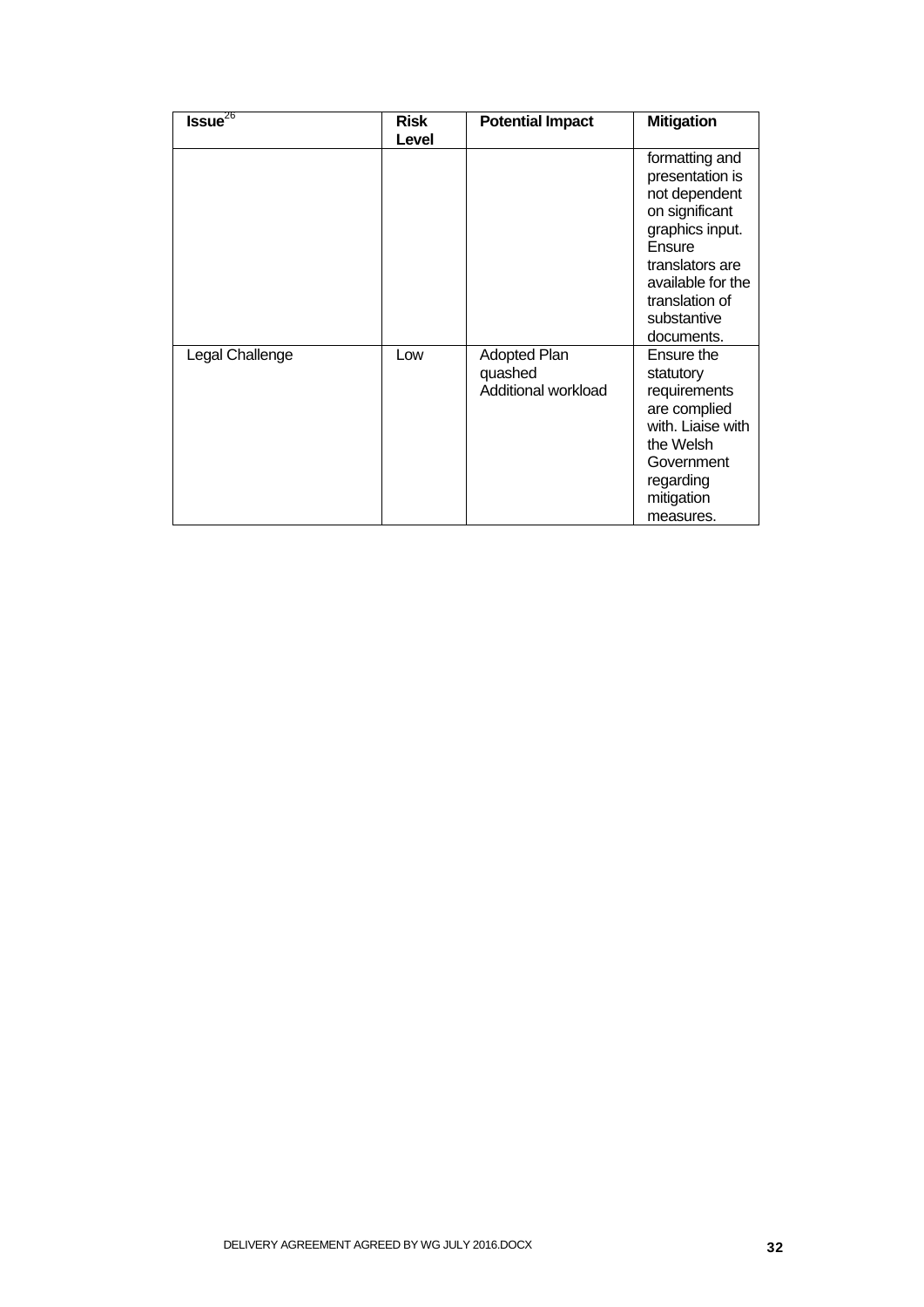| $Is sue^{26}$   | <b>Risk</b> | <b>Potential Impact</b>                               | <b>Mitigation</b>                                                                                                                                                                        |
|-----------------|-------------|-------------------------------------------------------|------------------------------------------------------------------------------------------------------------------------------------------------------------------------------------------|
|                 | Level       |                                                       |                                                                                                                                                                                          |
|                 |             |                                                       | formatting and<br>presentation is<br>not dependent<br>on significant<br>graphics input.<br>Ensure<br>translators are<br>available for the<br>translation of<br>substantive<br>documents. |
| Legal Challenge | Low         | <b>Adopted Plan</b><br>quashed<br>Additional workload | Ensure the<br>statutory<br>requirements<br>are complied<br>with. Liaise with<br>the Welsh<br>Government<br>regarding<br>mitigation<br>measures.                                          |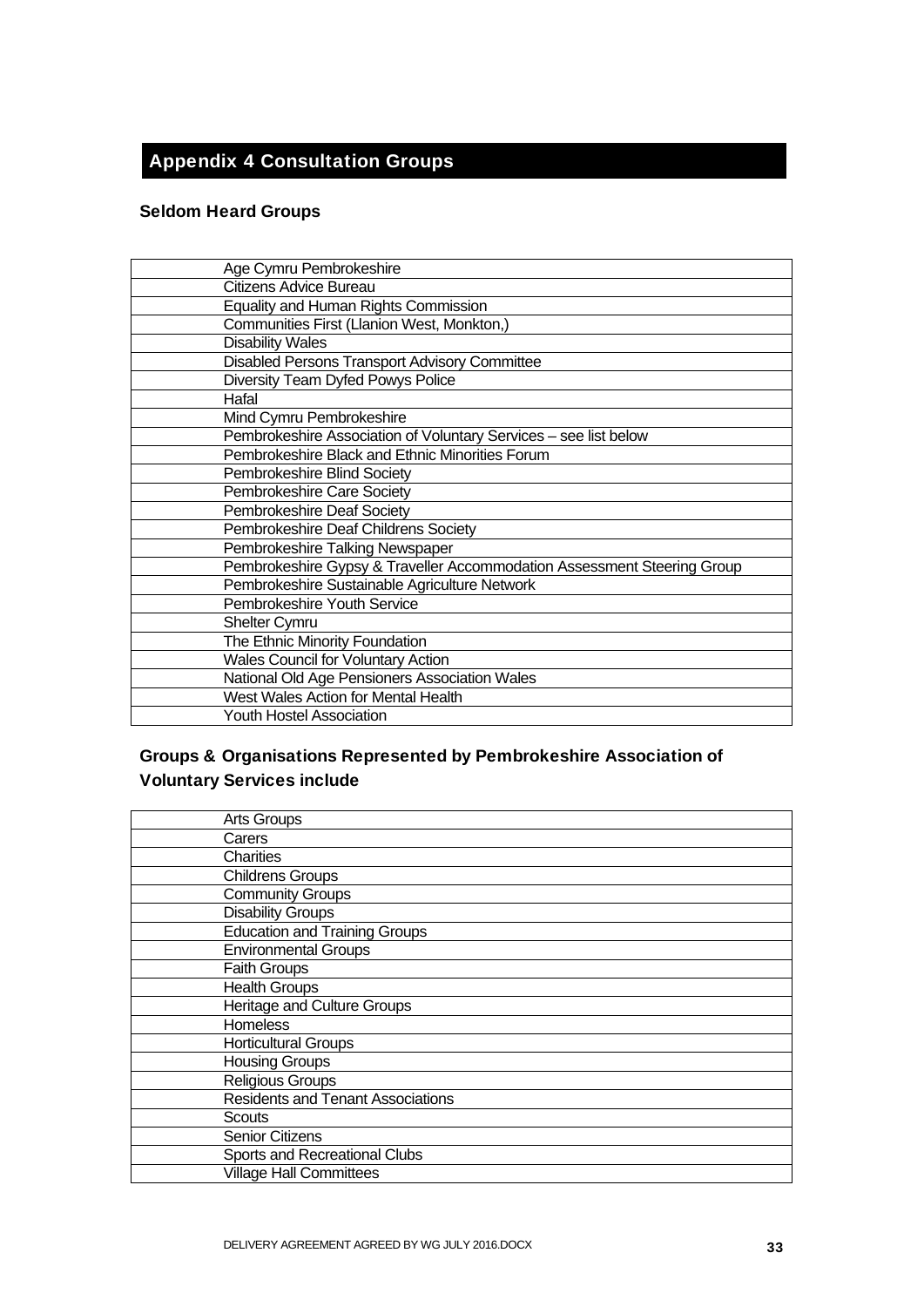## Appendix 4 Consultation Groups

## Seldom Heard Groups

| Age Cymru Pembrokeshire                                                 |
|-------------------------------------------------------------------------|
| Citizens Advice Bureau                                                  |
| Equality and Human Rights Commission                                    |
| Communities First (Llanion West, Monkton,)                              |
| <b>Disability Wales</b>                                                 |
| Disabled Persons Transport Advisory Committee                           |
| Diversity Team Dyfed Powys Police                                       |
| Hafal                                                                   |
| Mind Cymru Pembrokeshire                                                |
| Pembrokeshire Association of Voluntary Services - see list below        |
| Pembrokeshire Black and Ethnic Minorities Forum                         |
| Pembrokeshire Blind Society                                             |
| Pembrokeshire Care Society                                              |
| Pembrokeshire Deaf Society                                              |
| Pembrokeshire Deaf Childrens Society                                    |
| Pembrokeshire Talking Newspaper                                         |
| Pembrokeshire Gypsy & Traveller Accommodation Assessment Steering Group |
| Pembrokeshire Sustainable Agriculture Network                           |
| Pembrokeshire Youth Service                                             |
| <b>Shelter Cymru</b>                                                    |
| The Ethnic Minority Foundation                                          |
| Wales Council for Voluntary Action                                      |
| National Old Age Pensioners Association Wales                           |
| West Wales Action for Mental Health                                     |
| <b>Youth Hostel Association</b>                                         |

## Groups & Organisations Represented by Pembrokeshire Association of Voluntary Services include

| <b>Arts Groups</b>                       |
|------------------------------------------|
| Carers                                   |
| Charities                                |
| <b>Childrens Groups</b>                  |
| <b>Community Groups</b>                  |
| <b>Disability Groups</b>                 |
| <b>Education and Training Groups</b>     |
| <b>Environmental Groups</b>              |
| Faith Groups                             |
| <b>Health Groups</b>                     |
| <b>Heritage and Culture Groups</b>       |
| <b>Homeless</b>                          |
| <b>Horticultural Groups</b>              |
| <b>Housing Groups</b>                    |
| <b>Religious Groups</b>                  |
| <b>Residents and Tenant Associations</b> |
| <b>Scouts</b>                            |
| <b>Senior Citizens</b>                   |
| Sports and Recreational Clubs            |
| <b>Village Hall Committees</b>           |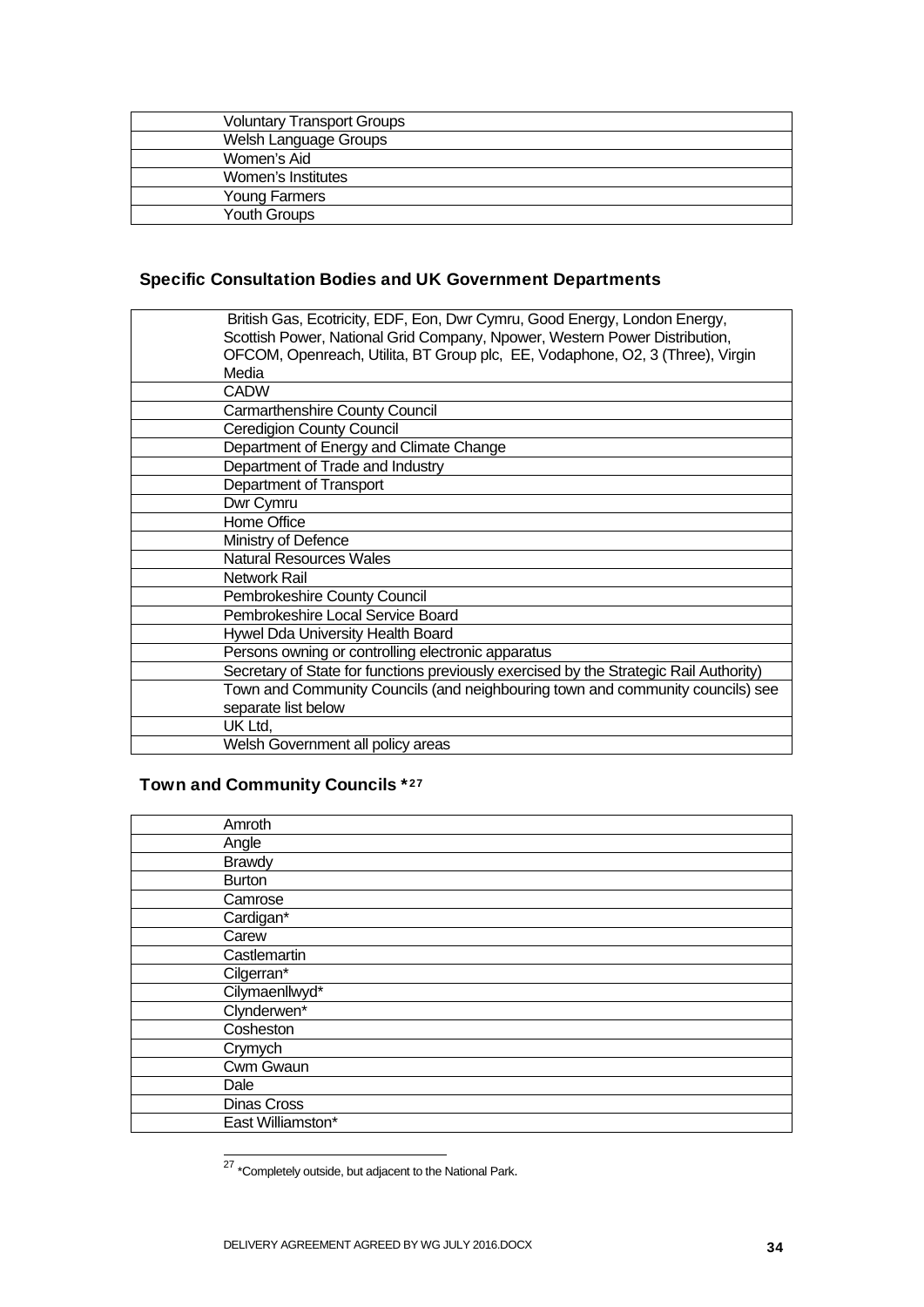| <b>Voluntary Transport Groups</b> |  |
|-----------------------------------|--|
| Welsh Language Groups             |  |
| Women's Aid                       |  |
| Women's Institutes                |  |
| Young Farmers                     |  |
| <b>Youth Groups</b>               |  |

## Specific Consultation Bodies and UK Government Departments

| British Gas, Ecotricity, EDF, Eon, Dwr Cymru, Good Energy, London Energy,              |
|----------------------------------------------------------------------------------------|
| Scottish Power, National Grid Company, Npower, Western Power Distribution,             |
| OFCOM, Openreach, Utilita, BT Group plc, EE, Vodaphone, O2, 3 (Three), Virgin          |
| Media                                                                                  |
| <b>CADW</b>                                                                            |
| <b>Carmarthenshire County Council</b>                                                  |
| <b>Ceredigion County Council</b>                                                       |
| Department of Energy and Climate Change                                                |
| Department of Trade and Industry                                                       |
| Department of Transport                                                                |
| Dwr Cymru                                                                              |
| Home Office                                                                            |
| Ministry of Defence                                                                    |
| <b>Natural Resources Wales</b>                                                         |
| Network Rail                                                                           |
| Pembrokeshire County Council                                                           |
| Pembrokeshire Local Service Board                                                      |
| Hywel Dda University Health Board                                                      |
| Persons owning or controlling electronic apparatus                                     |
| Secretary of State for functions previously exercised by the Strategic Rail Authority) |
| Town and Community Councils (and neighbouring town and community councils) see         |
| separate list below                                                                    |
| UK Ltd,                                                                                |
| Welsh Government all policy areas                                                      |

## Town and Community Councils \*27

| Amroth            |  |
|-------------------|--|
| Angle             |  |
| <b>Brawdy</b>     |  |
| <b>Burton</b>     |  |
| Camrose           |  |
| Cardigan*         |  |
| Carew             |  |
| Castlemartin      |  |
| Cilgerran*        |  |
| Cilymaenllwyd*    |  |
| Clynderwen*       |  |
| Cosheston         |  |
| Crymych           |  |
| Cwm Gwaun         |  |
| Dale              |  |
| Dinas Cross       |  |
| East Williamston* |  |

 $27$  \*Completely outside, but adjacent to the National Park.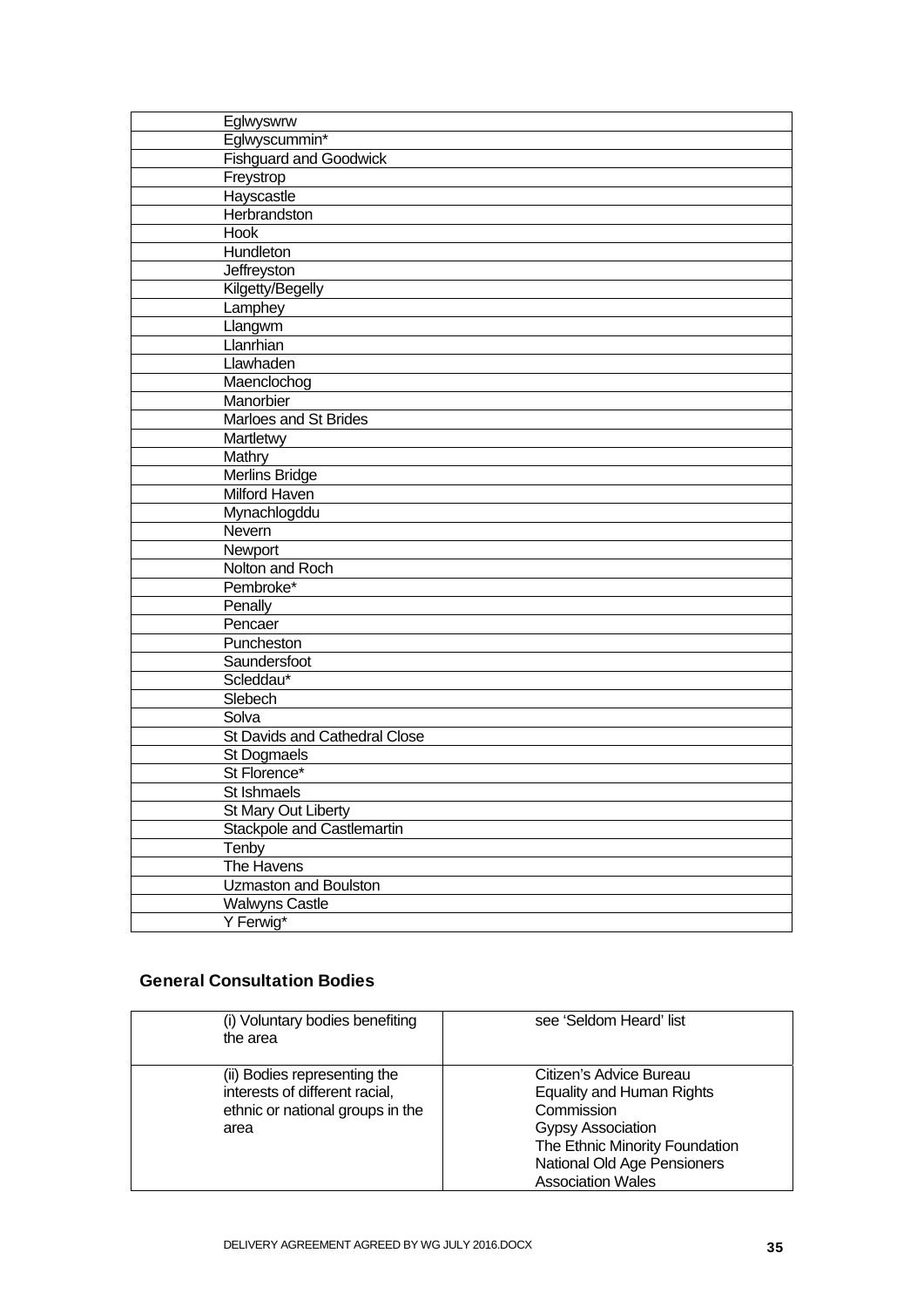| Eglwyswrw                         |
|-----------------------------------|
| Eglwyscummin*                     |
| <b>Fishguard and Goodwick</b>     |
| Freystrop                         |
| Hayscastle                        |
| Herbrandston                      |
| Hook                              |
| Hundleton                         |
| Jeffreyston                       |
| Kilgetty/Begelly                  |
| Lamphey                           |
| Llangwm                           |
| Llanrhian                         |
| Llawhaden                         |
| Maenclochog                       |
| Manorbier                         |
| Marloes and St Brides             |
| Martletwy                         |
| Mathry                            |
| <b>Merlins Bridge</b>             |
| Milford Haven                     |
| Mynachlogddu                      |
| Nevern                            |
| Newport                           |
| Nolton and Roch                   |
| Pembroke*                         |
| Penally                           |
| Pencaer                           |
| Puncheston                        |
| Saundersfoot                      |
| Scleddau*                         |
| Slebech                           |
| Solva                             |
| St Davids and Cathedral Close     |
| St Dogmaels                       |
| St Florence*                      |
| St Ishmaels                       |
| St Mary Out Liberty               |
| <b>Stackpole and Castlemartin</b> |
| Tenby                             |
| The Havens                        |
| Uzmaston and Boulston             |
| <b>Walwyns Castle</b>             |
| Y Ferwig*                         |

## General Consultation Bodies

| (i) Voluntary bodies benefiting<br>the area                                                                | see 'Seldom Heard' list                                                                                                                                                                     |
|------------------------------------------------------------------------------------------------------------|---------------------------------------------------------------------------------------------------------------------------------------------------------------------------------------------|
| (ii) Bodies representing the<br>interests of different racial,<br>ethnic or national groups in the<br>area | Citizen's Advice Bureau<br><b>Equality and Human Rights</b><br>Commission<br>Gypsy Association<br>The Ethnic Minority Foundation<br>National Old Age Pensioners<br><b>Association Wales</b> |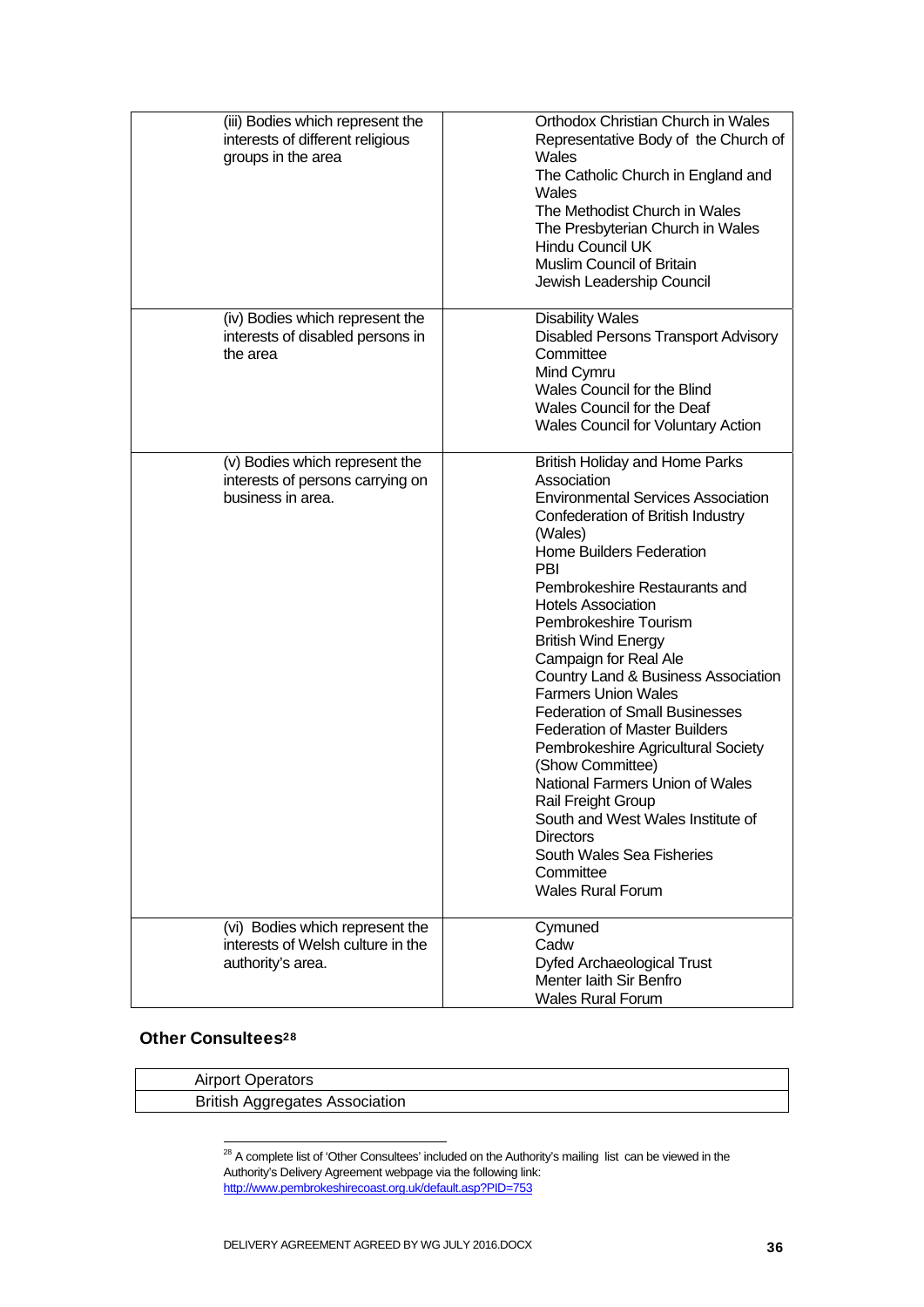| (iii) Bodies which represent the<br>interests of different religious<br>groups in the area | Orthodox Christian Church in Wales<br>Representative Body of the Church of<br>Wales<br>The Catholic Church in England and<br>Wales<br>The Methodist Church in Wales<br>The Presbyterian Church in Wales<br>Hindu Council UK<br><b>Muslim Council of Britain</b><br>Jewish Leadership Council                                                                                                                                                                                                                                                                                                                                                                                                                                                      |
|--------------------------------------------------------------------------------------------|---------------------------------------------------------------------------------------------------------------------------------------------------------------------------------------------------------------------------------------------------------------------------------------------------------------------------------------------------------------------------------------------------------------------------------------------------------------------------------------------------------------------------------------------------------------------------------------------------------------------------------------------------------------------------------------------------------------------------------------------------|
| (iv) Bodies which represent the<br>interests of disabled persons in<br>the area            | <b>Disability Wales</b><br><b>Disabled Persons Transport Advisory</b><br>Committee<br>Mind Cymru<br>Wales Council for the Blind<br>Wales Council for the Deaf<br>Wales Council for Voluntary Action                                                                                                                                                                                                                                                                                                                                                                                                                                                                                                                                               |
| (v) Bodies which represent the<br>interests of persons carrying on<br>business in area.    | <b>British Holiday and Home Parks</b><br>Association<br><b>Environmental Services Association</b><br>Confederation of British Industry<br>(Wales)<br><b>Home Builders Federation</b><br>PBI<br>Pembrokeshire Restaurants and<br><b>Hotels Association</b><br>Pembrokeshire Tourism<br><b>British Wind Energy</b><br>Campaign for Real Ale<br>Country Land & Business Association<br><b>Farmers Union Wales</b><br><b>Federation of Small Businesses</b><br><b>Federation of Master Builders</b><br>Pembrokeshire Agricultural Society<br>(Show Committee)<br>National Farmers Union of Wales<br>Rail Freight Group<br>South and West Wales Institute of<br><b>Directors</b><br>South Wales Sea Fisheries<br>Committee<br><b>Wales Rural Forum</b> |
| (vi) Bodies which represent the<br>interests of Welsh culture in the<br>authority's area.  | Cymuned<br>Cadw<br><b>Dyfed Archaeological Trust</b><br>Menter laith Sir Benfro<br><b>Wales Rural Forum</b>                                                                                                                                                                                                                                                                                                                                                                                                                                                                                                                                                                                                                                       |

## Other Consultees<sup>28</sup>

-

|  | <b>Airport Operators</b>              |
|--|---------------------------------------|
|  | <b>British Aggregates Association</b> |

 $28$  A complete list of 'Other Consultees' included on the Authority's mailing list can be viewed in the Authority's Delivery Agreement webpage via the following link: http://www.pembrokeshirecoast.org.uk/default.asp?PID=753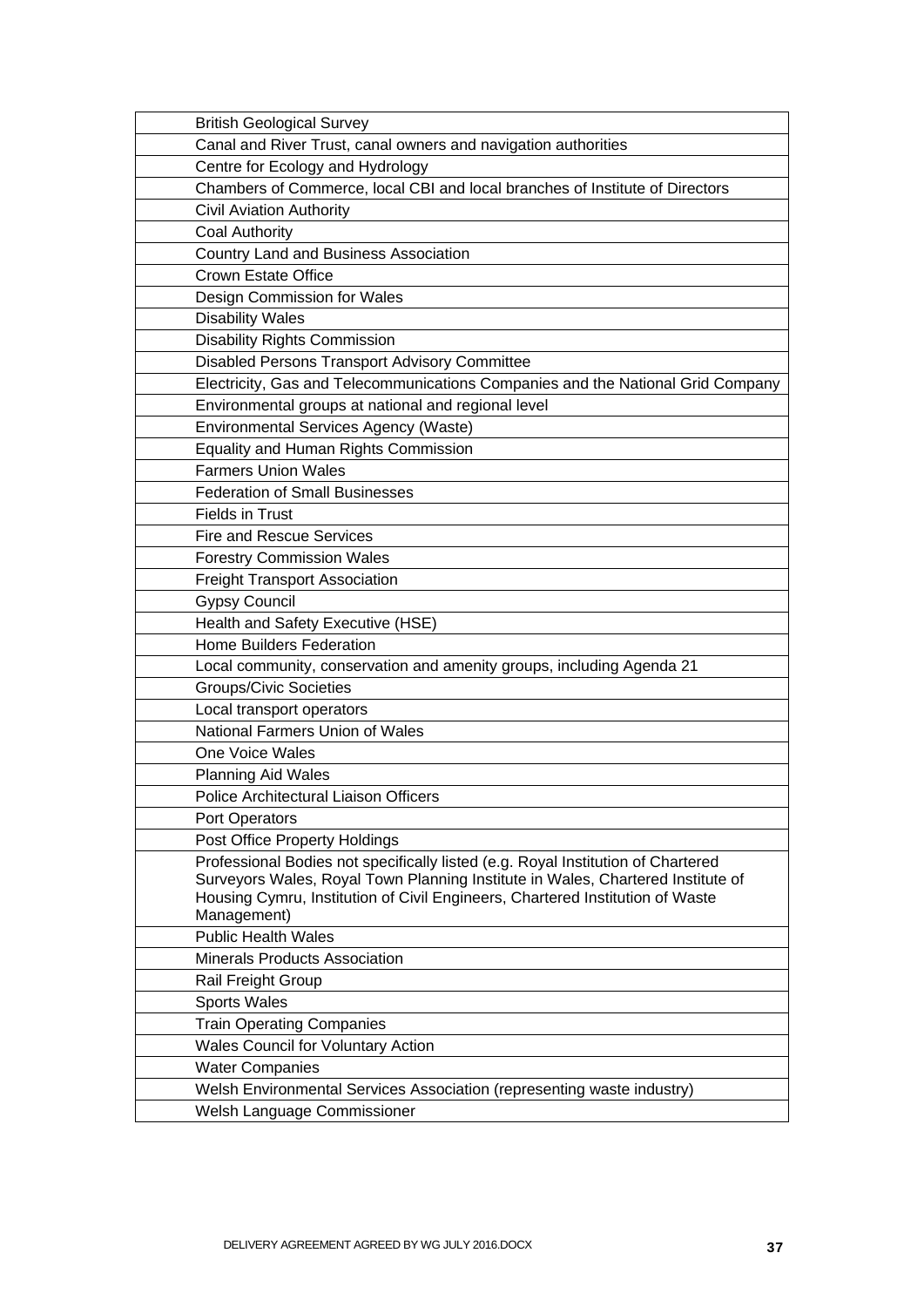| <b>British Geological Survey</b>                                                             |
|----------------------------------------------------------------------------------------------|
| Canal and River Trust, canal owners and navigation authorities                               |
| Centre for Ecology and Hydrology                                                             |
| Chambers of Commerce, local CBI and local branches of Institute of Directors                 |
| Civil Aviation Authority                                                                     |
| <b>Coal Authority</b>                                                                        |
| <b>Country Land and Business Association</b>                                                 |
| <b>Crown Estate Office</b>                                                                   |
| Design Commission for Wales                                                                  |
| <b>Disability Wales</b>                                                                      |
| <b>Disability Rights Commission</b>                                                          |
| Disabled Persons Transport Advisory Committee                                                |
| Electricity, Gas and Telecommunications Companies and the National Grid Company              |
| Environmental groups at national and regional level                                          |
| <b>Environmental Services Agency (Waste)</b>                                                 |
| <b>Equality and Human Rights Commission</b>                                                  |
| <b>Farmers Union Wales</b>                                                                   |
| <b>Federation of Small Businesses</b>                                                        |
| <b>Fields in Trust</b>                                                                       |
| <b>Fire and Rescue Services</b>                                                              |
| <b>Forestry Commission Wales</b>                                                             |
| <b>Freight Transport Association</b>                                                         |
| <b>Gypsy Council</b>                                                                         |
| Health and Safety Executive (HSE)                                                            |
| <b>Home Builders Federation</b>                                                              |
| Local community, conservation and amenity groups, including Agenda 21                        |
| <b>Groups/Civic Societies</b>                                                                |
| Local transport operators                                                                    |
| <b>National Farmers Union of Wales</b>                                                       |
| One Voice Wales                                                                              |
| <b>Planning Aid Wales</b>                                                                    |
| Police Architectural Liaison Officers                                                        |
| Port Operators                                                                               |
| Post Office Property Holdings                                                                |
| Professional Bodies not specifically listed (e.g. Royal Institution of Chartered             |
| Surveyors Wales, Royal Town Planning Institute in Wales, Chartered Institute of              |
| Housing Cymru, Institution of Civil Engineers, Chartered Institution of Waste<br>Management) |
| <b>Public Health Wales</b>                                                                   |
| Minerals Products Association                                                                |
| Rail Freight Group                                                                           |
| <b>Sports Wales</b>                                                                          |
| <b>Train Operating Companies</b>                                                             |
| <b>Wales Council for Voluntary Action</b>                                                    |
| <b>Water Companies</b>                                                                       |
| Welsh Environmental Services Association (representing waste industry)                       |
| Welsh Language Commissioner                                                                  |
|                                                                                              |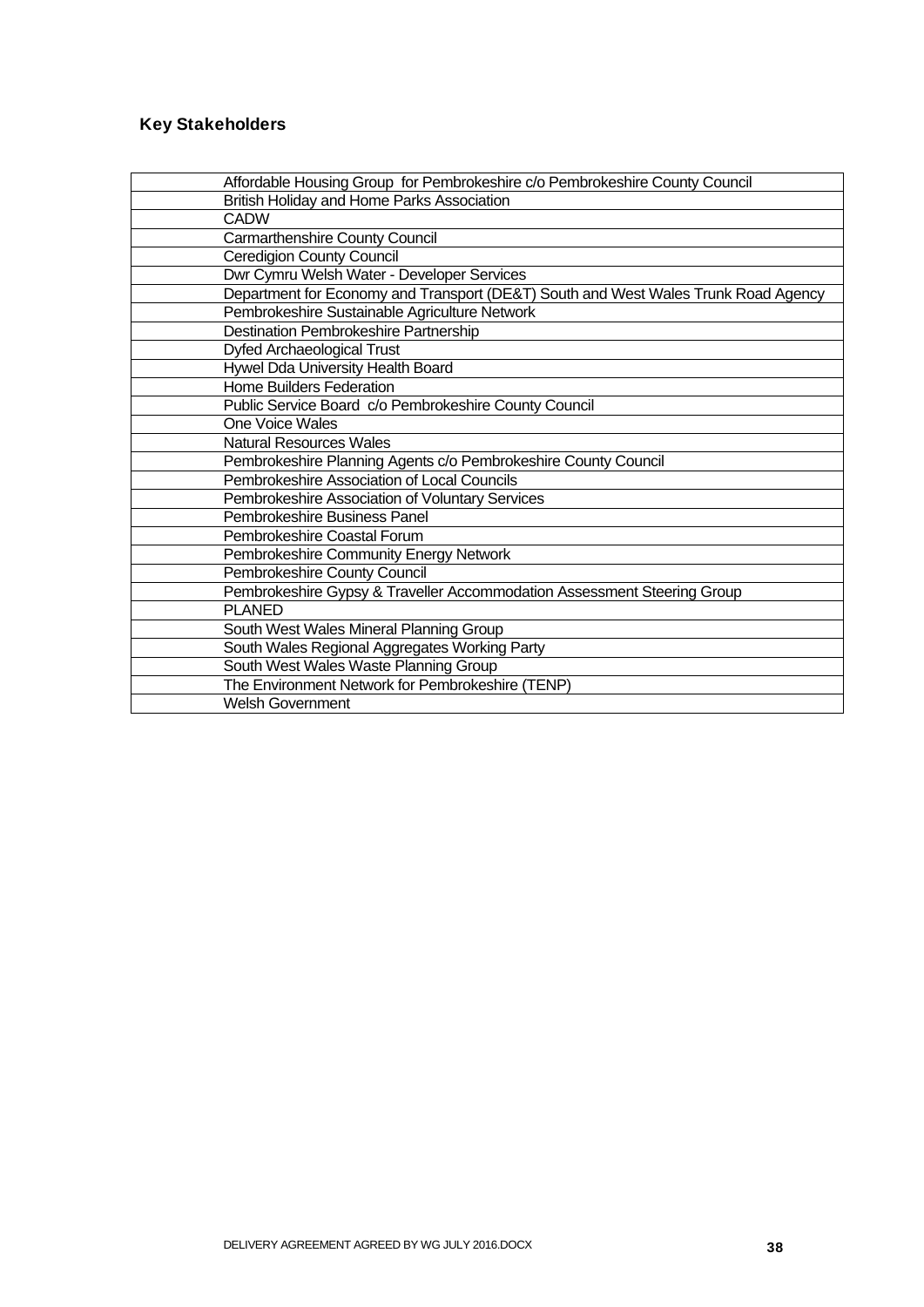## Key Stakeholders

| Affordable Housing Group for Pembrokeshire c/o Pembrokeshire County Council        |
|------------------------------------------------------------------------------------|
| British Holiday and Home Parks Association                                         |
| CADW                                                                               |
| Carmarthenshire County Council                                                     |
| <b>Ceredigion County Council</b>                                                   |
| Dwr Cymru Welsh Water - Developer Services                                         |
| Department for Economy and Transport (DE&T) South and West Wales Trunk Road Agency |
| Pembrokeshire Sustainable Agriculture Network                                      |
| Destination Pembrokeshire Partnership                                              |
| Dyfed Archaeological Trust                                                         |
| Hywel Dda University Health Board                                                  |
| <b>Home Builders Federation</b>                                                    |
| Public Service Board c/o Pembrokeshire County Council                              |
| <b>One Voice Wales</b>                                                             |
| <b>Natural Resources Wales</b>                                                     |
| Pembrokeshire Planning Agents c/o Pembrokeshire County Council                     |
| Pembrokeshire Association of Local Councils                                        |
| Pembrokeshire Association of Voluntary Services                                    |
| Pembrokeshire Business Panel                                                       |
| Pembrokeshire Coastal Forum                                                        |
| Pembrokeshire Community Energy Network                                             |
| Pembrokeshire County Council                                                       |
| Pembrokeshire Gypsy & Traveller Accommodation Assessment Steering Group            |
| <b>PLANED</b>                                                                      |
| South West Wales Mineral Planning Group                                            |
| South Wales Regional Aggregates Working Party                                      |
| South West Wales Waste Planning Group                                              |
| The Environment Network for Pembrokeshire (TENP)                                   |
| <b>Welsh Government</b>                                                            |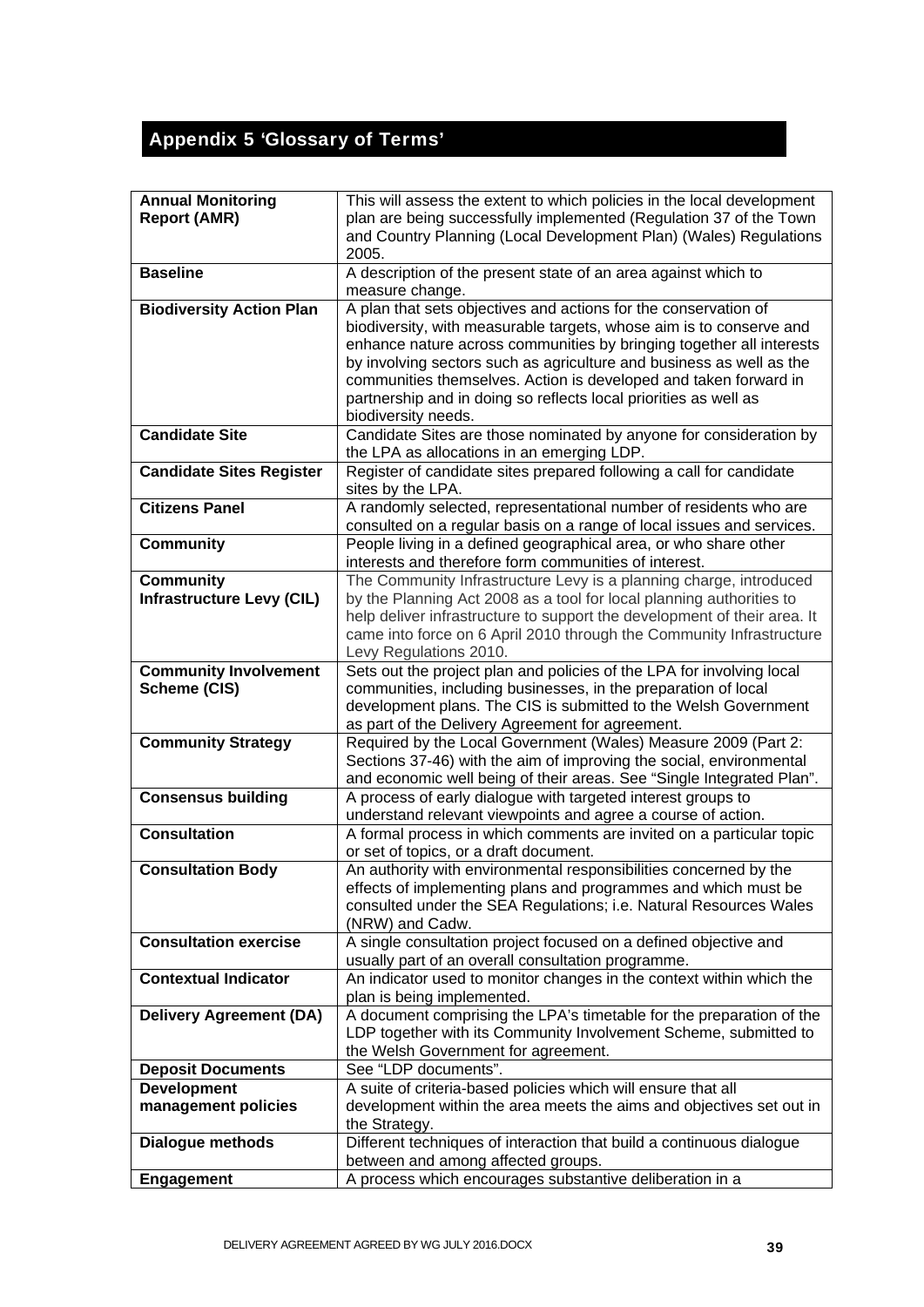# Appendix 5 'Glossary of Terms'

| <b>Annual Monitoring</b><br><b>Report (AMR)</b>      | This will assess the extent to which policies in the local development<br>plan are being successfully implemented (Regulation 37 of the Town<br>and Country Planning (Local Development Plan) (Wales) Regulations<br>2005.                                                                                                                                                                                                                            |
|------------------------------------------------------|-------------------------------------------------------------------------------------------------------------------------------------------------------------------------------------------------------------------------------------------------------------------------------------------------------------------------------------------------------------------------------------------------------------------------------------------------------|
| <b>Baseline</b>                                      | A description of the present state of an area against which to<br>measure change.                                                                                                                                                                                                                                                                                                                                                                     |
| <b>Biodiversity Action Plan</b>                      | A plan that sets objectives and actions for the conservation of<br>biodiversity, with measurable targets, whose aim is to conserve and<br>enhance nature across communities by bringing together all interests<br>by involving sectors such as agriculture and business as well as the<br>communities themselves. Action is developed and taken forward in<br>partnership and in doing so reflects local priorities as well as<br>biodiversity needs. |
| <b>Candidate Site</b>                                | Candidate Sites are those nominated by anyone for consideration by<br>the LPA as allocations in an emerging LDP.                                                                                                                                                                                                                                                                                                                                      |
| <b>Candidate Sites Register</b>                      | Register of candidate sites prepared following a call for candidate<br>sites by the LPA.                                                                                                                                                                                                                                                                                                                                                              |
| <b>Citizens Panel</b>                                | A randomly selected, representational number of residents who are<br>consulted on a regular basis on a range of local issues and services.                                                                                                                                                                                                                                                                                                            |
| <b>Community</b>                                     | People living in a defined geographical area, or who share other<br>interests and therefore form communities of interest.                                                                                                                                                                                                                                                                                                                             |
| <b>Community</b><br><b>Infrastructure Levy (CIL)</b> | The Community Infrastructure Levy is a planning charge, introduced<br>by the Planning Act 2008 as a tool for local planning authorities to<br>help deliver infrastructure to support the development of their area. It<br>came into force on 6 April 2010 through the Community Infrastructure<br>Levy Regulations 2010.                                                                                                                              |
| <b>Community Involvement</b><br>Scheme (CIS)         | Sets out the project plan and policies of the LPA for involving local<br>communities, including businesses, in the preparation of local<br>development plans. The CIS is submitted to the Welsh Government<br>as part of the Delivery Agreement for agreement.                                                                                                                                                                                        |
| <b>Community Strategy</b>                            | Required by the Local Government (Wales) Measure 2009 (Part 2:<br>Sections 37-46) with the aim of improving the social, environmental<br>and economic well being of their areas. See "Single Integrated Plan".                                                                                                                                                                                                                                        |
| <b>Consensus building</b>                            | A process of early dialogue with targeted interest groups to<br>understand relevant viewpoints and agree a course of action.                                                                                                                                                                                                                                                                                                                          |
| <b>Consultation</b>                                  | A formal process in which comments are invited on a particular topic<br>or set of topics, or a draft document.                                                                                                                                                                                                                                                                                                                                        |
| <b>Consultation Body</b>                             | An authority with environmental responsibilities concerned by the<br>effects of implementing plans and programmes and which must be<br>consulted under the SEA Regulations; i.e. Natural Resources Wales<br>(NRW) and Cadw.                                                                                                                                                                                                                           |
| <b>Consultation exercise</b>                         | A single consultation project focused on a defined objective and<br>usually part of an overall consultation programme.                                                                                                                                                                                                                                                                                                                                |
| <b>Contextual Indicator</b>                          | An indicator used to monitor changes in the context within which the<br>plan is being implemented.                                                                                                                                                                                                                                                                                                                                                    |
| <b>Delivery Agreement (DA)</b>                       | A document comprising the LPA's timetable for the preparation of the<br>LDP together with its Community Involvement Scheme, submitted to<br>the Welsh Government for agreement.                                                                                                                                                                                                                                                                       |
| <b>Deposit Documents</b>                             | See "LDP documents".                                                                                                                                                                                                                                                                                                                                                                                                                                  |
| <b>Development</b><br>management policies            | A suite of criteria-based policies which will ensure that all<br>development within the area meets the aims and objectives set out in<br>the Strategy.                                                                                                                                                                                                                                                                                                |
| <b>Dialogue methods</b>                              | Different techniques of interaction that build a continuous dialogue<br>between and among affected groups.                                                                                                                                                                                                                                                                                                                                            |
| <b>Engagement</b>                                    | A process which encourages substantive deliberation in a                                                                                                                                                                                                                                                                                                                                                                                              |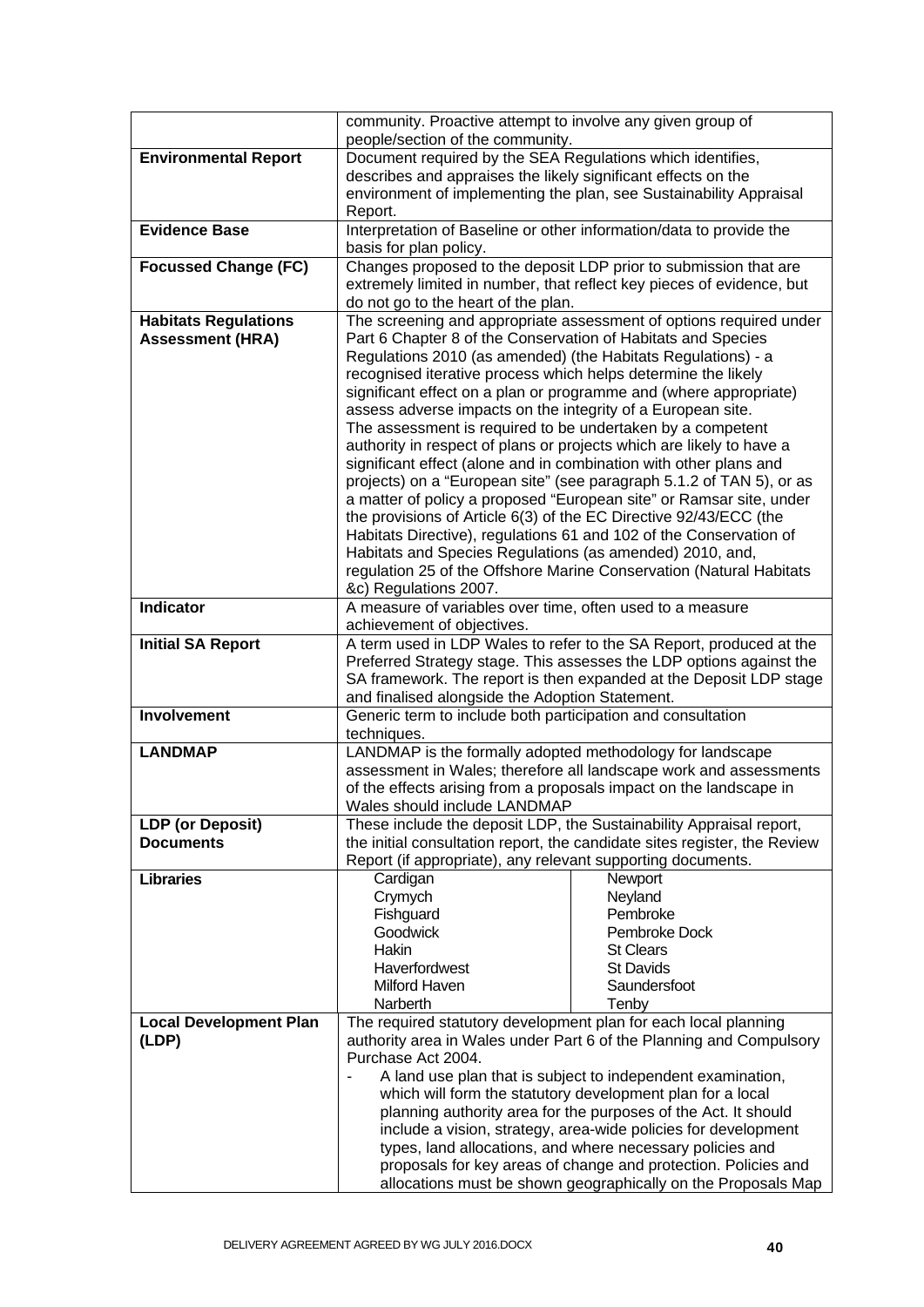|                                                        | community. Proactive attempt to involve any given group of<br>people/section of the community.                                                                                                                                                                                                                             |                                                                                                                                                  |
|--------------------------------------------------------|----------------------------------------------------------------------------------------------------------------------------------------------------------------------------------------------------------------------------------------------------------------------------------------------------------------------------|--------------------------------------------------------------------------------------------------------------------------------------------------|
| <b>Environmental Report</b>                            | Document required by the SEA Regulations which identifies,                                                                                                                                                                                                                                                                 |                                                                                                                                                  |
|                                                        | describes and appraises the likely significant effects on the                                                                                                                                                                                                                                                              |                                                                                                                                                  |
|                                                        |                                                                                                                                                                                                                                                                                                                            | environment of implementing the plan, see Sustainability Appraisal                                                                               |
|                                                        | Report.                                                                                                                                                                                                                                                                                                                    |                                                                                                                                                  |
| <b>Evidence Base</b>                                   | Interpretation of Baseline or other information/data to provide the<br>basis for plan policy.                                                                                                                                                                                                                              |                                                                                                                                                  |
| <b>Focussed Change (FC)</b>                            |                                                                                                                                                                                                                                                                                                                            | Changes proposed to the deposit LDP prior to submission that are                                                                                 |
|                                                        |                                                                                                                                                                                                                                                                                                                            | extremely limited in number, that reflect key pieces of evidence, but                                                                            |
|                                                        | do not go to the heart of the plan.                                                                                                                                                                                                                                                                                        |                                                                                                                                                  |
| <b>Habitats Regulations</b><br><b>Assessment (HRA)</b> | Part 6 Chapter 8 of the Conservation of Habitats and Species<br>Regulations 2010 (as amended) (the Habitats Regulations) - a<br>recognised iterative process which helps determine the likely<br>assess adverse impacts on the integrity of a European site.<br>The assessment is required to be undertaken by a competent | The screening and appropriate assessment of options required under<br>significant effect on a plan or programme and (where appropriate)          |
|                                                        | authority in respect of plans or projects which are likely to have a                                                                                                                                                                                                                                                       |                                                                                                                                                  |
|                                                        | significant effect (alone and in combination with other plans and                                                                                                                                                                                                                                                          |                                                                                                                                                  |
|                                                        | the provisions of Article 6(3) of the EC Directive 92/43/ECC (the                                                                                                                                                                                                                                                          | projects) on a "European site" (see paragraph 5.1.2 of TAN 5), or as<br>a matter of policy a proposed "European site" or Ramsar site, under      |
|                                                        |                                                                                                                                                                                                                                                                                                                            | Habitats Directive), regulations 61 and 102 of the Conservation of                                                                               |
|                                                        | Habitats and Species Regulations (as amended) 2010, and,                                                                                                                                                                                                                                                                   |                                                                                                                                                  |
|                                                        |                                                                                                                                                                                                                                                                                                                            | regulation 25 of the Offshore Marine Conservation (Natural Habitats                                                                              |
|                                                        | &c) Regulations 2007.                                                                                                                                                                                                                                                                                                      |                                                                                                                                                  |
| <b>Indicator</b>                                       | A measure of variables over time, often used to a measure<br>achievement of objectives.                                                                                                                                                                                                                                    |                                                                                                                                                  |
| <b>Initial SA Report</b>                               |                                                                                                                                                                                                                                                                                                                            | A term used in LDP Wales to refer to the SA Report, produced at the                                                                              |
|                                                        |                                                                                                                                                                                                                                                                                                                            | Preferred Strategy stage. This assesses the LDP options against the                                                                              |
|                                                        |                                                                                                                                                                                                                                                                                                                            | SA framework. The report is then expanded at the Deposit LDP stage                                                                               |
| <b>Involvement</b>                                     | and finalised alongside the Adoption Statement.<br>Generic term to include both participation and consultation                                                                                                                                                                                                             |                                                                                                                                                  |
|                                                        | techniques.                                                                                                                                                                                                                                                                                                                |                                                                                                                                                  |
| <b>LANDMAP</b>                                         | LANDMAP is the formally adopted methodology for landscape                                                                                                                                                                                                                                                                  |                                                                                                                                                  |
|                                                        |                                                                                                                                                                                                                                                                                                                            | assessment in Wales; therefore all landscape work and assessments                                                                                |
|                                                        |                                                                                                                                                                                                                                                                                                                            | of the effects arising from a proposals impact on the landscape in                                                                               |
|                                                        | Wales should include LANDMAP                                                                                                                                                                                                                                                                                               |                                                                                                                                                  |
| <b>LDP</b> (or Deposit)<br><b>Documents</b>            |                                                                                                                                                                                                                                                                                                                            | These include the deposit LDP, the Sustainability Appraisal report,<br>the initial consultation report, the candidate sites register, the Review |
|                                                        | Report (if appropriate), any relevant supporting documents.                                                                                                                                                                                                                                                                |                                                                                                                                                  |
| <b>Libraries</b>                                       | Cardigan                                                                                                                                                                                                                                                                                                                   | Newport                                                                                                                                          |
|                                                        | Crymych                                                                                                                                                                                                                                                                                                                    | Neyland                                                                                                                                          |
|                                                        | Fishguard                                                                                                                                                                                                                                                                                                                  | Pembroke                                                                                                                                         |
|                                                        | Goodwick                                                                                                                                                                                                                                                                                                                   | Pembroke Dock                                                                                                                                    |
|                                                        | Hakin<br>Haverfordwest                                                                                                                                                                                                                                                                                                     | <b>St Clears</b><br><b>St Davids</b>                                                                                                             |
|                                                        | <b>Milford Haven</b>                                                                                                                                                                                                                                                                                                       | Saundersfoot                                                                                                                                     |
|                                                        | Narberth                                                                                                                                                                                                                                                                                                                   | Tenby                                                                                                                                            |
| <b>Local Development Plan</b>                          | The required statutory development plan for each local planning                                                                                                                                                                                                                                                            |                                                                                                                                                  |
| (LDP)                                                  |                                                                                                                                                                                                                                                                                                                            | authority area in Wales under Part 6 of the Planning and Compulsory                                                                              |
|                                                        | Purchase Act 2004.                                                                                                                                                                                                                                                                                                         |                                                                                                                                                  |
|                                                        |                                                                                                                                                                                                                                                                                                                            | A land use plan that is subject to independent examination,<br>which will form the statutory development plan for a local                        |
|                                                        |                                                                                                                                                                                                                                                                                                                            | planning authority area for the purposes of the Act. It should                                                                                   |
|                                                        |                                                                                                                                                                                                                                                                                                                            | include a vision, strategy, area-wide policies for development                                                                                   |
|                                                        |                                                                                                                                                                                                                                                                                                                            | types, land allocations, and where necessary policies and                                                                                        |
|                                                        |                                                                                                                                                                                                                                                                                                                            | proposals for key areas of change and protection. Policies and                                                                                   |
|                                                        |                                                                                                                                                                                                                                                                                                                            | allocations must be shown geographically on the Proposals Map                                                                                    |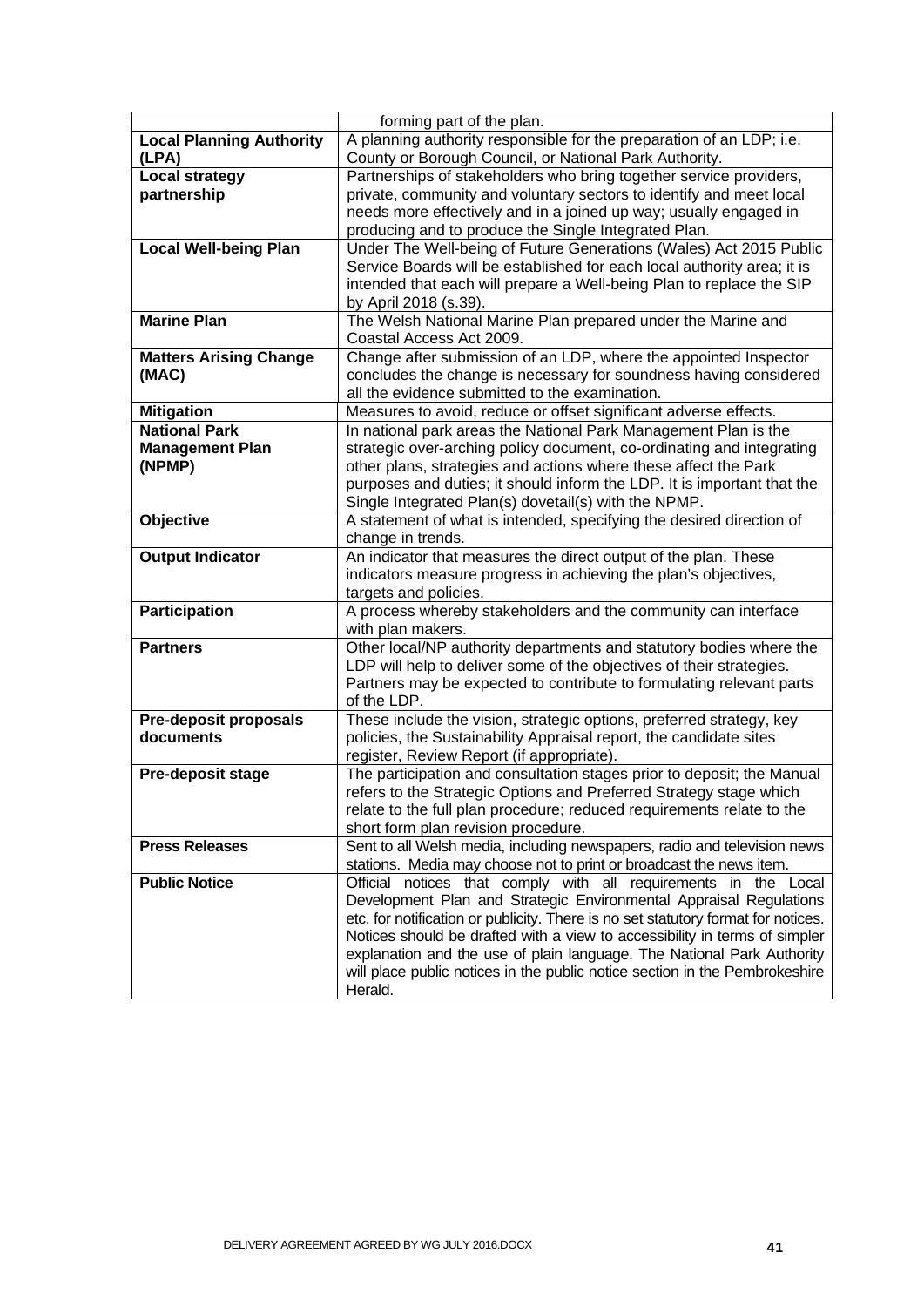|                                 | forming part of the plan.                                                           |
|---------------------------------|-------------------------------------------------------------------------------------|
| <b>Local Planning Authority</b> | A planning authority responsible for the preparation of an LDP; i.e.                |
| (LPA)                           | County or Borough Council, or National Park Authority.                              |
| <b>Local strategy</b>           | Partnerships of stakeholders who bring together service providers,                  |
| partnership                     | private, community and voluntary sectors to identify and meet local                 |
|                                 | needs more effectively and in a joined up way; usually engaged in                   |
|                                 | producing and to produce the Single Integrated Plan.                                |
| <b>Local Well-being Plan</b>    | Under The Well-being of Future Generations (Wales) Act 2015 Public                  |
|                                 | Service Boards will be established for each local authority area; it is             |
|                                 | intended that each will prepare a Well-being Plan to replace the SIP                |
|                                 | by April 2018 (s.39).                                                               |
| <b>Marine Plan</b>              | The Welsh National Marine Plan prepared under the Marine and                        |
|                                 | Coastal Access Act 2009.                                                            |
| <b>Matters Arising Change</b>   | Change after submission of an LDP, where the appointed Inspector                    |
| (MAC)                           | concludes the change is necessary for soundness having considered                   |
|                                 | all the evidence submitted to the examination.                                      |
| <b>Mitigation</b>               | Measures to avoid, reduce or offset significant adverse effects.                    |
| <b>National Park</b>            | In national park areas the National Park Management Plan is the                     |
| <b>Management Plan</b>          | strategic over-arching policy document, co-ordinating and integrating               |
| (NPMP)                          | other plans, strategies and actions where these affect the Park                     |
|                                 | purposes and duties; it should inform the LDP. It is important that the             |
|                                 | Single Integrated Plan(s) dovetail(s) with the NPMP.                                |
| Objective                       | A statement of what is intended, specifying the desired direction of                |
|                                 | change in trends.                                                                   |
| <b>Output Indicator</b>         | An indicator that measures the direct output of the plan. These                     |
|                                 | indicators measure progress in achieving the plan's objectives,                     |
|                                 | targets and policies.                                                               |
| <b>Participation</b>            | A process whereby stakeholders and the community can interface                      |
|                                 | with plan makers.                                                                   |
| <b>Partners</b>                 | Other local/NP authority departments and statutory bodies where the                 |
|                                 | LDP will help to deliver some of the objectives of their strategies.                |
|                                 | Partners may be expected to contribute to formulating relevant parts<br>of the LDP. |
| <b>Pre-deposit proposals</b>    | These include the vision, strategic options, preferred strategy, key                |
| documents                       | policies, the Sustainability Appraisal report, the candidate sites                  |
|                                 | register, Review Report (if appropriate).                                           |
| Pre-deposit stage               | The participation and consultation stages prior to deposit; the Manual              |
|                                 | refers to the Strategic Options and Preferred Strategy stage which                  |
|                                 | relate to the full plan procedure; reduced requirements relate to the               |
|                                 | short form plan revision procedure.                                                 |
| <b>Press Releases</b>           | Sent to all Welsh media, including newspapers, radio and television news            |
|                                 | stations. Media may choose not to print or broadcast the news item.                 |
| <b>Public Notice</b>            | Official notices that comply with all requirements in the Local                     |
|                                 | Development Plan and Strategic Environmental Appraisal Regulations                  |
|                                 | etc. for notification or publicity. There is no set statutory format for notices.   |
|                                 | Notices should be drafted with a view to accessibility in terms of simpler          |
|                                 | explanation and the use of plain language. The National Park Authority              |
|                                 | will place public notices in the public notice section in the Pembrokeshire         |
|                                 | Herald.                                                                             |
|                                 |                                                                                     |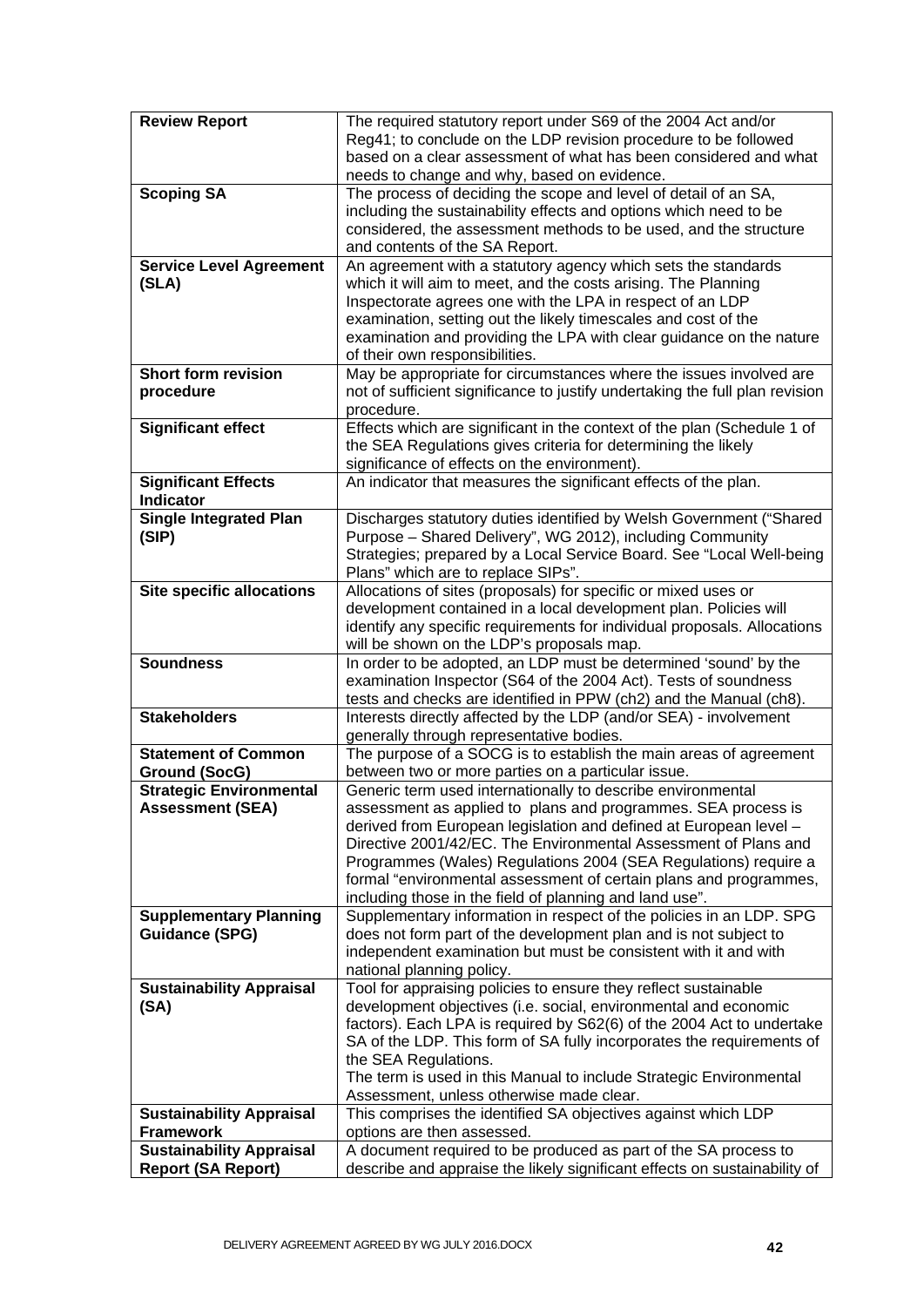| <b>Review Report</b>                                         | The required statutory report under S69 of the 2004 Act and/or                                                                                     |
|--------------------------------------------------------------|----------------------------------------------------------------------------------------------------------------------------------------------------|
|                                                              | Reg41; to conclude on the LDP revision procedure to be followed                                                                                    |
|                                                              | based on a clear assessment of what has been considered and what                                                                                   |
|                                                              | needs to change and why, based on evidence.                                                                                                        |
| <b>Scoping SA</b>                                            | The process of deciding the scope and level of detail of an SA,<br>including the sustainability effects and options which need to be               |
|                                                              | considered, the assessment methods to be used, and the structure                                                                                   |
|                                                              | and contents of the SA Report.                                                                                                                     |
| <b>Service Level Agreement</b>                               | An agreement with a statutory agency which sets the standards                                                                                      |
| (SLA)                                                        | which it will aim to meet, and the costs arising. The Planning                                                                                     |
|                                                              | Inspectorate agrees one with the LPA in respect of an LDP                                                                                          |
|                                                              | examination, setting out the likely timescales and cost of the                                                                                     |
|                                                              | examination and providing the LPA with clear guidance on the nature                                                                                |
|                                                              | of their own responsibilities.                                                                                                                     |
| <b>Short form revision</b><br>procedure                      | May be appropriate for circumstances where the issues involved are<br>not of sufficient significance to justify undertaking the full plan revision |
|                                                              | procedure.                                                                                                                                         |
| <b>Significant effect</b>                                    | Effects which are significant in the context of the plan (Schedule 1 of                                                                            |
|                                                              | the SEA Regulations gives criteria for determining the likely                                                                                      |
|                                                              | significance of effects on the environment).                                                                                                       |
| <b>Significant Effects</b><br><b>Indicator</b>               | An indicator that measures the significant effects of the plan.                                                                                    |
| <b>Single Integrated Plan</b>                                | Discharges statutory duties identified by Welsh Government ("Shared                                                                                |
| (SIP)                                                        | Purpose - Shared Delivery", WG 2012), including Community                                                                                          |
|                                                              | Strategies; prepared by a Local Service Board. See "Local Well-being                                                                               |
|                                                              | Plans" which are to replace SIPs".                                                                                                                 |
| <b>Site specific allocations</b>                             | Allocations of sites (proposals) for specific or mixed uses or                                                                                     |
|                                                              | development contained in a local development plan. Policies will                                                                                   |
|                                                              | identify any specific requirements for individual proposals. Allocations<br>will be shown on the LDP's proposals map.                              |
| <b>Soundness</b>                                             | In order to be adopted, an LDP must be determined 'sound' by the                                                                                   |
|                                                              | examination Inspector (S64 of the 2004 Act). Tests of soundness                                                                                    |
|                                                              | tests and checks are identified in PPW (ch2) and the Manual (ch8).                                                                                 |
| <b>Stakeholders</b>                                          | Interests directly affected by the LDP (and/or SEA) - involvement                                                                                  |
|                                                              | generally through representative bodies.                                                                                                           |
| <b>Statement of Common</b>                                   | The purpose of a SOCG is to establish the main areas of agreement                                                                                  |
| <b>Ground (SocG)</b><br><b>Strategic Environmental</b>       | between two or more parties on a particular issue.<br>Generic term used internationally to describe environmental                                  |
| <b>Assessment (SEA)</b>                                      | assessment as applied to plans and programmes. SEA process is                                                                                      |
|                                                              | derived from European legislation and defined at European level -                                                                                  |
|                                                              | Directive 2001/42/EC. The Environmental Assessment of Plans and                                                                                    |
|                                                              | Programmes (Wales) Regulations 2004 (SEA Regulations) require a                                                                                    |
|                                                              | formal "environmental assessment of certain plans and programmes,                                                                                  |
|                                                              | including those in the field of planning and land use".                                                                                            |
| <b>Supplementary Planning</b>                                | Supplementary information in respect of the policies in an LDP. SPG                                                                                |
| <b>Guidance (SPG)</b>                                        | does not form part of the development plan and is not subject to                                                                                   |
|                                                              | independent examination but must be consistent with it and with<br>national planning policy.                                                       |
| <b>Sustainability Appraisal</b>                              | Tool for appraising policies to ensure they reflect sustainable                                                                                    |
| (SA)                                                         | development objectives (i.e. social, environmental and economic                                                                                    |
|                                                              | factors). Each LPA is required by S62(6) of the 2004 Act to undertake                                                                              |
|                                                              | SA of the LDP. This form of SA fully incorporates the requirements of                                                                              |
|                                                              | the SEA Regulations.                                                                                                                               |
|                                                              | The term is used in this Manual to include Strategic Environmental                                                                                 |
|                                                              | Assessment, unless otherwise made clear.                                                                                                           |
| <b>Sustainability Appraisal</b>                              | This comprises the identified SA objectives against which LDP                                                                                      |
| <b>Framework</b>                                             | options are then assessed.<br>A document required to be produced as part of the SA process to                                                      |
| <b>Sustainability Appraisal</b><br><b>Report (SA Report)</b> | describe and appraise the likely significant effects on sustainability of                                                                          |
|                                                              |                                                                                                                                                    |